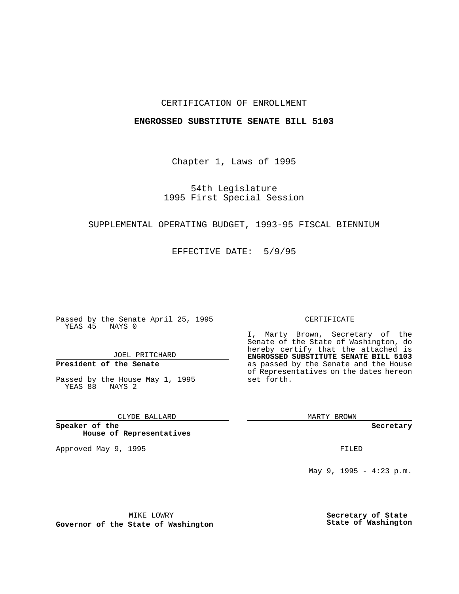#### CERTIFICATION OF ENROLLMENT

#### **ENGROSSED SUBSTITUTE SENATE BILL 5103**

Chapter 1, Laws of 1995

54th Legislature 1995 First Special Session

# SUPPLEMENTAL OPERATING BUDGET, 1993-95 FISCAL BIENNIUM

EFFECTIVE DATE: 5/9/95

Passed by the Senate April 25, 1995 YEAS 45 NAYS 0

JOEL PRITCHARD

# **President of the Senate**

Passed by the House May 1, 1995 YEAS 88 NAYS 2

CLYDE BALLARD

**Speaker of the House of Representatives**

Approved May 9, 1995 **FILED** 

#### CERTIFICATE

I, Marty Brown, Secretary of the Senate of the State of Washington, do hereby certify that the attached is **ENGROSSED SUBSTITUTE SENATE BILL 5103** as passed by the Senate and the House of Representatives on the dates hereon set forth.

MARTY BROWN

**Secretary**

May 9, 1995 - 4:23 p.m.

MIKE LOWRY

**Governor of the State of Washington**

**Secretary of State State of Washington**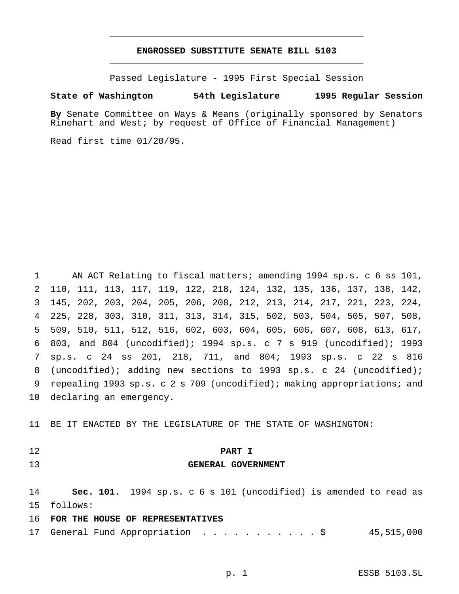### **ENGROSSED SUBSTITUTE SENATE BILL 5103** \_\_\_\_\_\_\_\_\_\_\_\_\_\_\_\_\_\_\_\_\_\_\_\_\_\_\_\_\_\_\_\_\_\_\_\_\_\_\_\_\_\_\_\_\_\_\_

\_\_\_\_\_\_\_\_\_\_\_\_\_\_\_\_\_\_\_\_\_\_\_\_\_\_\_\_\_\_\_\_\_\_\_\_\_\_\_\_\_\_\_\_\_\_\_

Passed Legislature - 1995 First Special Session

#### **State of Washington 54th Legislature 1995 Regular Session**

**By** Senate Committee on Ways & Means (originally sponsored by Senators Rinehart and West; by request of Office of Financial Management)

Read first time 01/20/95.

 AN ACT Relating to fiscal matters; amending 1994 sp.s. c 6 ss 101, 110, 111, 113, 117, 119, 122, 218, 124, 132, 135, 136, 137, 138, 142, 145, 202, 203, 204, 205, 206, 208, 212, 213, 214, 217, 221, 223, 224, 225, 228, 303, 310, 311, 313, 314, 315, 502, 503, 504, 505, 507, 508, 509, 510, 511, 512, 516, 602, 603, 604, 605, 606, 607, 608, 613, 617, 803, and 804 (uncodified); 1994 sp.s. c 7 s 919 (uncodified); 1993 sp.s. c 24 ss 201, 218, 711, and 804; 1993 sp.s. c 22 s 816 (uncodified); adding new sections to 1993 sp.s. c 24 (uncodified); repealing 1993 sp.s. c 2 s 709 (uncodified); making appropriations; and declaring an emergency.

BE IT ENACTED BY THE LEGISLATURE OF THE STATE OF WASHINGTON:

### **PART I**

#### **GENERAL GOVERNMENT**

 **Sec. 101.** 1994 sp.s. c 6 s 101 (uncodified) is amended to read as follows:

### **FOR THE HOUSE OF REPRESENTATIVES**

17 General Fund Appropriation . . . . . . . . . . \$ 45,515,000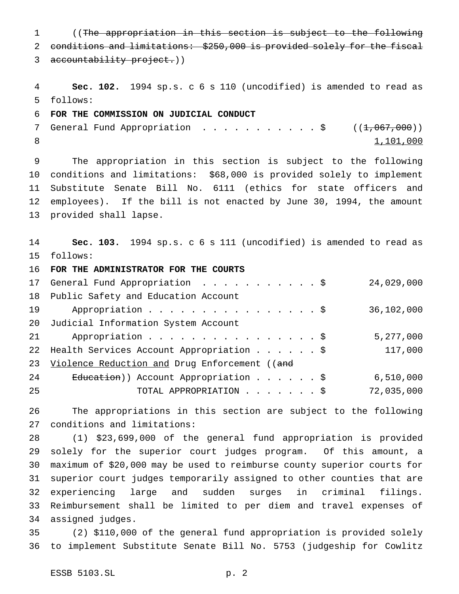((The appropriation in this section is subject to the following conditions and limitations: \$250,000 is provided solely for the fiscal 3 accountability project.)) **Sec. 102.** 1994 sp.s. c 6 s 110 (uncodified) is amended to read as follows: **FOR THE COMMISSION ON JUDICIAL CONDUCT** 7 General Fund Appropriation . . . . . . . . . . \$  $((1,067,000))$ 8 1,101,000 The appropriation in this section is subject to the following conditions and limitations: \$68,000 is provided solely to implement Substitute Senate Bill No. 6111 (ethics for state officers and employees). If the bill is not enacted by June 30, 1994, the amount provided shall lapse. **Sec. 103.** 1994 sp.s. c 6 s 111 (uncodified) is amended to read as follows: **FOR THE ADMINISTRATOR FOR THE COURTS** General Fund Appropriation ...........\$ 24,029,000 Public Safety and Education Account 19 Appropriation . . . . . . . . . . . . . . . \$ 36,102,000 Judicial Information System Account 21 Appropriation . . . . . . . . . . . . . . \$ 5,277,000 22 Health Services Account Appropriation . . . . . \$ 117,000 23 Violence Reduction and Drug Enforcement ((and 24 Education)) Account Appropriation . . . . . \$ 6,510,000 TOTAL APPROPRIATION.......\$ 72,035,000 The appropriations in this section are subject to the following conditions and limitations: (1) \$23,699,000 of the general fund appropriation is provided solely for the superior court judges program. Of this amount, a

 maximum of \$20,000 may be used to reimburse county superior courts for superior court judges temporarily assigned to other counties that are experiencing large and sudden surges in criminal filings. Reimbursement shall be limited to per diem and travel expenses of assigned judges.

 (2) \$110,000 of the general fund appropriation is provided solely to implement Substitute Senate Bill No. 5753 (judgeship for Cowlitz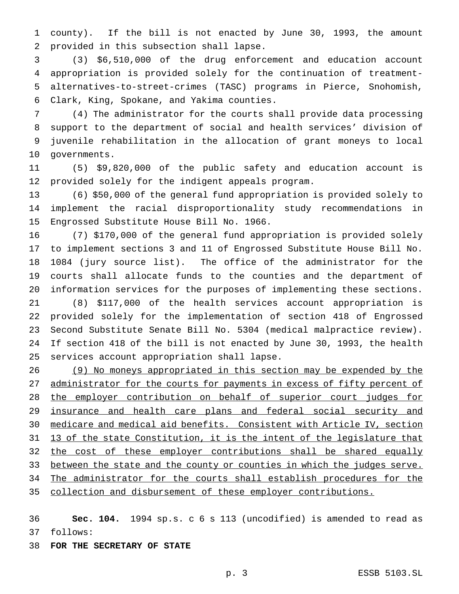county). If the bill is not enacted by June 30, 1993, the amount provided in this subsection shall lapse.

 (3) \$6,510,000 of the drug enforcement and education account appropriation is provided solely for the continuation of treatment- alternatives-to-street-crimes (TASC) programs in Pierce, Snohomish, Clark, King, Spokane, and Yakima counties.

 (4) The administrator for the courts shall provide data processing support to the department of social and health services' division of juvenile rehabilitation in the allocation of grant moneys to local governments.

 (5) \$9,820,000 of the public safety and education account is provided solely for the indigent appeals program.

 (6) \$50,000 of the general fund appropriation is provided solely to implement the racial disproportionality study recommendations in Engrossed Substitute House Bill No. 1966.

 (7) \$170,000 of the general fund appropriation is provided solely to implement sections 3 and 11 of Engrossed Substitute House Bill No. 1084 (jury source list). The office of the administrator for the courts shall allocate funds to the counties and the department of information services for the purposes of implementing these sections.

 (8) \$117,000 of the health services account appropriation is provided solely for the implementation of section 418 of Engrossed Second Substitute Senate Bill No. 5304 (medical malpractice review). If section 418 of the bill is not enacted by June 30, 1993, the health services account appropriation shall lapse.

 (9) No moneys appropriated in this section may be expended by the 27 administrator for the courts for payments in excess of fifty percent of 28 the employer contribution on behalf of superior court judges for insurance and health care plans and federal social security and medicare and medical aid benefits. Consistent with Article IV, section 31 13 of the state Constitution, it is the intent of the legislature that 32 the cost of these employer contributions shall be shared equally 33 between the state and the county or counties in which the judges serve. 34 The administrator for the courts shall establish procedures for the collection and disbursement of these employer contributions.

 **Sec. 104.** 1994 sp.s. c 6 s 113 (uncodified) is amended to read as follows:

**FOR THE SECRETARY OF STATE**

p. 3 ESSB 5103.SL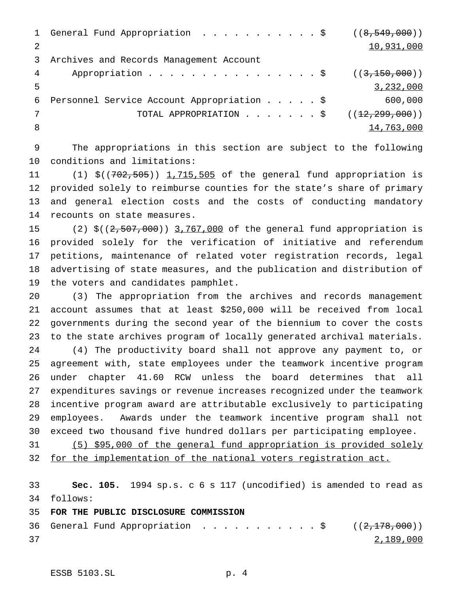|   | 1 General Fund Appropriation \$ ((8,549,000)) |            |
|---|-----------------------------------------------|------------|
|   |                                               | 10,931,000 |
| 3 | Archives and Records Management Account       |            |
| 4 |                                               |            |
|   |                                               | 3,232,000  |
| 6 | Personnel Service Account Appropriation \$    | 600,000    |
|   | TOTAL APPROPRIATION \$ $((12, 299, 000))$     |            |
| 8 |                                               | 14,763,000 |

 The appropriations in this section are subject to the following conditions and limitations:

11 (1) \$((702,505)) 1,715,505 of the general fund appropriation is provided solely to reimburse counties for the state's share of primary and general election costs and the costs of conducting mandatory recounts on state measures.

15 (2) \$((2,507,000)) 3,767,000 of the general fund appropriation is provided solely for the verification of initiative and referendum petitions, maintenance of related voter registration records, legal advertising of state measures, and the publication and distribution of the voters and candidates pamphlet.

 (3) The appropriation from the archives and records management account assumes that at least \$250,000 will be received from local governments during the second year of the biennium to cover the costs to the state archives program of locally generated archival materials. (4) The productivity board shall not approve any payment to, or agreement with, state employees under the teamwork incentive program under chapter 41.60 RCW unless the board determines that all expenditures savings or revenue increases recognized under the teamwork incentive program award are attributable exclusively to participating employees. Awards under the teamwork incentive program shall not exceed two thousand five hundred dollars per participating employee.

 (5) \$95,000 of the general fund appropriation is provided solely for the implementation of the national voters registration act.

 **Sec. 105.** 1994 sp.s. c 6 s 117 (uncodified) is amended to read as follows:

# **FOR THE PUBLIC DISCLOSURE COMMISSION**

36 General Fund Appropriation . . . . . . . . . . \$  $((2,178,000))$ 2,189,000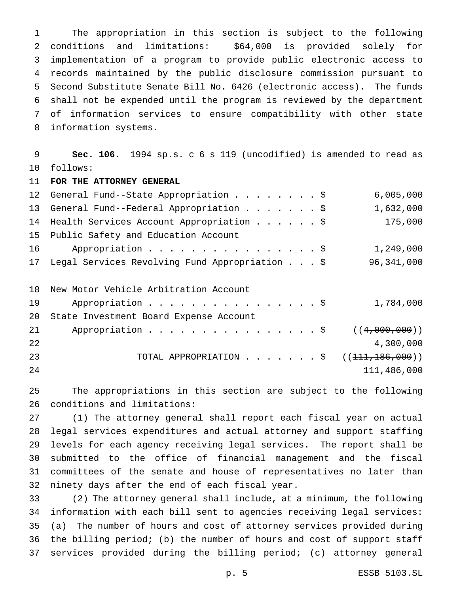The appropriation in this section is subject to the following conditions and limitations: \$64,000 is provided solely for implementation of a program to provide public electronic access to records maintained by the public disclosure commission pursuant to Second Substitute Senate Bill No. 6426 (electronic access). The funds shall not be expended until the program is reviewed by the department of information services to ensure compatibility with other state information systems.

 **Sec. 106.** 1994 sp.s. c 6 s 119 (uncodified) is amended to read as follows:

**FOR THE ATTORNEY GENERAL**

|    | 12 General Fund--State Appropriation \$        | 6,005,000  |
|----|------------------------------------------------|------------|
|    | 13 General Fund--Federal Appropriation \$      | 1,632,000  |
|    | 14 Health Services Account Appropriation \$    | 175,000    |
|    | 15 Public Safety and Education Account         |            |
| 16 | Appropriation \$                               | 1,249,000  |
| 17 | Legal Services Revolving Fund Appropriation \$ | 96,341,000 |
|    |                                                |            |
|    |                                                |            |

|    | 18 New Motor Vehicle Arbitration Account   |             |
|----|--------------------------------------------|-------------|
| 19 | Appropriation $\frac{1}{5}$                | 1,784,000   |
|    | 20 State Investment Board Expense Account  |             |
| 21 | Appropriation \$ $((4,000,000))$           |             |
| 22 |                                            | 4,300,000   |
| 23 | TOTAL APPROPRIATION \$ $((111, 186, 000))$ |             |
| 24 |                                            | 111,486,000 |

 The appropriations in this section are subject to the following conditions and limitations:

 (1) The attorney general shall report each fiscal year on actual legal services expenditures and actual attorney and support staffing levels for each agency receiving legal services. The report shall be submitted to the office of financial management and the fiscal committees of the senate and house of representatives no later than ninety days after the end of each fiscal year.

 (2) The attorney general shall include, at a minimum, the following information with each bill sent to agencies receiving legal services: (a) The number of hours and cost of attorney services provided during the billing period; (b) the number of hours and cost of support staff services provided during the billing period; (c) attorney general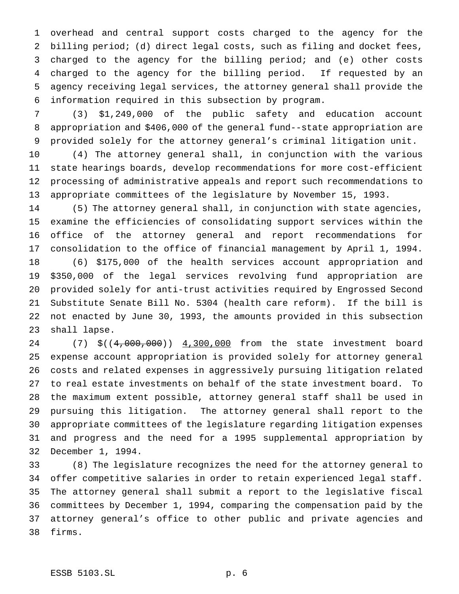overhead and central support costs charged to the agency for the billing period; (d) direct legal costs, such as filing and docket fees, charged to the agency for the billing period; and (e) other costs charged to the agency for the billing period. If requested by an agency receiving legal services, the attorney general shall provide the information required in this subsection by program.

 (3) \$1,249,000 of the public safety and education account appropriation and \$406,000 of the general fund--state appropriation are provided solely for the attorney general's criminal litigation unit.

 (4) The attorney general shall, in conjunction with the various state hearings boards, develop recommendations for more cost-efficient processing of administrative appeals and report such recommendations to appropriate committees of the legislature by November 15, 1993.

 (5) The attorney general shall, in conjunction with state agencies, examine the efficiencies of consolidating support services within the office of the attorney general and report recommendations for consolidation to the office of financial management by April 1, 1994. (6) \$175,000 of the health services account appropriation and \$350,000 of the legal services revolving fund appropriation are provided solely for anti-trust activities required by Engrossed Second Substitute Senate Bill No. 5304 (health care reform). If the bill is not enacted by June 30, 1993, the amounts provided in this subsection shall lapse.

24 (7) \$((4,000,000)) 4,300,000 from the state investment board expense account appropriation is provided solely for attorney general costs and related expenses in aggressively pursuing litigation related to real estate investments on behalf of the state investment board. To the maximum extent possible, attorney general staff shall be used in pursuing this litigation. The attorney general shall report to the appropriate committees of the legislature regarding litigation expenses and progress and the need for a 1995 supplemental appropriation by December 1, 1994.

 (8) The legislature recognizes the need for the attorney general to offer competitive salaries in order to retain experienced legal staff. The attorney general shall submit a report to the legislative fiscal committees by December 1, 1994, comparing the compensation paid by the attorney general's office to other public and private agencies and firms.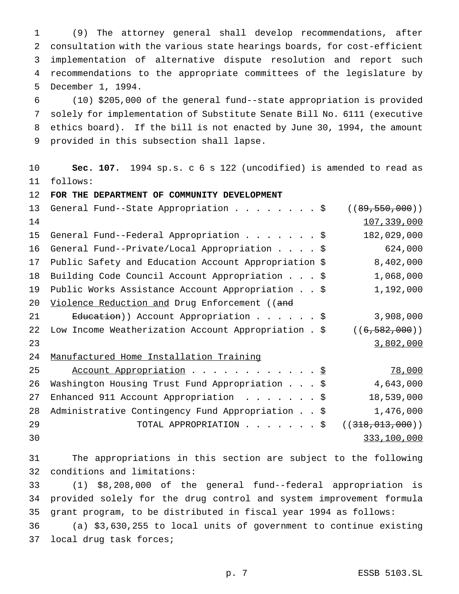(9) The attorney general shall develop recommendations, after consultation with the various state hearings boards, for cost-efficient implementation of alternative dispute resolution and report such recommendations to the appropriate committees of the legislature by December 1, 1994.

 (10) \$205,000 of the general fund--state appropriation is provided solely for implementation of Substitute Senate Bill No. 6111 (executive ethics board). If the bill is not enacted by June 30, 1994, the amount provided in this subsection shall lapse.

 **Sec. 107.** 1994 sp.s. c 6 s 122 (uncodified) is amended to read as follows:

**FOR THE DEPARTMENT OF COMMUNITY DEVELOPMENT**

| 13  | General Fund--State Appropriation \$                      | ((89, 550, 000)) |
|-----|-----------------------------------------------------------|------------------|
| 14  |                                                           | 107,339,000      |
| 15  | General Fund--Federal Appropriation \$                    | 182,029,000      |
| 16  | General Fund--Private/Local Appropriation \$              | 624,000          |
| 17  | Public Safety and Education Account Appropriation \$      | 8,402,000        |
| 18  | Building Code Council Account Appropriation \$            | 1,068,000        |
| 19  | Public Works Assistance Account Appropriation \$          | 1,192,000        |
| 20  | Violence Reduction and Drug Enforcement ((and             |                  |
| 2.1 | Education)) Account Appropriation \$                      | 3,908,000        |
| 22  | Low Income Weatherization Account Appropriation . \$      | ((6, 582, 000))  |
| 23  |                                                           | 3,802,000        |
| 24  | Manufactured Home Installation Training                   |                  |
| 25  | Account Appropriation \$                                  | 78,000           |
| 26  | Washington Housing Trust Fund Appropriation \$            | 4,643,000        |
| 27  | Enhanced 911 Account Appropriation \$                     | 18,539,000       |
| 28  | Administrative Contingency Fund Appropriation \$          | 1,476,000        |
| 29  | TOTAL APPROPRIATION $\cdot \cdot \cdot \cdot \cdot \cdot$ | ((318,013,000))  |
| 30  |                                                           | 333,100,000      |

 The appropriations in this section are subject to the following conditions and limitations:

 (1) \$8,208,000 of the general fund--federal appropriation is provided solely for the drug control and system improvement formula grant program, to be distributed in fiscal year 1994 as follows:

 (a) \$3,630,255 to local units of government to continue existing local drug task forces;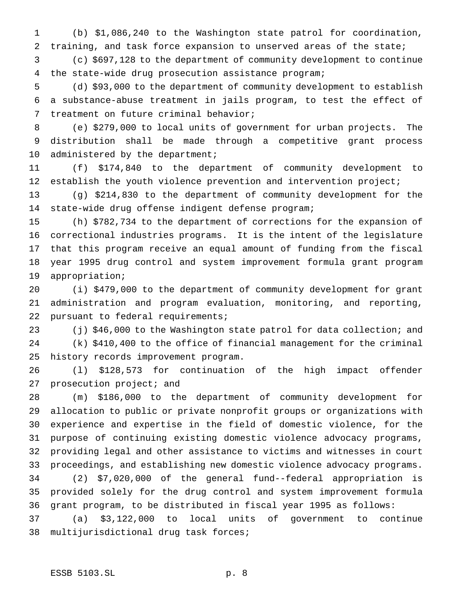(b) \$1,086,240 to the Washington state patrol for coordination, 2 training, and task force expansion to unserved areas of the state;

 (c) \$697,128 to the department of community development to continue the state-wide drug prosecution assistance program;

 (d) \$93,000 to the department of community development to establish a substance-abuse treatment in jails program, to test the effect of treatment on future criminal behavior;

 (e) \$279,000 to local units of government for urban projects. The distribution shall be made through a competitive grant process 10 administered by the department;

 (f) \$174,840 to the department of community development to 12 establish the youth violence prevention and intervention project;

 (g) \$214,830 to the department of community development for the state-wide drug offense indigent defense program;

 (h) \$782,734 to the department of corrections for the expansion of correctional industries programs. It is the intent of the legislature that this program receive an equal amount of funding from the fiscal year 1995 drug control and system improvement formula grant program appropriation;

 (i) \$479,000 to the department of community development for grant administration and program evaluation, monitoring, and reporting, pursuant to federal requirements;

 (j) \$46,000 to the Washington state patrol for data collection; and (k) \$410,400 to the office of financial management for the criminal history records improvement program.

 (l) \$128,573 for continuation of the high impact offender 27 prosecution project; and

 (m) \$186,000 to the department of community development for allocation to public or private nonprofit groups or organizations with experience and expertise in the field of domestic violence, for the purpose of continuing existing domestic violence advocacy programs, providing legal and other assistance to victims and witnesses in court proceedings, and establishing new domestic violence advocacy programs. (2) \$7,020,000 of the general fund--federal appropriation is provided solely for the drug control and system improvement formula

grant program, to be distributed in fiscal year 1995 as follows:

 (a) \$3,122,000 to local units of government to continue multijurisdictional drug task forces;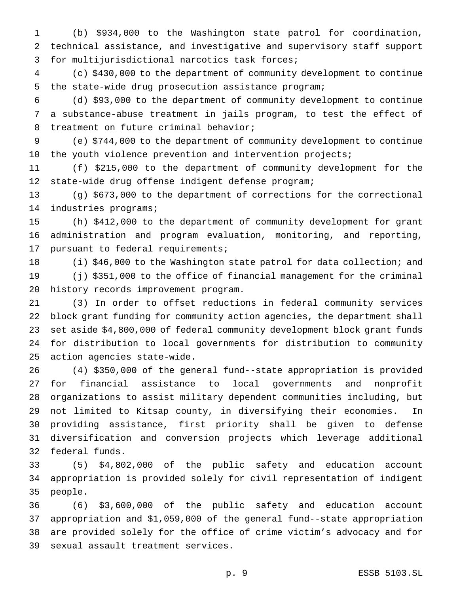(b) \$934,000 to the Washington state patrol for coordination, technical assistance, and investigative and supervisory staff support for multijurisdictional narcotics task forces;

 (c) \$430,000 to the department of community development to continue the state-wide drug prosecution assistance program;

 (d) \$93,000 to the department of community development to continue a substance-abuse treatment in jails program, to test the effect of treatment on future criminal behavior;

 (e) \$744,000 to the department of community development to continue 10 the youth violence prevention and intervention projects;

 (f) \$215,000 to the department of community development for the state-wide drug offense indigent defense program;

 (g) \$673,000 to the department of corrections for the correctional industries programs;

 (h) \$412,000 to the department of community development for grant administration and program evaluation, monitoring, and reporting, pursuant to federal requirements;

 (i) \$46,000 to the Washington state patrol for data collection; and (j) \$351,000 to the office of financial management for the criminal history records improvement program.

 (3) In order to offset reductions in federal community services block grant funding for community action agencies, the department shall set aside \$4,800,000 of federal community development block grant funds for distribution to local governments for distribution to community action agencies state-wide.

 (4) \$350,000 of the general fund--state appropriation is provided for financial assistance to local governments and nonprofit organizations to assist military dependent communities including, but not limited to Kitsap county, in diversifying their economies. In providing assistance, first priority shall be given to defense diversification and conversion projects which leverage additional federal funds.

 (5) \$4,802,000 of the public safety and education account appropriation is provided solely for civil representation of indigent people.

 (6) \$3,600,000 of the public safety and education account appropriation and \$1,059,000 of the general fund--state appropriation are provided solely for the office of crime victim's advocacy and for sexual assault treatment services.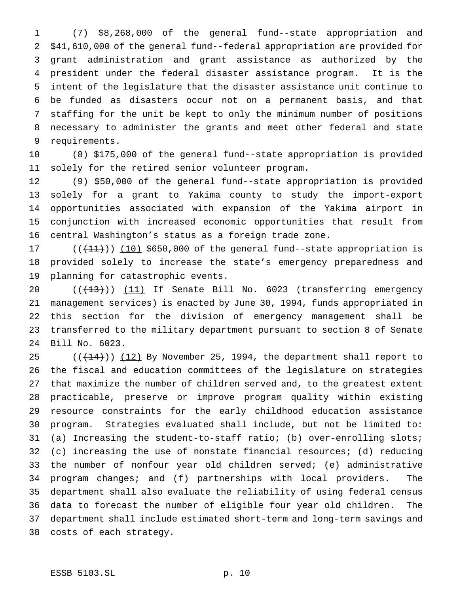(7) \$8,268,000 of the general fund--state appropriation and \$41,610,000 of the general fund--federal appropriation are provided for grant administration and grant assistance as authorized by the president under the federal disaster assistance program. It is the intent of the legislature that the disaster assistance unit continue to be funded as disasters occur not on a permanent basis, and that staffing for the unit be kept to only the minimum number of positions necessary to administer the grants and meet other federal and state requirements.

 (8) \$175,000 of the general fund--state appropriation is provided solely for the retired senior volunteer program.

 (9) \$50,000 of the general fund--state appropriation is provided solely for a grant to Yakima county to study the import-export opportunities associated with expansion of the Yakima airport in conjunction with increased economic opportunities that result from central Washington's status as a foreign trade zone.

17  $((+11))$   $(10)$  \$650,000 of the general fund--state appropriation is provided solely to increase the state's emergency preparedness and planning for catastrophic events.

 $((+13))$   $(11)$  If Senate Bill No. 6023 (transferring emergency management services) is enacted by June 30, 1994, funds appropriated in this section for the division of emergency management shall be transferred to the military department pursuant to section 8 of Senate Bill No. 6023.

 $((+14))$   $(12)$  By November 25, 1994, the department shall report to the fiscal and education committees of the legislature on strategies that maximize the number of children served and, to the greatest extent practicable, preserve or improve program quality within existing resource constraints for the early childhood education assistance program. Strategies evaluated shall include, but not be limited to: (a) Increasing the student-to-staff ratio; (b) over-enrolling slots; (c) increasing the use of nonstate financial resources; (d) reducing the number of nonfour year old children served; (e) administrative program changes; and (f) partnerships with local providers. The department shall also evaluate the reliability of using federal census data to forecast the number of eligible four year old children. The department shall include estimated short-term and long-term savings and costs of each strategy.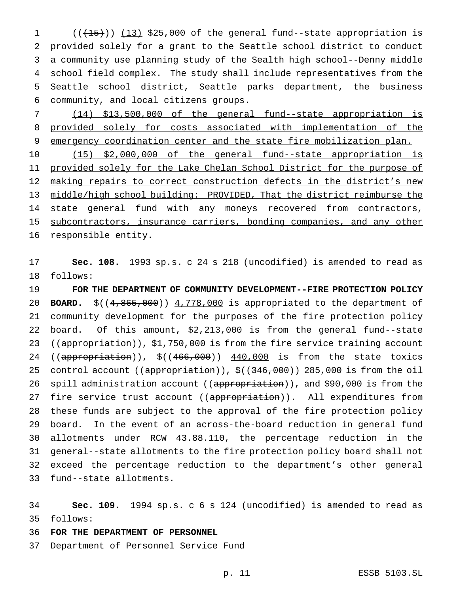$((+15))$   $(13)$  \$25,000 of the general fund--state appropriation is provided solely for a grant to the Seattle school district to conduct a community use planning study of the Sealth high school--Denny middle school field complex. The study shall include representatives from the Seattle school district, Seattle parks department, the business community, and local citizens groups.

 (14) \$13,500,000 of the general fund--state appropriation is provided solely for costs associated with implementation of the 9 emergency coordination center and the state fire mobilization plan.

 (15) \$2,000,000 of the general fund--state appropriation is 11 provided solely for the Lake Chelan School District for the purpose of 12 making repairs to correct construction defects in the district's new middle/high school building: PROVIDED, That the district reimburse the 14 state general fund with any moneys recovered from contractors, 15 subcontractors, insurance carriers, bonding companies, and any other 16 responsible entity.

 **Sec. 108.** 1993 sp.s. c 24 s 218 (uncodified) is amended to read as follows:

 **FOR THE DEPARTMENT OF COMMUNITY DEVELOPMENT--FIRE PROTECTION POLICY BOARD.** \$((4,865,000)) 4,778,000 is appropriated to the department of community development for the purposes of the fire protection policy board. Of this amount, \$2,213,000 is from the general fund--state 23 ((appropriation)), \$1,750,000 is from the fire service training account 24 ((appropriation)), \$((466,000)) 440,000 is from the state toxics 25 control account (( $a$ ppropriation)),  $\zeta$ ((346,000)) 285,000 is from the oil 26 spill administration account ((appropriation)), and \$90,000 is from the 27 fire service trust account ((appropriation)). All expenditures from these funds are subject to the approval of the fire protection policy board. In the event of an across-the-board reduction in general fund allotments under RCW 43.88.110, the percentage reduction in the general--state allotments to the fire protection policy board shall not exceed the percentage reduction to the department's other general fund--state allotments.

 **Sec. 109.** 1994 sp.s. c 6 s 124 (uncodified) is amended to read as follows:

### **FOR THE DEPARTMENT OF PERSONNEL**

Department of Personnel Service Fund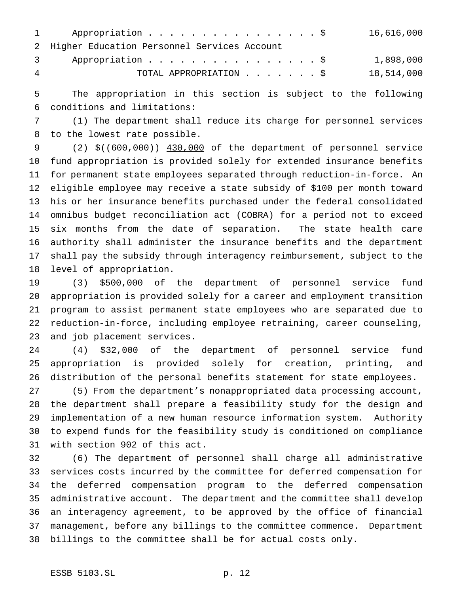|   | Appropriation \$<br>$1 \qquad \qquad$         | 16,616,000 |
|---|-----------------------------------------------|------------|
|   | 2 Higher Education Personnel Services Account |            |
|   | Appropriation \$<br>$\overline{3}$            | 1,898,000  |
| 4 | TOTAL APPROPRIATION \$                        | 18,514,000 |

 The appropriation in this section is subject to the following conditions and limitations:

 (1) The department shall reduce its charge for personnel services to the lowest rate possible.

 (2) \$((600,000)) 430,000 of the department of personnel service fund appropriation is provided solely for extended insurance benefits for permanent state employees separated through reduction-in-force. An eligible employee may receive a state subsidy of \$100 per month toward his or her insurance benefits purchased under the federal consolidated omnibus budget reconciliation act (COBRA) for a period not to exceed six months from the date of separation. The state health care authority shall administer the insurance benefits and the department shall pay the subsidy through interagency reimbursement, subject to the level of appropriation.

 (3) \$500,000 of the department of personnel service fund appropriation is provided solely for a career and employment transition program to assist permanent state employees who are separated due to reduction-in-force, including employee retraining, career counseling, and job placement services.

 (4) \$32,000 of the department of personnel service fund appropriation is provided solely for creation, printing, and distribution of the personal benefits statement for state employees.

 (5) From the department's nonappropriated data processing account, the department shall prepare a feasibility study for the design and implementation of a new human resource information system. Authority to expend funds for the feasibility study is conditioned on compliance with section 902 of this act.

 (6) The department of personnel shall charge all administrative services costs incurred by the committee for deferred compensation for the deferred compensation program to the deferred compensation administrative account. The department and the committee shall develop an interagency agreement, to be approved by the office of financial management, before any billings to the committee commence. Department billings to the committee shall be for actual costs only.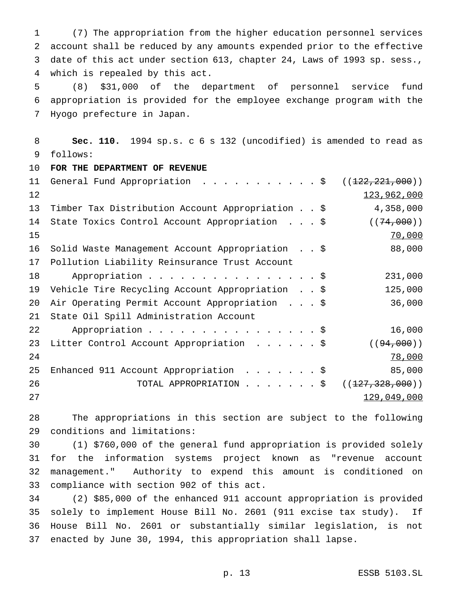(7) The appropriation from the higher education personnel services account shall be reduced by any amounts expended prior to the effective date of this act under section 613, chapter 24, Laws of 1993 sp. sess., which is repealed by this act.

 (8) \$31,000 of the department of personnel service fund appropriation is provided for the employee exchange program with the Hyogo prefecture in Japan.

 **Sec. 110.** 1994 sp.s. c 6 s 132 (uncodified) is amended to read as follows:

 **FOR THE DEPARTMENT OF REVENUE** 11 General Fund Appropriation . . . . . . . . . . \$ ((<del>122,221,000</del>))  $123,962,000$  Timber Tax Distribution Account Appropriation..\$ 4,358,000 14 State Toxics Control Account Appropriation . . . \$ ((74,000)) 15 70,000 16 Solid Waste Management Account Appropriation . . \$ 88,000 Pollution Liability Reinsurance Trust Account 18 Appropriation . . . . . . . . . . . . . . . \$ 231,000 Vehicle Tire Recycling Account Appropriation . . \$ 125,000 Air Operating Permit Account Appropriation ...\$ 36,000 State Oil Spill Administration Account 22 Appropriation . . . . . . . . . . . . . . . \$ 16,000 23 Litter Control Account Appropriation . . . . . \$ ((94,000)) 24 78,000 25 Enhanced 911 Account Appropriation . . . . . . \$ 85,000 26 TOTAL APPROPRIATION . . . . . . \$ ((<del>127,328,000</del>)) and  $129,049,000$ 

 The appropriations in this section are subject to the following conditions and limitations:

 (1) \$760,000 of the general fund appropriation is provided solely for the information systems project known as "revenue account management." Authority to expend this amount is conditioned on compliance with section 902 of this act.

 (2) \$85,000 of the enhanced 911 account appropriation is provided solely to implement House Bill No. 2601 (911 excise tax study). If House Bill No. 2601 or substantially similar legislation, is not enacted by June 30, 1994, this appropriation shall lapse.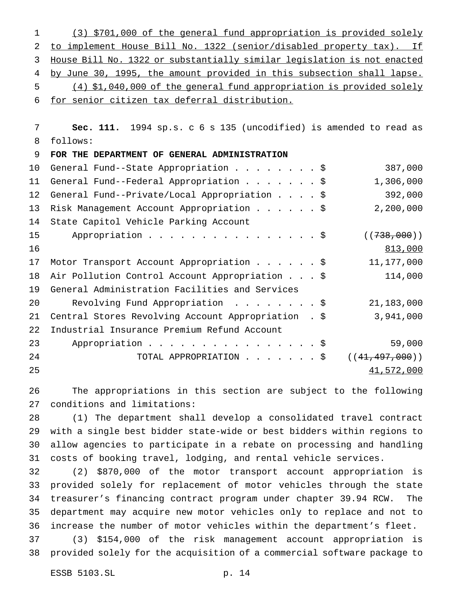(3) \$701,000 of the general fund appropriation is provided solely to implement House Bill No. 1322 (senior/disabled property tax). If House Bill No. 1322 or substantially similar legislation is not enacted 4 by June 30, 1995, the amount provided in this subsection shall lapse. (4) \$1,040,000 of the general fund appropriation is provided solely for senior citizen tax deferral distribution.

 **Sec. 111.** 1994 sp.s. c 6 s 135 (uncodified) is amended to read as follows: **FOR THE DEPARTMENT OF GENERAL ADMINISTRATION**

| 10 | General Fund--State Appropriation \$                | 387,000          |
|----|-----------------------------------------------------|------------------|
| 11 | General Fund--Federal Appropriation \$              | 1,306,000        |
| 12 | General Fund--Private/Local Appropriation \$        | 392,000          |
| 13 | Risk Management Account Appropriation \$            | 2,200,000        |
| 14 | State Capitol Vehicle Parking Account               |                  |
| 15 | Appropriation \$                                    | ((738,000))      |
| 16 |                                                     | 813,000          |
| 17 | Motor Transport Account Appropriation \$            | 11,177,000       |
| 18 | Air Pollution Control Account Appropriation \$      | 114,000          |
| 19 | General Administration Facilities and Services      |                  |
| 20 | Revolving Fund Appropriation \$                     | 21,183,000       |
| 21 | Central Stores Revolving Account Appropriation . \$ | 3,941,000        |
| 22 | Industrial Insurance Premium Refund Account         |                  |
| 23 | Appropriation \$                                    | 59,000           |
| 24 | TOTAL APPROPRIATION $\frac{1}{9}$                   | ((41, 497, 000)) |
| 25 |                                                     | 41,572,000       |
|    |                                                     |                  |

 The appropriations in this section are subject to the following conditions and limitations:

 (1) The department shall develop a consolidated travel contract with a single best bidder state-wide or best bidders within regions to allow agencies to participate in a rebate on processing and handling costs of booking travel, lodging, and rental vehicle services.

 (2) \$870,000 of the motor transport account appropriation is provided solely for replacement of motor vehicles through the state treasurer's financing contract program under chapter 39.94 RCW. The department may acquire new motor vehicles only to replace and not to increase the number of motor vehicles within the department's fleet.

 (3) \$154,000 of the risk management account appropriation is provided solely for the acquisition of a commercial software package to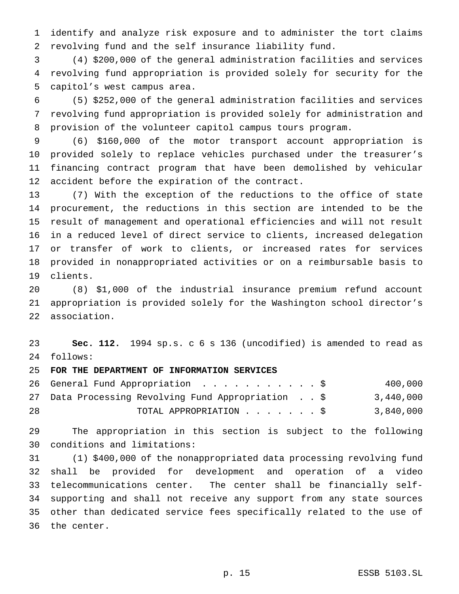identify and analyze risk exposure and to administer the tort claims revolving fund and the self insurance liability fund.

 (4) \$200,000 of the general administration facilities and services revolving fund appropriation is provided solely for security for the capitol's west campus area.

 (5) \$252,000 of the general administration facilities and services revolving fund appropriation is provided solely for administration and provision of the volunteer capitol campus tours program.

 (6) \$160,000 of the motor transport account appropriation is provided solely to replace vehicles purchased under the treasurer's financing contract program that have been demolished by vehicular accident before the expiration of the contract.

 (7) With the exception of the reductions to the office of state procurement, the reductions in this section are intended to be the result of management and operational efficiencies and will not result in a reduced level of direct service to clients, increased delegation or transfer of work to clients, or increased rates for services provided in nonappropriated activities or on a reimbursable basis to clients.

 (8) \$1,000 of the industrial insurance premium refund account appropriation is provided solely for the Washington school director's association.

 **Sec. 112.** 1994 sp.s. c 6 s 136 (uncodified) is amended to read as follows:

**FOR THE DEPARTMENT OF INFORMATION SERVICES**

|    | 26 General Fund Appropriation \$                   |  | 400,000   |
|----|----------------------------------------------------|--|-----------|
|    | 27 Data Processing Revolving Fund Appropriation \$ |  | 3,440,000 |
| 28 | TOTAL APPROPRIATION \$                             |  | 3,840,000 |

 The appropriation in this section is subject to the following conditions and limitations:

 (1) \$400,000 of the nonappropriated data processing revolving fund shall be provided for development and operation of a video telecommunications center. The center shall be financially self- supporting and shall not receive any support from any state sources other than dedicated service fees specifically related to the use of the center.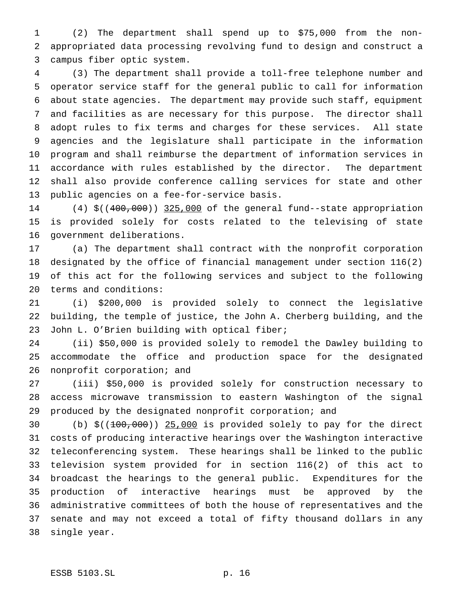(2) The department shall spend up to \$75,000 from the non- appropriated data processing revolving fund to design and construct a campus fiber optic system.

 (3) The department shall provide a toll-free telephone number and operator service staff for the general public to call for information about state agencies. The department may provide such staff, equipment and facilities as are necessary for this purpose. The director shall adopt rules to fix terms and charges for these services. All state agencies and the legislature shall participate in the information program and shall reimburse the department of information services in accordance with rules established by the director. The department shall also provide conference calling services for state and other public agencies on a fee-for-service basis.

14 (4) \$((400,000)) 325,000 of the general fund--state appropriation is provided solely for costs related to the televising of state government deliberations.

 (a) The department shall contract with the nonprofit corporation designated by the office of financial management under section 116(2) of this act for the following services and subject to the following terms and conditions:

 (i) \$200,000 is provided solely to connect the legislative building, the temple of justice, the John A. Cherberg building, and the John L. O'Brien building with optical fiber;

 (ii) \$50,000 is provided solely to remodel the Dawley building to accommodate the office and production space for the designated nonprofit corporation; and

 (iii) \$50,000 is provided solely for construction necessary to access microwave transmission to eastern Washington of the signal produced by the designated nonprofit corporation; and

 (b) \$((100,000)) 25,000 is provided solely to pay for the direct costs of producing interactive hearings over the Washington interactive teleconferencing system. These hearings shall be linked to the public television system provided for in section 116(2) of this act to broadcast the hearings to the general public. Expenditures for the production of interactive hearings must be approved by the administrative committees of both the house of representatives and the senate and may not exceed a total of fifty thousand dollars in any single year.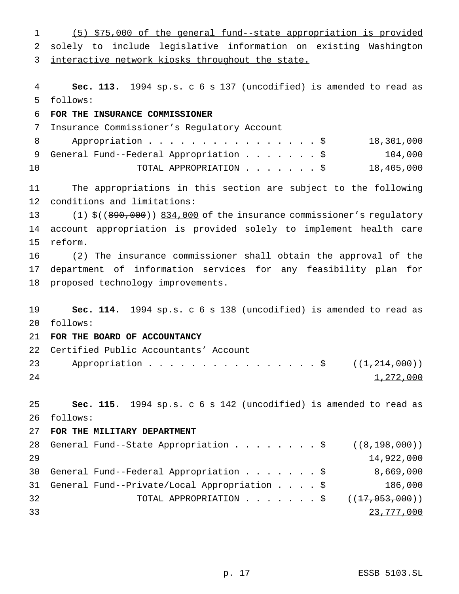(5) \$75,000 of the general fund--state appropriation is provided solely to include legislative information on existing Washington 3 interactive network kiosks throughout the state. **Sec. 113.** 1994 sp.s. c 6 s 137 (uncodified) is amended to read as follows: **FOR THE INSURANCE COMMISSIONER** Insurance Commissioner's Regulatory Account 8 Appropriation . . . . . . . . . . . . . . \$ 18,301,000 9 General Fund--Federal Appropriation . . . . . . \$ 104,000 TOTAL APPROPRIATION.......\$ 18,405,000 The appropriations in this section are subject to the following conditions and limitations: 13 (1)  $\zeta$ ((890,000)) 834,000 of the insurance commissioner's regulatory account appropriation is provided solely to implement health care reform. (2) The insurance commissioner shall obtain the approval of the department of information services for any feasibility plan for proposed technology improvements. **Sec. 114.** 1994 sp.s. c 6 s 138 (uncodified) is amended to read as follows: **FOR THE BOARD OF ACCOUNTANCY** Certified Public Accountants' Account 23 Appropriation . . . . . . . . . . . . . . . \$ ((1,214,000))  $1,272,000$  **Sec. 115.** 1994 sp.s. c 6 s 142 (uncodified) is amended to read as follows: **FOR THE MILITARY DEPARTMENT** 28 General Fund--State Appropriation . . . . . . . \$  $((8,198,000))$  14,922,000 General Fund--Federal Appropriation.......\$ 8,669,000 General Fund--Private/Local Appropriation....\$ 186,000 32 TOTAL APPROPRIATION . . . . . . \$ ((<del>17,053,000</del>)) 23,777,000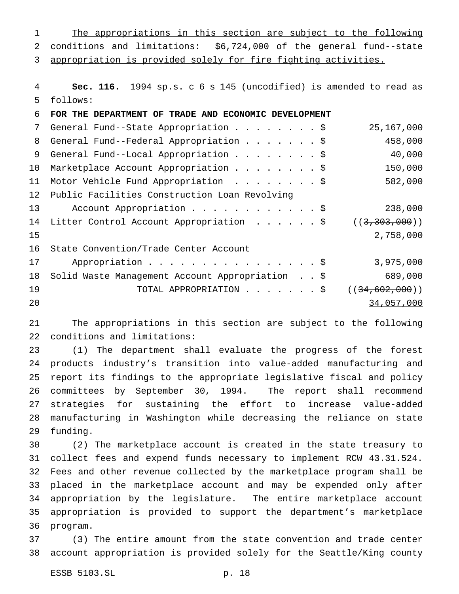The appropriations in this section are subject to the following conditions and limitations: \$6,724,000 of the general fund--state appropriation is provided solely for fire fighting activities. **Sec. 116.** 1994 sp.s. c 6 s 145 (uncodified) is amended to read as follows: **FOR THE DEPARTMENT OF TRADE AND ECONOMIC DEVELOPMENT** 7 General Fund--State Appropriation . . . . . . . \$ 25,167,000 8 General Fund--Federal Appropriation . . . . . . \$ 458,000 9 General Fund--Local Appropriation . . . . . . . \$ 40,000 Marketplace Account Appropriation........\$ 150,000 Motor Vehicle Fund Appropriation ........\$ 582,000 Public Facilities Construction Loan Revolving 13 Account Appropriation . . . . . . . . . . \$ 238,000 14 Litter Control Account Appropriation . . . . . \$ ((3,303,000)) 2,758,000 State Convention/Trade Center Account 17 Appropriation . . . . . . . . . . . . . . . \$ 3,975,000 Solid Waste Management Account Appropriation . . \$ 689,000 19 TOTAL APPROPRIATION . . . . . . \$ ((<del>34,602,000</del>))

34,057,000

 The appropriations in this section are subject to the following conditions and limitations:

 (1) The department shall evaluate the progress of the forest products industry's transition into value-added manufacturing and report its findings to the appropriate legislative fiscal and policy committees by September 30, 1994. The report shall recommend strategies for sustaining the effort to increase value-added manufacturing in Washington while decreasing the reliance on state funding.

 (2) The marketplace account is created in the state treasury to collect fees and expend funds necessary to implement RCW 43.31.524. Fees and other revenue collected by the marketplace program shall be placed in the marketplace account and may be expended only after appropriation by the legislature. The entire marketplace account appropriation is provided to support the department's marketplace program.

 (3) The entire amount from the state convention and trade center account appropriation is provided solely for the Seattle/King county

ESSB 5103.SL p. 18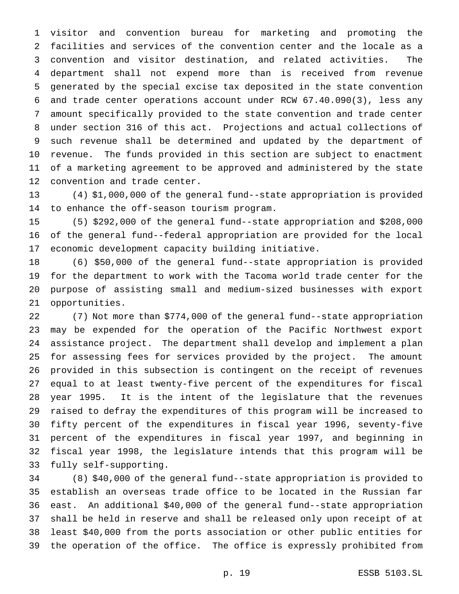visitor and convention bureau for marketing and promoting the facilities and services of the convention center and the locale as a convention and visitor destination, and related activities. The department shall not expend more than is received from revenue generated by the special excise tax deposited in the state convention and trade center operations account under RCW 67.40.090(3), less any amount specifically provided to the state convention and trade center under section 316 of this act. Projections and actual collections of such revenue shall be determined and updated by the department of revenue. The funds provided in this section are subject to enactment of a marketing agreement to be approved and administered by the state convention and trade center.

 (4) \$1,000,000 of the general fund--state appropriation is provided to enhance the off-season tourism program.

 (5) \$292,000 of the general fund--state appropriation and \$208,000 of the general fund--federal appropriation are provided for the local economic development capacity building initiative.

 (6) \$50,000 of the general fund--state appropriation is provided for the department to work with the Tacoma world trade center for the purpose of assisting small and medium-sized businesses with export opportunities.

 (7) Not more than \$774,000 of the general fund--state appropriation may be expended for the operation of the Pacific Northwest export assistance project. The department shall develop and implement a plan for assessing fees for services provided by the project. The amount provided in this subsection is contingent on the receipt of revenues equal to at least twenty-five percent of the expenditures for fiscal year 1995. It is the intent of the legislature that the revenues raised to defray the expenditures of this program will be increased to fifty percent of the expenditures in fiscal year 1996, seventy-five percent of the expenditures in fiscal year 1997, and beginning in fiscal year 1998, the legislature intends that this program will be fully self-supporting.

 (8) \$40,000 of the general fund--state appropriation is provided to establish an overseas trade office to be located in the Russian far east. An additional \$40,000 of the general fund--state appropriation shall be held in reserve and shall be released only upon receipt of at least \$40,000 from the ports association or other public entities for the operation of the office. The office is expressly prohibited from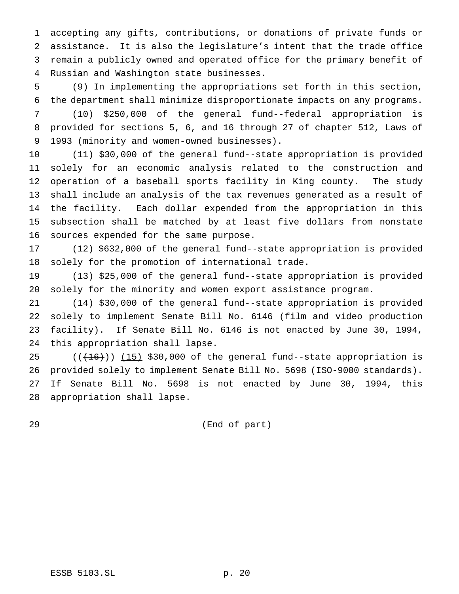accepting any gifts, contributions, or donations of private funds or assistance. It is also the legislature's intent that the trade office remain a publicly owned and operated office for the primary benefit of Russian and Washington state businesses.

 (9) In implementing the appropriations set forth in this section, the department shall minimize disproportionate impacts on any programs.

 (10) \$250,000 of the general fund--federal appropriation is provided for sections 5, 6, and 16 through 27 of chapter 512, Laws of 1993 (minority and women-owned businesses).

 (11) \$30,000 of the general fund--state appropriation is provided solely for an economic analysis related to the construction and operation of a baseball sports facility in King county. The study shall include an analysis of the tax revenues generated as a result of the facility. Each dollar expended from the appropriation in this subsection shall be matched by at least five dollars from nonstate sources expended for the same purpose.

 (12) \$632,000 of the general fund--state appropriation is provided solely for the promotion of international trade.

 (13) \$25,000 of the general fund--state appropriation is provided solely for the minority and women export assistance program.

 (14) \$30,000 of the general fund--state appropriation is provided solely to implement Senate Bill No. 6146 (film and video production facility). If Senate Bill No. 6146 is not enacted by June 30, 1994, this appropriation shall lapse.

 $((+16))$   $(15)$  \$30,000 of the general fund--state appropriation is provided solely to implement Senate Bill No. 5698 (ISO-9000 standards). If Senate Bill No. 5698 is not enacted by June 30, 1994, this appropriation shall lapse.

(End of part)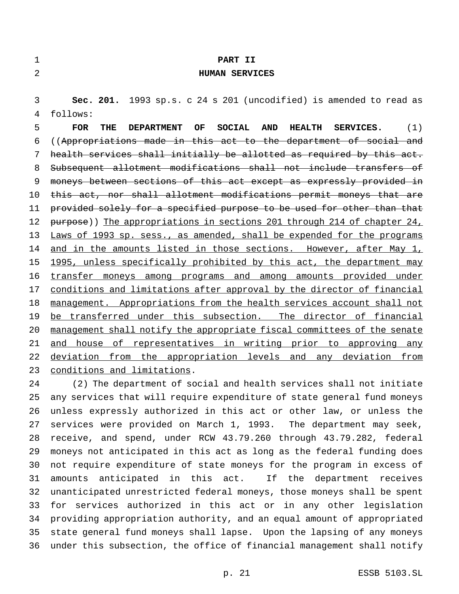| $\mathbf 1$ | PART II                                                                                                          |
|-------------|------------------------------------------------------------------------------------------------------------------|
| 2           | <b>HUMAN SERVICES</b>                                                                                            |
|             |                                                                                                                  |
| 3           | Sec. 201. 1993 sp.s. c 24 s 201 (uncodified) is amended to read as                                               |
| 4           | follows:                                                                                                         |
| 5           | SOCIAL<br><b>AND</b><br><b>HEALTH</b><br>(1)<br><b>FOR</b><br>THE<br><b>DEPARTMENT</b><br>OF<br><b>SERVICES.</b> |
| 6           | ((Appropriations made in this act to the department of social and                                                |
| 7           | health services shall initially be allotted as required by this act.                                             |
| 8           | Subsequent allotment modifications shall not include transfers of                                                |
| 9           | moneys between sections of this act except as expressly provided in                                              |
| 10          | this act, nor shall allotment modifications permit moneys that are                                               |
| 11          | provided solely for a specified purpose to be used for other than that                                           |
| 12          | purpose)) The appropriations in sections 201 through 214 of chapter 24,                                          |
| 13          | Laws of 1993 sp. sess., as amended, shall be expended for the programs                                           |
| 14          | and in the amounts listed in those sections. However, after May 1,                                               |
| 15          | 1995, unless specifically prohibited by this act, the department may                                             |
| 16          | transfer moneys among programs and among amounts provided under                                                  |
| 17          | conditions and limitations after approval by the director of financial                                           |
| 18          | management. Appropriations from the health services account shall not                                            |
| 19          | be transferred under this subsection. The director of financial                                                  |
| 20          | management shall notify the appropriate fiscal committees of the senate                                          |
| 21          | and house of representatives in writing prior to approving any                                                   |
| 22          | deviation from the appropriation levels and any deviation from                                                   |
| 23          | conditions and limitations.                                                                                      |
| 24          | (2) The department of social and health services shall not initiate                                              |
| 25          | any services that will require expenditure of state general fund moneys                                          |
|             | $26$ unlegg errorealy outhorized in this est on others low an unlegg the                                         |

 unless expressly authorized in this act or other law, or unless the services were provided on March 1, 1993. The department may seek, receive, and spend, under RCW 43.79.260 through 43.79.282, federal moneys not anticipated in this act as long as the federal funding does not require expenditure of state moneys for the program in excess of amounts anticipated in this act. If the department receives unanticipated unrestricted federal moneys, those moneys shall be spent for services authorized in this act or in any other legislation providing appropriation authority, and an equal amount of appropriated state general fund moneys shall lapse. Upon the lapsing of any moneys under this subsection, the office of financial management shall notify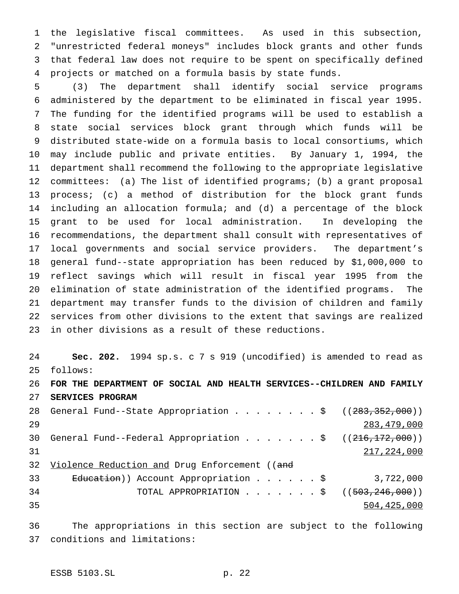the legislative fiscal committees. As used in this subsection, "unrestricted federal moneys" includes block grants and other funds that federal law does not require to be spent on specifically defined projects or matched on a formula basis by state funds.

 (3) The department shall identify social service programs administered by the department to be eliminated in fiscal year 1995. The funding for the identified programs will be used to establish a state social services block grant through which funds will be distributed state-wide on a formula basis to local consortiums, which may include public and private entities. By January 1, 1994, the department shall recommend the following to the appropriate legislative committees: (a) The list of identified programs; (b) a grant proposal process; (c) a method of distribution for the block grant funds including an allocation formula; and (d) a percentage of the block grant to be used for local administration. In developing the recommendations, the department shall consult with representatives of local governments and social service providers. The department's general fund--state appropriation has been reduced by \$1,000,000 to reflect savings which will result in fiscal year 1995 from the elimination of state administration of the identified programs. The department may transfer funds to the division of children and family services from other divisions to the extent that savings are realized in other divisions as a result of these reductions.

 **Sec. 202.** 1994 sp.s. c 7 s 919 (uncodified) is amended to read as follows: **FOR THE DEPARTMENT OF SOCIAL AND HEALTH SERVICES--CHILDREN AND FAMILY SERVICES PROGRAM** 28 General Fund--State Appropriation . . . . . . . \$ ((283,352,000)) 283,479,000 30 General Fund--Federal Appropriation . . . . . . \$ ((216,172,000))  $217,224,000$ 32 Violence Reduction and Drug Enforcement ((and 33 E<del>ducation</del>)) Account Appropriation . . . . . \$ 3,722,000 34 TOTAL APPROPRIATION . . . . . . \$ ((503,246,000)) 504,425,000

 The appropriations in this section are subject to the following conditions and limitations: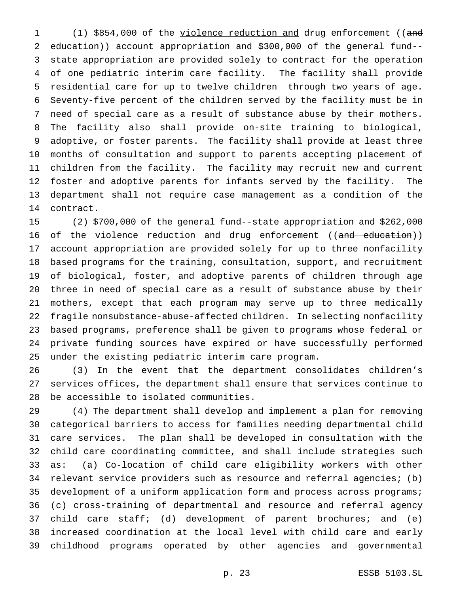(1) \$854,000 of the violence reduction and drug enforcement ((and education)) account appropriation and \$300,000 of the general fund-- state appropriation are provided solely to contract for the operation of one pediatric interim care facility. The facility shall provide residential care for up to twelve children through two years of age. Seventy-five percent of the children served by the facility must be in need of special care as a result of substance abuse by their mothers. The facility also shall provide on-site training to biological, adoptive, or foster parents. The facility shall provide at least three months of consultation and support to parents accepting placement of children from the facility. The facility may recruit new and current foster and adoptive parents for infants served by the facility. The department shall not require case management as a condition of the contract.

 (2) \$700,000 of the general fund--state appropriation and \$262,000 16 of the violence reduction and drug enforcement ((and education)) account appropriation are provided solely for up to three nonfacility based programs for the training, consultation, support, and recruitment of biological, foster, and adoptive parents of children through age three in need of special care as a result of substance abuse by their mothers, except that each program may serve up to three medically fragile nonsubstance-abuse-affected children. In selecting nonfacility based programs, preference shall be given to programs whose federal or private funding sources have expired or have successfully performed under the existing pediatric interim care program.

 (3) In the event that the department consolidates children's services offices, the department shall ensure that services continue to be accessible to isolated communities.

 (4) The department shall develop and implement a plan for removing categorical barriers to access for families needing departmental child care services. The plan shall be developed in consultation with the child care coordinating committee, and shall include strategies such as: (a) Co-location of child care eligibility workers with other relevant service providers such as resource and referral agencies; (b) development of a uniform application form and process across programs; (c) cross-training of departmental and resource and referral agency child care staff; (d) development of parent brochures; and (e) increased coordination at the local level with child care and early childhood programs operated by other agencies and governmental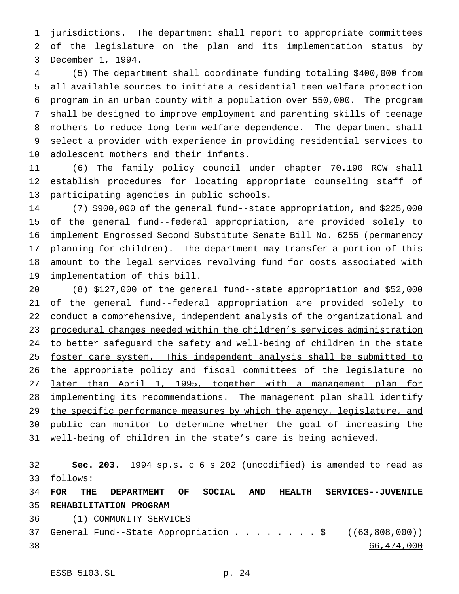jurisdictions. The department shall report to appropriate committees of the legislature on the plan and its implementation status by December 1, 1994.

 (5) The department shall coordinate funding totaling \$400,000 from all available sources to initiate a residential teen welfare protection program in an urban county with a population over 550,000. The program shall be designed to improve employment and parenting skills of teenage mothers to reduce long-term welfare dependence. The department shall select a provider with experience in providing residential services to adolescent mothers and their infants.

 (6) The family policy council under chapter 70.190 RCW shall establish procedures for locating appropriate counseling staff of participating agencies in public schools.

 (7) \$900,000 of the general fund--state appropriation, and \$225,000 of the general fund--federal appropriation, are provided solely to implement Engrossed Second Substitute Senate Bill No. 6255 (permanency planning for children). The department may transfer a portion of this amount to the legal services revolving fund for costs associated with implementation of this bill.

 (8) \$127,000 of the general fund--state appropriation and \$52,000 of the general fund--federal appropriation are provided solely to conduct a comprehensive, independent analysis of the organizational and procedural changes needed within the children's services administration 24 to better safeguard the safety and well-being of children in the state foster care system. This independent analysis shall be submitted to 26 the appropriate policy and fiscal committees of the legislature no later than April 1, 1995, together with a management plan for implementing its recommendations. The management plan shall identify 29 the specific performance measures by which the agency, legislature, and public can monitor to determine whether the goal of increasing the well-being of children in the state's care is being achieved.

 **Sec. 203.** 1994 sp.s. c 6 s 202 (uncodified) is amended to read as follows:

 **FOR THE DEPARTMENT OF SOCIAL AND HEALTH SERVICES--JUVENILE REHABILITATION PROGRAM**

(1) COMMUNITY SERVICES

37 General Fund--State Appropriation . . . . . . . \$ ((63,808,000)) 66,474,000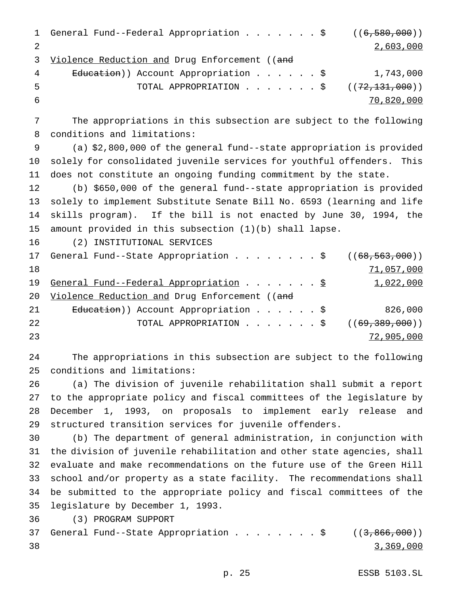```
1 General Fund--Federal Appropriation . . . . . . $ ((6,580,000))
2 2,603,000
3 Violence Reduction and Drug Enforcement ((and
4 Education)) Account Appropriation . . . . . $ 1,743,000
5 TOTAL APPROPRIATION . . . . . . $ ((72,131,000))
6 70,820,000
```
 The appropriations in this subsection are subject to the following conditions and limitations:

 (a) \$2,800,000 of the general fund--state appropriation is provided solely for consolidated juvenile services for youthful offenders. This does not constitute an ongoing funding commitment by the state.

 (b) \$650,000 of the general fund--state appropriation is provided solely to implement Substitute Senate Bill No. 6593 (learning and life skills program). If the bill is not enacted by June 30, 1994, the amount provided in this subsection (1)(b) shall lapse.

(2) INSTITUTIONAL SERVICES

|    | 17 General Fund--State Appropriation \$ $((68,563,000))$            |            |
|----|---------------------------------------------------------------------|------------|
| 18 |                                                                     | 71,057,000 |
| 19 | <u>General Fund--Federal Appropriation</u> \$                       | 1,022,000  |
| 20 | Violence Reduction and Drug Enforcement ((and                       |            |
| 21 | Education)) Account Appropriation \$                                | 826,000    |
| 22 | TOTAL APPROPRIATION $\ldots$ , $\ldots$ , $\ddot{S}$ ((69,389,000)) |            |
| 23 |                                                                     | 72,905,000 |

 The appropriations in this subsection are subject to the following conditions and limitations:

 (a) The division of juvenile rehabilitation shall submit a report to the appropriate policy and fiscal committees of the legislature by December 1, 1993, on proposals to implement early release and structured transition services for juvenile offenders.

 (b) The department of general administration, in conjunction with the division of juvenile rehabilitation and other state agencies, shall evaluate and make recommendations on the future use of the Green Hill school and/or property as a state facility. The recommendations shall be submitted to the appropriate policy and fiscal committees of the legislature by December 1, 1993.

(3) PROGRAM SUPPORT

```
37 General Fund--State Appropriation . . . . . . . $ ((3,866,000))38 38 369,000
```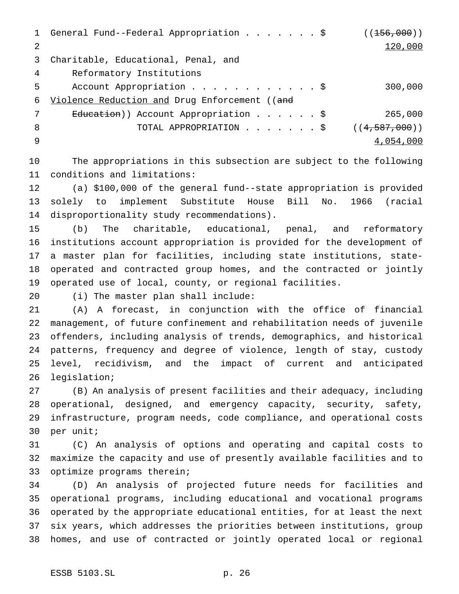1 General Fund--Federal Appropriation . . . . . . \$ ((156,000)) 2 120,000 Charitable, Educational, Penal, and Reformatory Institutions 5 Account Appropriation . . . . . . . . . . . \$ 300,000 Violence Reduction and Drug Enforcement ((and 7 Education)) Account Appropriation . . . . . \$ 265,000 8 TOTAL APPROPRIATION . . . . . . \$ ((4,587,000)) 9 54,054,000 and  $\frac{4,054,000}{2}$ 

 The appropriations in this subsection are subject to the following conditions and limitations:

 (a) \$100,000 of the general fund--state appropriation is provided solely to implement Substitute House Bill No. 1966 (racial disproportionality study recommendations).

 (b) The charitable, educational, penal, and reformatory institutions account appropriation is provided for the development of a master plan for facilities, including state institutions, state- operated and contracted group homes, and the contracted or jointly operated use of local, county, or regional facilities.

(i) The master plan shall include:

 (A) A forecast, in conjunction with the office of financial management, of future confinement and rehabilitation needs of juvenile offenders, including analysis of trends, demographics, and historical patterns, frequency and degree of violence, length of stay, custody level, recidivism, and the impact of current and anticipated legislation;

 (B) An analysis of present facilities and their adequacy, including operational, designed, and emergency capacity, security, safety, infrastructure, program needs, code compliance, and operational costs per unit;

 (C) An analysis of options and operating and capital costs to maximize the capacity and use of presently available facilities and to optimize programs therein;

 (D) An analysis of projected future needs for facilities and operational programs, including educational and vocational programs operated by the appropriate educational entities, for at least the next six years, which addresses the priorities between institutions, group homes, and use of contracted or jointly operated local or regional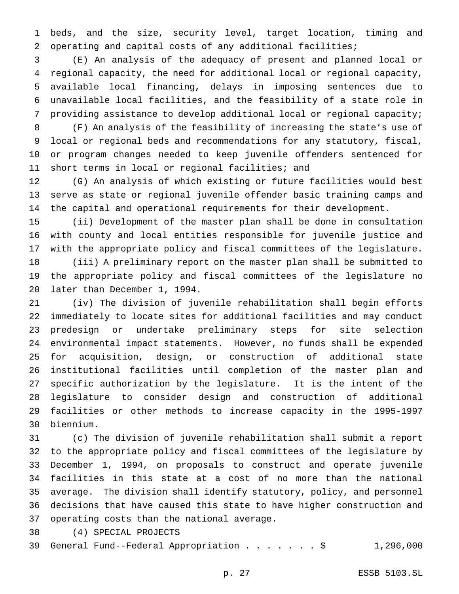beds, and the size, security level, target location, timing and operating and capital costs of any additional facilities;

 (E) An analysis of the adequacy of present and planned local or regional capacity, the need for additional local or regional capacity, available local financing, delays in imposing sentences due to unavailable local facilities, and the feasibility of a state role in providing assistance to develop additional local or regional capacity;

 (F) An analysis of the feasibility of increasing the state's use of local or regional beds and recommendations for any statutory, fiscal, or program changes needed to keep juvenile offenders sentenced for short terms in local or regional facilities; and

 (G) An analysis of which existing or future facilities would best serve as state or regional juvenile offender basic training camps and the capital and operational requirements for their development.

 (ii) Development of the master plan shall be done in consultation with county and local entities responsible for juvenile justice and with the appropriate policy and fiscal committees of the legislature.

 (iii) A preliminary report on the master plan shall be submitted to the appropriate policy and fiscal committees of the legislature no later than December 1, 1994.

 (iv) The division of juvenile rehabilitation shall begin efforts immediately to locate sites for additional facilities and may conduct predesign or undertake preliminary steps for site selection environmental impact statements. However, no funds shall be expended for acquisition, design, or construction of additional state institutional facilities until completion of the master plan and specific authorization by the legislature. It is the intent of the legislature to consider design and construction of additional facilities or other methods to increase capacity in the 1995-1997 biennium.

 (c) The division of juvenile rehabilitation shall submit a report to the appropriate policy and fiscal committees of the legislature by December 1, 1994, on proposals to construct and operate juvenile facilities in this state at a cost of no more than the national average. The division shall identify statutory, policy, and personnel decisions that have caused this state to have higher construction and operating costs than the national average.

(4) SPECIAL PROJECTS

39 General Fund--Federal Appropriation . . . . . . \$ 1,296,000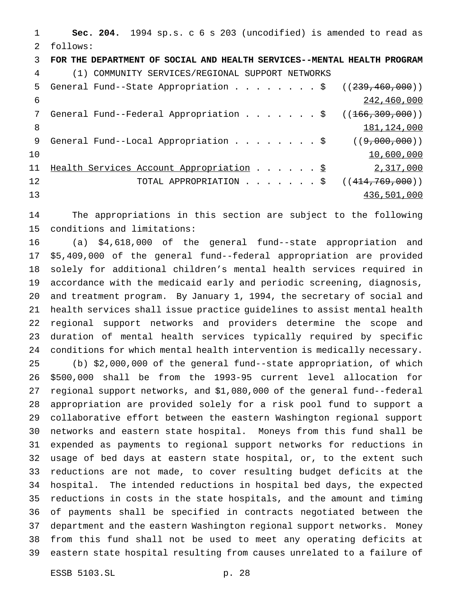**Sec. 204.** 1994 sp.s. c 6 s 203 (uncodified) is amended to read as follows: **FOR THE DEPARTMENT OF SOCIAL AND HEALTH SERVICES--MENTAL HEALTH PROGRAM** (1) COMMUNITY SERVICES/REGIONAL SUPPORT NETWORKS 5 General Fund--State Appropriation . . . . . . . \$  $((239, 460, 000))$  242,460,000 7 General Fund--Federal Appropriation . . . . . . \$ ((166,309,000)) 8 181,124,000 9 General Fund--Local Appropriation . . . . . . . \$ ((9,000,000))  $10\,$   $10\,$ ,600,000 11 Health Services Account Appropriation . . . . . \$ 2,317,000 12 TOTAL APPROPRIATION . . . . . . \$ ((414,769,000)) 436,501,000

 The appropriations in this section are subject to the following conditions and limitations:

 (a) \$4,618,000 of the general fund--state appropriation and \$5,409,000 of the general fund--federal appropriation are provided solely for additional children's mental health services required in accordance with the medicaid early and periodic screening, diagnosis, and treatment program. By January 1, 1994, the secretary of social and health services shall issue practice guidelines to assist mental health regional support networks and providers determine the scope and duration of mental health services typically required by specific conditions for which mental health intervention is medically necessary.

 (b) \$2,000,000 of the general fund--state appropriation, of which \$500,000 shall be from the 1993-95 current level allocation for regional support networks, and \$1,080,000 of the general fund--federal appropriation are provided solely for a risk pool fund to support a collaborative effort between the eastern Washington regional support networks and eastern state hospital. Moneys from this fund shall be expended as payments to regional support networks for reductions in usage of bed days at eastern state hospital, or, to the extent such reductions are not made, to cover resulting budget deficits at the hospital. The intended reductions in hospital bed days, the expected reductions in costs in the state hospitals, and the amount and timing of payments shall be specified in contracts negotiated between the department and the eastern Washington regional support networks. Money from this fund shall not be used to meet any operating deficits at eastern state hospital resulting from causes unrelated to a failure of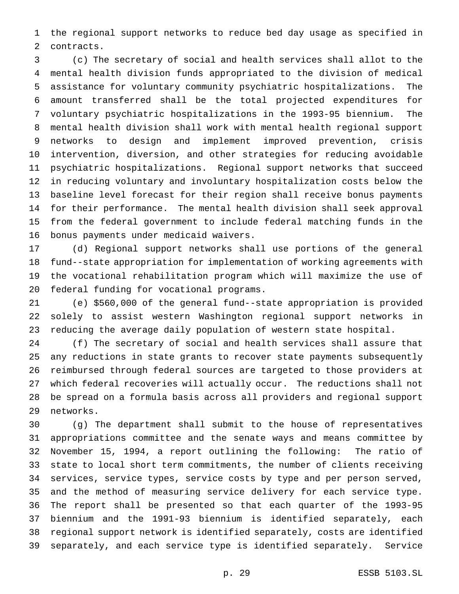the regional support networks to reduce bed day usage as specified in contracts.

 (c) The secretary of social and health services shall allot to the mental health division funds appropriated to the division of medical assistance for voluntary community psychiatric hospitalizations. The amount transferred shall be the total projected expenditures for voluntary psychiatric hospitalizations in the 1993-95 biennium. The mental health division shall work with mental health regional support networks to design and implement improved prevention, crisis intervention, diversion, and other strategies for reducing avoidable psychiatric hospitalizations. Regional support networks that succeed in reducing voluntary and involuntary hospitalization costs below the baseline level forecast for their region shall receive bonus payments for their performance. The mental health division shall seek approval from the federal government to include federal matching funds in the bonus payments under medicaid waivers.

 (d) Regional support networks shall use portions of the general fund--state appropriation for implementation of working agreements with the vocational rehabilitation program which will maximize the use of federal funding for vocational programs.

 (e) \$560,000 of the general fund--state appropriation is provided solely to assist western Washington regional support networks in reducing the average daily population of western state hospital.

 (f) The secretary of social and health services shall assure that any reductions in state grants to recover state payments subsequently reimbursed through federal sources are targeted to those providers at which federal recoveries will actually occur. The reductions shall not be spread on a formula basis across all providers and regional support networks.

 (g) The department shall submit to the house of representatives appropriations committee and the senate ways and means committee by November 15, 1994, a report outlining the following: The ratio of state to local short term commitments, the number of clients receiving services, service types, service costs by type and per person served, and the method of measuring service delivery for each service type. The report shall be presented so that each quarter of the 1993-95 biennium and the 1991-93 biennium is identified separately, each regional support network is identified separately, costs are identified separately, and each service type is identified separately. Service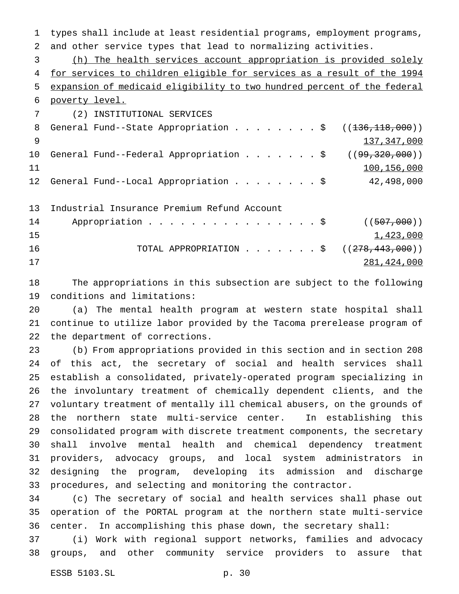types shall include at least residential programs, employment programs, and other service types that lead to normalizing activities. (h) The health services account appropriation is provided solely for services to children eligible for services as a result of the 1994 expansion of medicaid eligibility to two hundred percent of the federal poverty level. (2) INSTITUTIONAL SERVICES 8 General Fund--State Appropriation . . . . . . . \$ ((136,118,000)) 137,347,000 10 General Fund--Federal Appropriation . . . . . . \$ ((99,320,000)) 11 11 100,156,000 General Fund--Local Appropriation........\$ 42,498,000 Industrial Insurance Premium Refund Account 14 Appropriation . . . . . . . . . . . . . . \$ ((507,000))  $1,423,000$ 16 TOTAL APPROPRIATION . . . . . . \$ ((<del>278,443,000</del>)) 281,424,000

 The appropriations in this subsection are subject to the following conditions and limitations:

 (a) The mental health program at western state hospital shall continue to utilize labor provided by the Tacoma prerelease program of the department of corrections.

 (b) From appropriations provided in this section and in section 208 of this act, the secretary of social and health services shall establish a consolidated, privately-operated program specializing in the involuntary treatment of chemically dependent clients, and the voluntary treatment of mentally ill chemical abusers, on the grounds of the northern state multi-service center. In establishing this consolidated program with discrete treatment components, the secretary shall involve mental health and chemical dependency treatment providers, advocacy groups, and local system administrators in designing the program, developing its admission and discharge procedures, and selecting and monitoring the contractor.

 (c) The secretary of social and health services shall phase out operation of the PORTAL program at the northern state multi-service center. In accomplishing this phase down, the secretary shall:

 (i) Work with regional support networks, families and advocacy groups, and other community service providers to assure that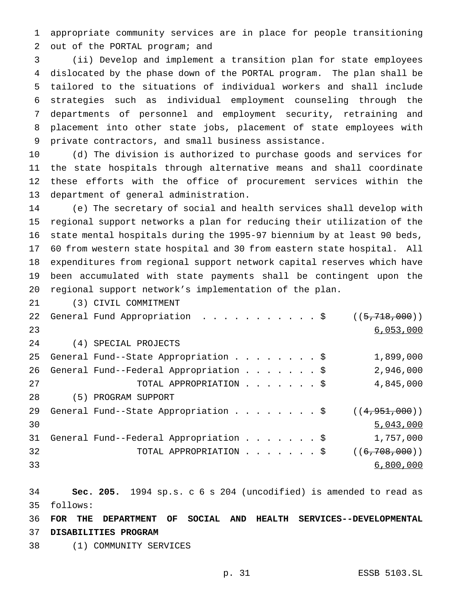appropriate community services are in place for people transitioning out of the PORTAL program; and

 (ii) Develop and implement a transition plan for state employees dislocated by the phase down of the PORTAL program. The plan shall be tailored to the situations of individual workers and shall include strategies such as individual employment counseling through the departments of personnel and employment security, retraining and placement into other state jobs, placement of state employees with private contractors, and small business assistance.

 (d) The division is authorized to purchase goods and services for the state hospitals through alternative means and shall coordinate these efforts with the office of procurement services within the department of general administration.

 (e) The secretary of social and health services shall develop with regional support networks a plan for reducing their utilization of the state mental hospitals during the 1995-97 biennium by at least 90 beds, 60 from western state hospital and 30 from eastern state hospital. All expenditures from regional support network capital reserves which have been accumulated with state payments shall be contingent upon the regional support network's implementation of the plan.

(3) CIVIL COMMITMENT

|    | 22 General Fund Appropriation \$       | ((5, 718, 000)) |
|----|----------------------------------------|-----------------|
| 23 |                                        | 6,053,000       |
| 24 | (4) SPECIAL PROJECTS                   |                 |
| 25 | General Fund--State Appropriation \$   | 1,899,000       |
| 26 | General Fund--Federal Appropriation \$ | 2,946,000       |
| 27 | TOTAL APPROPRIATION \$                 | 4,845,000       |
| 28 | (5) PROGRAM SUPPORT                    |                 |
| 29 | General Fund--State Appropriation \$   | ((4, 951, 000)) |
| 30 |                                        | 5,043,000       |
| 31 | General Fund--Federal Appropriation \$ | 1,757,000       |
| 32 | TOTAL APPROPRIATION \$                 | ((6, 708, 000)) |
| 33 |                                        | 6,800,000       |

 **Sec. 205.** 1994 sp.s. c 6 s 204 (uncodified) is amended to read as follows:

 **FOR THE DEPARTMENT OF SOCIAL AND HEALTH SERVICES--DEVELOPMENTAL DISABILITIES PROGRAM**

(1) COMMUNITY SERVICES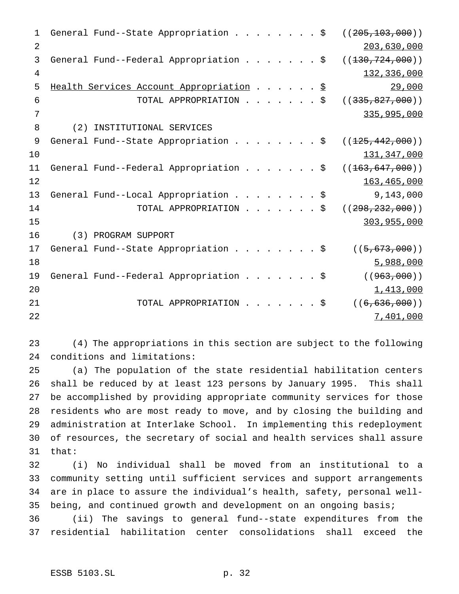| $\mathbf 1$    |     | General Fund--State Appropriation \$            |                        |  |  |  |  | ( (205, 103, 000) ) |
|----------------|-----|-------------------------------------------------|------------------------|--|--|--|--|---------------------|
| 2              |     |                                                 |                        |  |  |  |  | 203,630,000         |
| 3              |     | General Fund--Federal Appropriation \$          |                        |  |  |  |  | ((130, 724, 000))   |
| $\overline{4}$ |     |                                                 |                        |  |  |  |  | 132,336,000         |
| 5              |     | Health Services Account Appropriation \$        |                        |  |  |  |  | 29,000              |
| 6              |     |                                                 | TOTAL APPROPRIATION \$ |  |  |  |  | ( (335, 827, 000))  |
| 7              |     |                                                 |                        |  |  |  |  | 335,995,000         |
| 8              | (2) | INSTITUTIONAL SERVICES                          |                        |  |  |  |  |                     |
| 9              |     | General Fund--State Appropriation \$            |                        |  |  |  |  | ((125, 442, 000))   |
| 10             |     |                                                 |                        |  |  |  |  | 131,347,000         |
| 11             |     | General Fund--Federal Appropriation \$          |                        |  |  |  |  | ((163, 647, 000))   |
| 12             |     |                                                 |                        |  |  |  |  | 163,465,000         |
| 13             |     | General Fund--Local Appropriation $\frac{1}{5}$ |                        |  |  |  |  | 9,143,000           |
| 14             |     |                                                 | TOTAL APPROPRIATION \$ |  |  |  |  | ( (298, 232, 000) ) |
| 15             |     |                                                 |                        |  |  |  |  | 303,955,000         |
| 16             |     | (3) PROGRAM SUPPORT                             |                        |  |  |  |  |                     |
| 17             |     | General Fund--State Appropriation \$            |                        |  |  |  |  | ((5, 673, 000))     |
| 18             |     |                                                 |                        |  |  |  |  | 5,988,000           |
| 19             |     | General Fund--Federal Appropriation \$          |                        |  |  |  |  | ( (963,000) )       |
| 20             |     |                                                 |                        |  |  |  |  | 1,413,000           |
| 21             |     |                                                 | TOTAL APPROPRIATION \$ |  |  |  |  | ((6, 636, 000))     |
| 22             |     |                                                 |                        |  |  |  |  | 7,401,000           |

 (4) The appropriations in this section are subject to the following conditions and limitations:

 (a) The population of the state residential habilitation centers shall be reduced by at least 123 persons by January 1995. This shall be accomplished by providing appropriate community services for those residents who are most ready to move, and by closing the building and administration at Interlake School. In implementing this redeployment of resources, the secretary of social and health services shall assure that:

 (i) No individual shall be moved from an institutional to a community setting until sufficient services and support arrangements are in place to assure the individual's health, safety, personal well-being, and continued growth and development on an ongoing basis;

 (ii) The savings to general fund--state expenditures from the residential habilitation center consolidations shall exceed the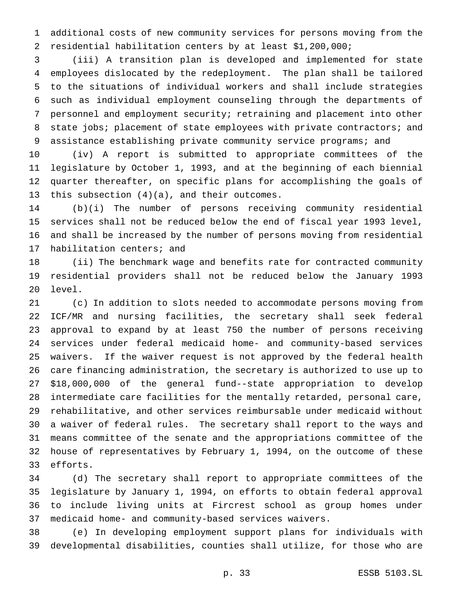additional costs of new community services for persons moving from the residential habilitation centers by at least \$1,200,000;

 (iii) A transition plan is developed and implemented for state employees dislocated by the redeployment. The plan shall be tailored to the situations of individual workers and shall include strategies such as individual employment counseling through the departments of personnel and employment security; retraining and placement into other 8 state jobs; placement of state employees with private contractors; and 9 assistance establishing private community service programs; and

 (iv) A report is submitted to appropriate committees of the legislature by October 1, 1993, and at the beginning of each biennial quarter thereafter, on specific plans for accomplishing the goals of this subsection (4)(a), and their outcomes.

 (b)(i) The number of persons receiving community residential services shall not be reduced below the end of fiscal year 1993 level, and shall be increased by the number of persons moving from residential habilitation centers; and

 (ii) The benchmark wage and benefits rate for contracted community residential providers shall not be reduced below the January 1993 level.

 (c) In addition to slots needed to accommodate persons moving from ICF/MR and nursing facilities, the secretary shall seek federal approval to expand by at least 750 the number of persons receiving services under federal medicaid home- and community-based services waivers. If the waiver request is not approved by the federal health care financing administration, the secretary is authorized to use up to \$18,000,000 of the general fund--state appropriation to develop intermediate care facilities for the mentally retarded, personal care, rehabilitative, and other services reimbursable under medicaid without a waiver of federal rules. The secretary shall report to the ways and means committee of the senate and the appropriations committee of the house of representatives by February 1, 1994, on the outcome of these efforts.

 (d) The secretary shall report to appropriate committees of the legislature by January 1, 1994, on efforts to obtain federal approval to include living units at Fircrest school as group homes under medicaid home- and community-based services waivers.

 (e) In developing employment support plans for individuals with developmental disabilities, counties shall utilize, for those who are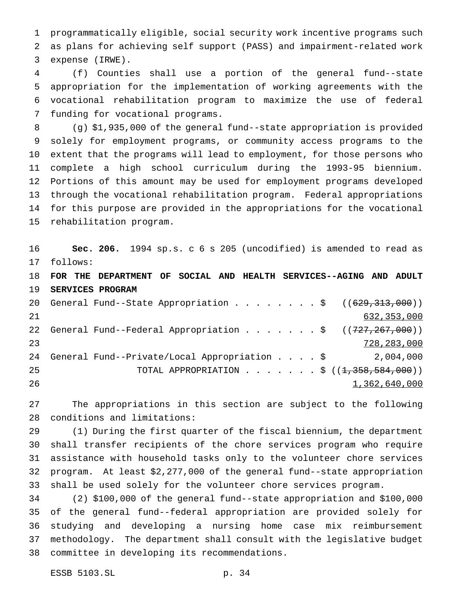programmatically eligible, social security work incentive programs such as plans for achieving self support (PASS) and impairment-related work expense (IRWE).

 (f) Counties shall use a portion of the general fund--state appropriation for the implementation of working agreements with the vocational rehabilitation program to maximize the use of federal funding for vocational programs.

 (g) \$1,935,000 of the general fund--state appropriation is provided solely for employment programs, or community access programs to the extent that the programs will lead to employment, for those persons who complete a high school curriculum during the 1993-95 biennium. Portions of this amount may be used for employment programs developed through the vocational rehabilitation program. Federal appropriations for this purpose are provided in the appropriations for the vocational rehabilitation program.

 **Sec. 206.** 1994 sp.s. c 6 s 205 (uncodified) is amended to read as follows:

 **FOR THE DEPARTMENT OF SOCIAL AND HEALTH SERVICES--AGING AND ADULT SERVICES PROGRAM** 20 General Fund--State Appropriation . . . . . . . \$ ((<del>629,313,000</del>)) 632,353,000 22 General Fund--Federal Appropriation . . . . . . \$ ((727,267,000)) 728,283,000 General Fund--Private/Local Appropriation....\$ 2,004,000 25 TOTAL APPROPRIATION . . . . . . \$ ((1,358,584,000))

1,362,640,000

 The appropriations in this section are subject to the following conditions and limitations:

 (1) During the first quarter of the fiscal biennium, the department shall transfer recipients of the chore services program who require assistance with household tasks only to the volunteer chore services program. At least \$2,277,000 of the general fund--state appropriation shall be used solely for the volunteer chore services program.

 (2) \$100,000 of the general fund--state appropriation and \$100,000 of the general fund--federal appropriation are provided solely for studying and developing a nursing home case mix reimbursement methodology. The department shall consult with the legislative budget committee in developing its recommendations.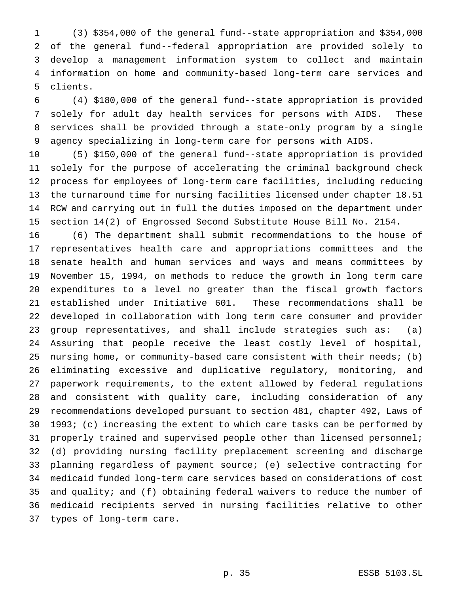(3) \$354,000 of the general fund--state appropriation and \$354,000 of the general fund--federal appropriation are provided solely to develop a management information system to collect and maintain information on home and community-based long-term care services and clients.

 (4) \$180,000 of the general fund--state appropriation is provided solely for adult day health services for persons with AIDS. These services shall be provided through a state-only program by a single agency specializing in long-term care for persons with AIDS.

 (5) \$150,000 of the general fund--state appropriation is provided solely for the purpose of accelerating the criminal background check process for employees of long-term care facilities, including reducing the turnaround time for nursing facilities licensed under chapter 18.51 RCW and carrying out in full the duties imposed on the department under section 14(2) of Engrossed Second Substitute House Bill No. 2154.

 (6) The department shall submit recommendations to the house of representatives health care and appropriations committees and the senate health and human services and ways and means committees by November 15, 1994, on methods to reduce the growth in long term care expenditures to a level no greater than the fiscal growth factors established under Initiative 601. These recommendations shall be developed in collaboration with long term care consumer and provider group representatives, and shall include strategies such as: (a) Assuring that people receive the least costly level of hospital, nursing home, or community-based care consistent with their needs; (b) eliminating excessive and duplicative regulatory, monitoring, and paperwork requirements, to the extent allowed by federal regulations and consistent with quality care, including consideration of any recommendations developed pursuant to section 481, chapter 492, Laws of 1993; (c) increasing the extent to which care tasks can be performed by properly trained and supervised people other than licensed personnel; (d) providing nursing facility preplacement screening and discharge planning regardless of payment source; (e) selective contracting for medicaid funded long-term care services based on considerations of cost and quality; and (f) obtaining federal waivers to reduce the number of medicaid recipients served in nursing facilities relative to other types of long-term care.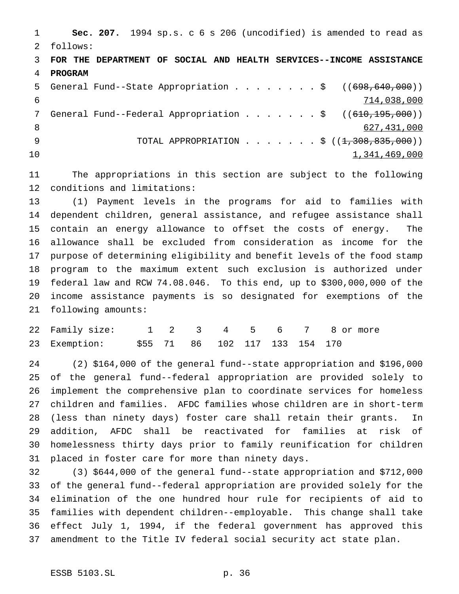**Sec. 207.** 1994 sp.s. c 6 s 206 (uncodified) is amended to read as follows: **FOR THE DEPARTMENT OF SOCIAL AND HEALTH SERVICES--INCOME ASSISTANCE PROGRAM** 5 General Fund--State Appropriation . . . . . . . \$ ((698,640,000)) 714,038,000 7 General Fund--Federal Appropriation . . . . . . \$ ((610,195,000)) 627,431,000 9 TOTAL APPROPRIATION . . . . . . \$ ((1,308,835,000))  $1,341,469,000$ 

 The appropriations in this section are subject to the following conditions and limitations:

 (1) Payment levels in the programs for aid to families with dependent children, general assistance, and refugee assistance shall contain an energy allowance to offset the costs of energy. The allowance shall be excluded from consideration as income for the purpose of determining eligibility and benefit levels of the food stamp program to the maximum extent such exclusion is authorized under federal law and RCW 74.08.046. To this end, up to \$300,000,000 of the income assistance payments is so designated for exemptions of the following amounts:

| 22 Family size: 1 2 3 4 5 6 7 8 or more      |  |  |  |  |  |
|----------------------------------------------|--|--|--|--|--|
| 23 Exemption: \$55 71 86 102 117 133 154 170 |  |  |  |  |  |

 (2) \$164,000 of the general fund--state appropriation and \$196,000 of the general fund--federal appropriation are provided solely to implement the comprehensive plan to coordinate services for homeless children and families. AFDC families whose children are in short-term (less than ninety days) foster care shall retain their grants. In addition, AFDC shall be reactivated for families at risk of homelessness thirty days prior to family reunification for children placed in foster care for more than ninety days.

 (3) \$644,000 of the general fund--state appropriation and \$712,000 of the general fund--federal appropriation are provided solely for the elimination of the one hundred hour rule for recipients of aid to families with dependent children--employable. This change shall take effect July 1, 1994, if the federal government has approved this amendment to the Title IV federal social security act state plan.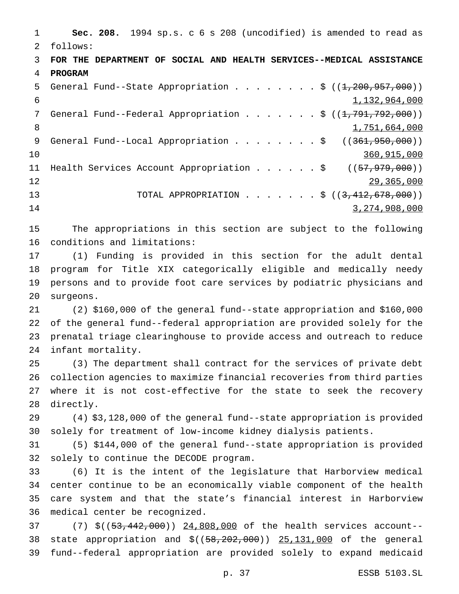**Sec. 208.** 1994 sp.s. c 6 s 208 (uncodified) is amended to read as follows: **FOR THE DEPARTMENT OF SOCIAL AND HEALTH SERVICES--MEDICAL ASSISTANCE PROGRAM** 5 General Fund--State Appropriation . . . . . . . \$ ((1,200,957,000)) 1,132,964,000 7 General Fund--Federal Appropriation . . . . . . \$ ((1,791,792,000)) 8 1,751,664,000 9 General Fund--Local Appropriation . . . . . . . \$ ((361,950,000)) 360,915,000 11 Health Services Account Appropriation . . . . . \$ ((57,979,000)) 29,365,000 13 TOTAL APPROPRIATION . . . . . . \$ ((3,412,678,000)) 3,274,908,000 The appropriations in this section are subject to the following conditions and limitations:

 (1) Funding is provided in this section for the adult dental program for Title XIX categorically eligible and medically needy persons and to provide foot care services by podiatric physicians and surgeons.

 (2) \$160,000 of the general fund--state appropriation and \$160,000 of the general fund--federal appropriation are provided solely for the prenatal triage clearinghouse to provide access and outreach to reduce infant mortality.

 (3) The department shall contract for the services of private debt collection agencies to maximize financial recoveries from third parties where it is not cost-effective for the state to seek the recovery directly.

 (4) \$3,128,000 of the general fund--state appropriation is provided solely for treatment of low-income kidney dialysis patients.

 (5) \$144,000 of the general fund--state appropriation is provided solely to continue the DECODE program.

 (6) It is the intent of the legislature that Harborview medical center continue to be an economically viable component of the health care system and that the state's financial interest in Harborview medical center be recognized.

37 (7) \$((53,442,000)) 24,808,000 of the health services account--38 state appropriation and  $$((58, 202, 000))$  25, 131, 000 of the general fund--federal appropriation are provided solely to expand medicaid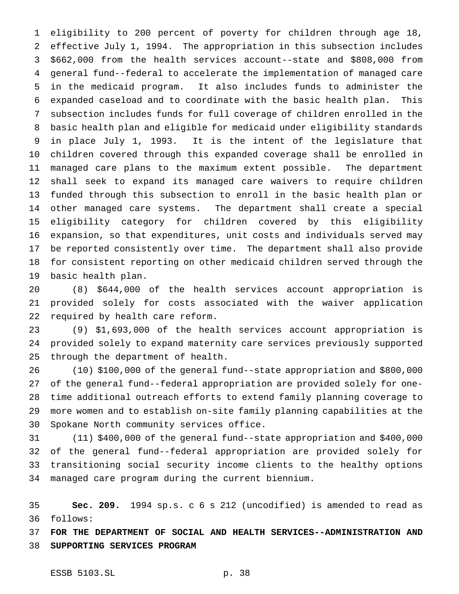eligibility to 200 percent of poverty for children through age 18, effective July 1, 1994. The appropriation in this subsection includes \$662,000 from the health services account--state and \$808,000 from general fund--federal to accelerate the implementation of managed care in the medicaid program. It also includes funds to administer the expanded caseload and to coordinate with the basic health plan. This subsection includes funds for full coverage of children enrolled in the basic health plan and eligible for medicaid under eligibility standards in place July 1, 1993. It is the intent of the legislature that children covered through this expanded coverage shall be enrolled in managed care plans to the maximum extent possible. The department shall seek to expand its managed care waivers to require children funded through this subsection to enroll in the basic health plan or other managed care systems. The department shall create a special eligibility category for children covered by this eligibility expansion, so that expenditures, unit costs and individuals served may be reported consistently over time. The department shall also provide for consistent reporting on other medicaid children served through the basic health plan.

 (8) \$644,000 of the health services account appropriation is provided solely for costs associated with the waiver application required by health care reform.

 (9) \$1,693,000 of the health services account appropriation is provided solely to expand maternity care services previously supported through the department of health.

 (10) \$100,000 of the general fund--state appropriation and \$800,000 of the general fund--federal appropriation are provided solely for one- time additional outreach efforts to extend family planning coverage to more women and to establish on-site family planning capabilities at the Spokane North community services office.

 (11) \$400,000 of the general fund--state appropriation and \$400,000 of the general fund--federal appropriation are provided solely for transitioning social security income clients to the healthy options managed care program during the current biennium.

 **Sec. 209.** 1994 sp.s. c 6 s 212 (uncodified) is amended to read as follows:

 **FOR THE DEPARTMENT OF SOCIAL AND HEALTH SERVICES--ADMINISTRATION AND SUPPORTING SERVICES PROGRAM**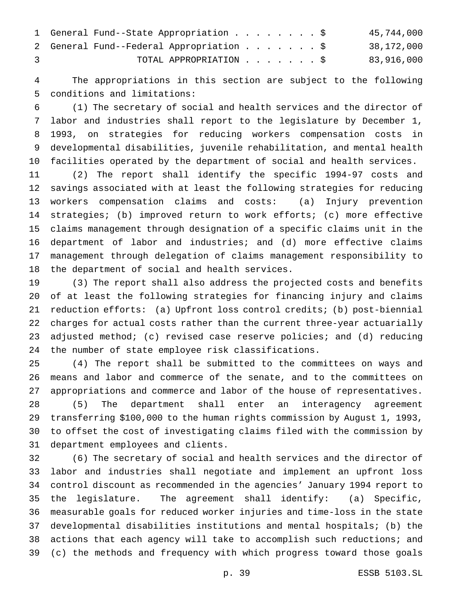|    | 1 General Fund--State Appropriation \$   | 45,744,000 |
|----|------------------------------------------|------------|
|    | 2 General Fund--Federal Appropriation \$ | 38,172,000 |
| 3. | TOTAL APPROPRIATION \$                   | 83,916,000 |

 The appropriations in this section are subject to the following conditions and limitations:

 (1) The secretary of social and health services and the director of labor and industries shall report to the legislature by December 1, 1993, on strategies for reducing workers compensation costs in developmental disabilities, juvenile rehabilitation, and mental health facilities operated by the department of social and health services.

 (2) The report shall identify the specific 1994-97 costs and savings associated with at least the following strategies for reducing workers compensation claims and costs: (a) Injury prevention strategies; (b) improved return to work efforts; (c) more effective claims management through designation of a specific claims unit in the department of labor and industries; and (d) more effective claims management through delegation of claims management responsibility to the department of social and health services.

 (3) The report shall also address the projected costs and benefits of at least the following strategies for financing injury and claims reduction efforts: (a) Upfront loss control credits; (b) post-biennial charges for actual costs rather than the current three-year actuarially adjusted method; (c) revised case reserve policies; and (d) reducing the number of state employee risk classifications.

 (4) The report shall be submitted to the committees on ways and means and labor and commerce of the senate, and to the committees on appropriations and commerce and labor of the house of representatives. (5) The department shall enter an interagency agreement transferring \$100,000 to the human rights commission by August 1, 1993, to offset the cost of investigating claims filed with the commission by department employees and clients.

 (6) The secretary of social and health services and the director of labor and industries shall negotiate and implement an upfront loss control discount as recommended in the agencies' January 1994 report to the legislature. The agreement shall identify: (a) Specific, measurable goals for reduced worker injuries and time-loss in the state developmental disabilities institutions and mental hospitals; (b) the actions that each agency will take to accomplish such reductions; and (c) the methods and frequency with which progress toward those goals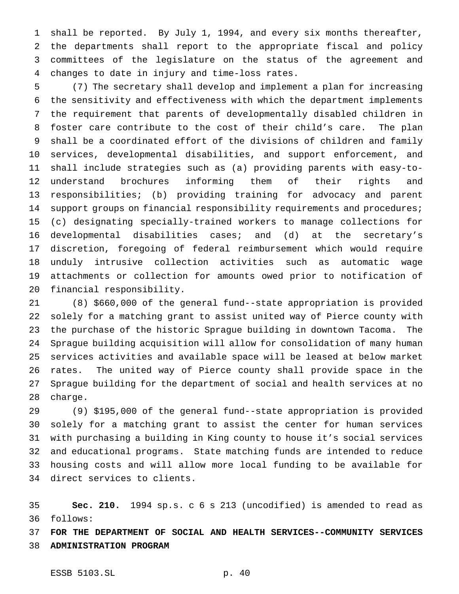shall be reported. By July 1, 1994, and every six months thereafter, the departments shall report to the appropriate fiscal and policy committees of the legislature on the status of the agreement and changes to date in injury and time-loss rates.

 (7) The secretary shall develop and implement a plan for increasing the sensitivity and effectiveness with which the department implements the requirement that parents of developmentally disabled children in foster care contribute to the cost of their child's care. The plan shall be a coordinated effort of the divisions of children and family services, developmental disabilities, and support enforcement, and shall include strategies such as (a) providing parents with easy-to- understand brochures informing them of their rights and responsibilities; (b) providing training for advocacy and parent 14 support groups on financial responsibility requirements and procedures; (c) designating specially-trained workers to manage collections for developmental disabilities cases; and (d) at the secretary's discretion, foregoing of federal reimbursement which would require unduly intrusive collection activities such as automatic wage attachments or collection for amounts owed prior to notification of financial responsibility.

 (8) \$660,000 of the general fund--state appropriation is provided solely for a matching grant to assist united way of Pierce county with the purchase of the historic Sprague building in downtown Tacoma. The Sprague building acquisition will allow for consolidation of many human services activities and available space will be leased at below market rates. The united way of Pierce county shall provide space in the Sprague building for the department of social and health services at no charge.

 (9) \$195,000 of the general fund--state appropriation is provided solely for a matching grant to assist the center for human services with purchasing a building in King county to house it's social services and educational programs. State matching funds are intended to reduce housing costs and will allow more local funding to be available for direct services to clients.

 **Sec. 210.** 1994 sp.s. c 6 s 213 (uncodified) is amended to read as follows:

 **FOR THE DEPARTMENT OF SOCIAL AND HEALTH SERVICES--COMMUNITY SERVICES ADMINISTRATION PROGRAM**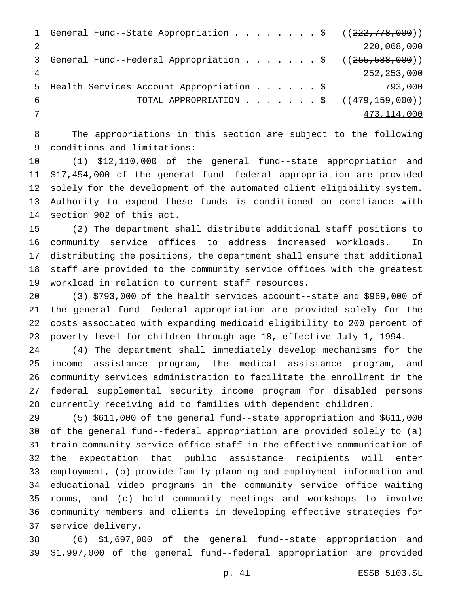|    | 1 General Fund--State Appropriation \$ ((222,778,000))            |               |
|----|-------------------------------------------------------------------|---------------|
|    |                                                                   | 220,068,000   |
| 3  | General Fund--Federal Appropriation $\frac{1}{5}$ ((255,588,000)) |               |
|    |                                                                   | 252, 253, 000 |
| 5  | Health Services Account Appropriation \$ 793,000                  |               |
| -6 | TOTAL APPROPRIATION ( $(479, 159, 000)$ )                         |               |
|    |                                                                   | 473,114,000   |
|    |                                                                   |               |

 The appropriations in this section are subject to the following conditions and limitations:

 (1) \$12,110,000 of the general fund--state appropriation and \$17,454,000 of the general fund--federal appropriation are provided solely for the development of the automated client eligibility system. Authority to expend these funds is conditioned on compliance with section 902 of this act.

 (2) The department shall distribute additional staff positions to community service offices to address increased workloads. In distributing the positions, the department shall ensure that additional staff are provided to the community service offices with the greatest workload in relation to current staff resources.

 (3) \$793,000 of the health services account--state and \$969,000 of the general fund--federal appropriation are provided solely for the costs associated with expanding medicaid eligibility to 200 percent of poverty level for children through age 18, effective July 1, 1994.

 (4) The department shall immediately develop mechanisms for the income assistance program, the medical assistance program, and community services administration to facilitate the enrollment in the federal supplemental security income program for disabled persons currently receiving aid to families with dependent children.

 (5) \$611,000 of the general fund--state appropriation and \$611,000 of the general fund--federal appropriation are provided solely to (a) train community service office staff in the effective communication of the expectation that public assistance recipients will enter employment, (b) provide family planning and employment information and educational video programs in the community service office waiting rooms, and (c) hold community meetings and workshops to involve community members and clients in developing effective strategies for service delivery.

 (6) \$1,697,000 of the general fund--state appropriation and \$1,997,000 of the general fund--federal appropriation are provided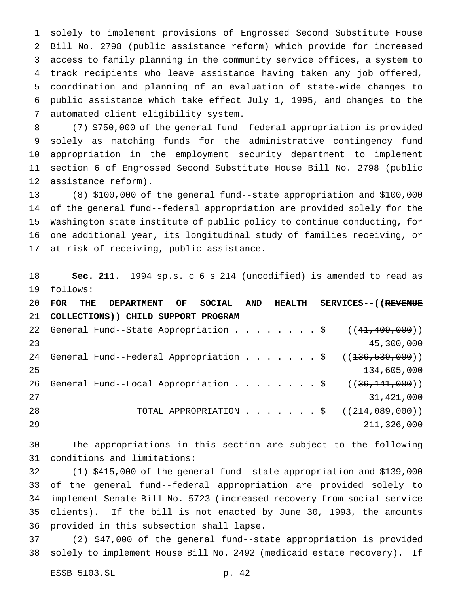solely to implement provisions of Engrossed Second Substitute House Bill No. 2798 (public assistance reform) which provide for increased access to family planning in the community service offices, a system to track recipients who leave assistance having taken any job offered, coordination and planning of an evaluation of state-wide changes to public assistance which take effect July 1, 1995, and changes to the automated client eligibility system.

 (7) \$750,000 of the general fund--federal appropriation is provided solely as matching funds for the administrative contingency fund appropriation in the employment security department to implement section 6 of Engrossed Second Substitute House Bill No. 2798 (public assistance reform).

 (8) \$100,000 of the general fund--state appropriation and \$100,000 of the general fund--federal appropriation are provided solely for the Washington state institute of public policy to continue conducting, for one additional year, its longitudinal study of families receiving, or at risk of receiving, public assistance.

 **Sec. 211.** 1994 sp.s. c 6 s 214 (uncodified) is amended to read as follows:

|    |                                      |  | 20 FOR THE DEPARTMENT OF SOCIAL AND HEALTH SERVICES--((R <del>EVENUE</del> |
|----|--------------------------------------|--|----------------------------------------------------------------------------|
| 21 | COLLECTIONS) ) CHILD SUPPORT PROGRAM |  |                                                                            |
| 22 |                                      |  | General Fund--State Appropriation $\frac{1}{5}$ ((41,409,000))             |
| 23 |                                      |  | 45,300,000                                                                 |
| 24 |                                      |  | General Fund--Federal Appropriation \$ $((136, 539, 000))$                 |
| 25 |                                      |  | 134,605,000                                                                |
| 26 |                                      |  | General Fund--Local Appropriation \$ $((36,141,000))$                      |
| 27 |                                      |  | 31,421,000                                                                 |
| 28 |                                      |  | TOTAL APPROPRIATION \$ $((214,089,000))$                                   |
| 29 |                                      |  | 211,326,000                                                                |

 The appropriations in this section are subject to the following conditions and limitations:

 (1) \$415,000 of the general fund--state appropriation and \$139,000 of the general fund--federal appropriation are provided solely to implement Senate Bill No. 5723 (increased recovery from social service clients). If the bill is not enacted by June 30, 1993, the amounts provided in this subsection shall lapse.

 (2) \$47,000 of the general fund--state appropriation is provided solely to implement House Bill No. 2492 (medicaid estate recovery). If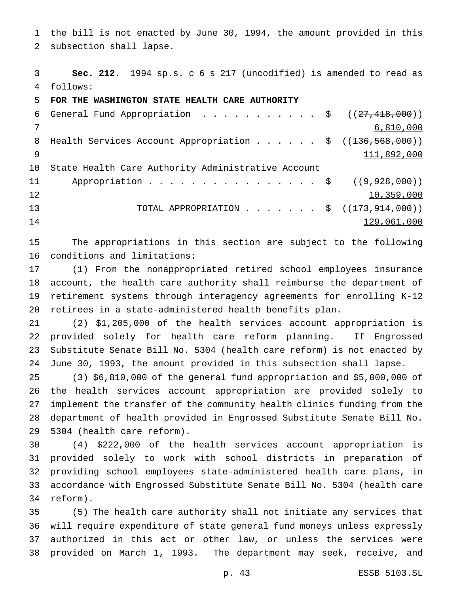the bill is not enacted by June 30, 1994, the amount provided in this subsection shall lapse.

 **Sec. 212.** 1994 sp.s. c 6 s 217 (uncodified) is amended to read as follows:

**FOR THE WASHINGTON STATE HEALTH CARE AUTHORITY**

6 General Fund Appropriation . . . . . . . . . . \$  $((27, 418, 000))$  6,810,000 8 Health Services Account Appropriation . . . . . \$ ((<del>136,568,000</del>)) 111,892,000 State Health Care Authority Administrative Account 11 Appropriation . . . . . . . . . . . . . . . \$ ((9,928,000)) 10,359,000 13 TOTAL APPROPRIATION . . . . . . \$ ((<del>173,914,000</del>)) 129,061,000

 The appropriations in this section are subject to the following conditions and limitations:

 (1) From the nonappropriated retired school employees insurance account, the health care authority shall reimburse the department of retirement systems through interagency agreements for enrolling K-12 retirees in a state-administered health benefits plan.

 (2) \$1,205,000 of the health services account appropriation is provided solely for health care reform planning. If Engrossed Substitute Senate Bill No. 5304 (health care reform) is not enacted by June 30, 1993, the amount provided in this subsection shall lapse.

 (3) \$6,810,000 of the general fund appropriation and \$5,000,000 of the health services account appropriation are provided solely to implement the transfer of the community health clinics funding from the department of health provided in Engrossed Substitute Senate Bill No. 5304 (health care reform).

 (4) \$222,000 of the health services account appropriation is provided solely to work with school districts in preparation of providing school employees state-administered health care plans, in accordance with Engrossed Substitute Senate Bill No. 5304 (health care reform).

 (5) The health care authority shall not initiate any services that will require expenditure of state general fund moneys unless expressly authorized in this act or other law, or unless the services were provided on March 1, 1993. The department may seek, receive, and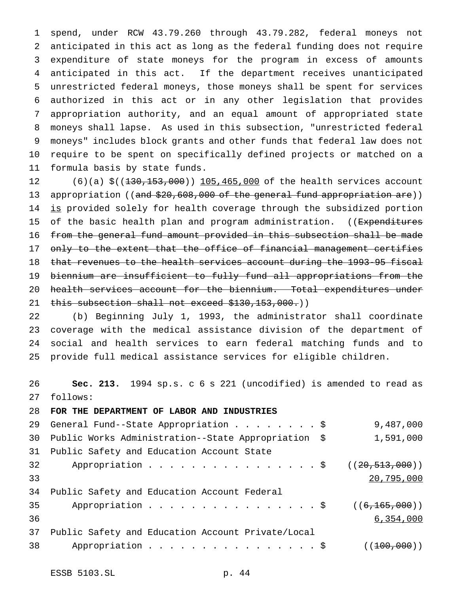spend, under RCW 43.79.260 through 43.79.282, federal moneys not anticipated in this act as long as the federal funding does not require expenditure of state moneys for the program in excess of amounts anticipated in this act. If the department receives unanticipated unrestricted federal moneys, those moneys shall be spent for services authorized in this act or in any other legislation that provides appropriation authority, and an equal amount of appropriated state moneys shall lapse. As used in this subsection, "unrestricted federal moneys" includes block grants and other funds that federal law does not require to be spent on specifically defined projects or matched on a formula basis by state funds.

12 (6)(a)  $\zeta$  ((130, 153, 000)) 105, 465, 000 of the health services account 13 appropriation ((and \$20,608,000 of the general fund appropriation are)) 14 is provided solely for health coverage through the subsidized portion 15 of the basic health plan and program administration. ((Expenditures from the general fund amount provided in this subsection shall be made 17 only to the extent that the office of financial management certifies that revenues to the health services account during the 1993-95 fiscal biennium are insufficient to fully fund all appropriations from the 20 health services account for the biennium. Total expenditures under 21 this subsection shall not exceed \$130,153,000.))

 (b) Beginning July 1, 1993, the administrator shall coordinate coverage with the medical assistance division of the department of social and health services to earn federal matching funds and to provide full medical assistance services for eligible children.

 **Sec. 213.** 1994 sp.s. c 6 s 221 (uncodified) is amended to read as follows:

#### **FOR THE DEPARTMENT OF LABOR AND INDUSTRIES**

|    | 29 General Fund--State Appropriation \$             | 9,487,000        |
|----|-----------------------------------------------------|------------------|
| 30 | Public Works Administration--State Appropriation \$ | 1,591,000        |
| 31 | Public Safety and Education Account State           |                  |
| 32 | Appropriation \$                                    | ((20, 513, 000)) |
| 33 |                                                     | 20,795,000       |
| 34 | Public Safety and Education Account Federal         |                  |
| 35 | Appropriation $\frac{1}{9}$                         | ((6, 165, 000))  |
| 36 |                                                     | 6,354,000        |
| 37 | Public Safety and Education Account Private/Local   |                  |
| 38 | Appropriation \$                                    | ( (100, 000) )   |
|    |                                                     |                  |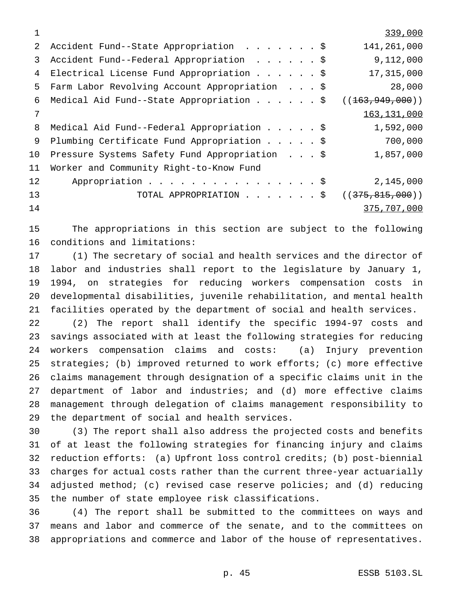|    |                                               | 339,000           |
|----|-----------------------------------------------|-------------------|
| 2  | Accident Fund--State Appropriation \$         | 141,261,000       |
| 3  | Accident Fund--Federal Appropriation \$       | 9,112,000         |
| 4  | Electrical License Fund Appropriation \$      | 17,315,000        |
| 5  | Farm Labor Revolving Account Appropriation \$ | 28,000            |
| 6  | Medical Aid Fund--State Appropriation \$      | ((163, 949, 000)) |
| 7  |                                               | 163, 131, 000     |
| 8  | Medical Aid Fund--Federal Appropriation \$    | 1,592,000         |
| 9  | Plumbing Certificate Fund Appropriation \$    | 700,000           |
| 10 | Pressure Systems Safety Fund Appropriation \$ | 1,857,000         |
| 11 | Worker and Community Right-to-Know Fund       |                   |
| 12 | Appropriation \$                              | 2,145,000         |
| 13 | TOTAL APPROPRIATION \$                        | ((375, 815, 000)) |
| 14 |                                               | 375,707,000       |

 The appropriations in this section are subject to the following conditions and limitations:

 (1) The secretary of social and health services and the director of labor and industries shall report to the legislature by January 1, 1994, on strategies for reducing workers compensation costs in developmental disabilities, juvenile rehabilitation, and mental health facilities operated by the department of social and health services.

 (2) The report shall identify the specific 1994-97 costs and savings associated with at least the following strategies for reducing workers compensation claims and costs: (a) Injury prevention strategies; (b) improved returned to work efforts; (c) more effective claims management through designation of a specific claims unit in the department of labor and industries; and (d) more effective claims management through delegation of claims management responsibility to the department of social and health services.

 (3) The report shall also address the projected costs and benefits of at least the following strategies for financing injury and claims reduction efforts: (a) Upfront loss control credits; (b) post-biennial charges for actual costs rather than the current three-year actuarially adjusted method; (c) revised case reserve policies; and (d) reducing the number of state employee risk classifications.

 (4) The report shall be submitted to the committees on ways and means and labor and commerce of the senate, and to the committees on appropriations and commerce and labor of the house of representatives.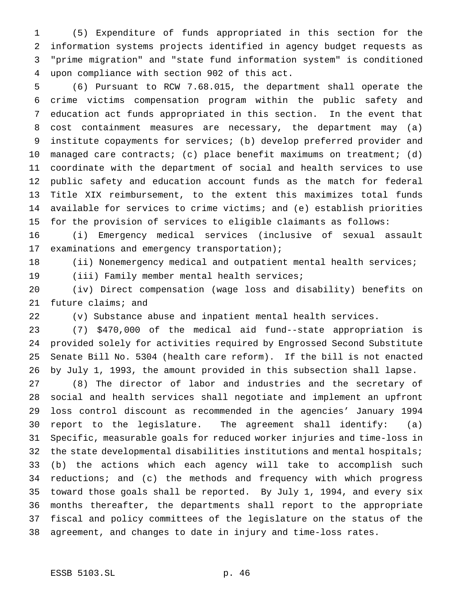(5) Expenditure of funds appropriated in this section for the information systems projects identified in agency budget requests as "prime migration" and "state fund information system" is conditioned upon compliance with section 902 of this act.

 (6) Pursuant to RCW 7.68.015, the department shall operate the crime victims compensation program within the public safety and education act funds appropriated in this section. In the event that cost containment measures are necessary, the department may (a) institute copayments for services; (b) develop preferred provider and managed care contracts; (c) place benefit maximums on treatment; (d) coordinate with the department of social and health services to use public safety and education account funds as the match for federal Title XIX reimbursement, to the extent this maximizes total funds available for services to crime victims; and (e) establish priorities for the provision of services to eligible claimants as follows:

 (i) Emergency medical services (inclusive of sexual assault examinations and emergency transportation);

(ii) Nonemergency medical and outpatient mental health services;

(iii) Family member mental health services;

 (iv) Direct compensation (wage loss and disability) benefits on future claims; and

(v) Substance abuse and inpatient mental health services.

 (7) \$470,000 of the medical aid fund--state appropriation is provided solely for activities required by Engrossed Second Substitute Senate Bill No. 5304 (health care reform). If the bill is not enacted by July 1, 1993, the amount provided in this subsection shall lapse.

 (8) The director of labor and industries and the secretary of social and health services shall negotiate and implement an upfront loss control discount as recommended in the agencies' January 1994 report to the legislature. The agreement shall identify: (a) Specific, measurable goals for reduced worker injuries and time-loss in 32 the state developmental disabilities institutions and mental hospitals; (b) the actions which each agency will take to accomplish such reductions; and (c) the methods and frequency with which progress toward those goals shall be reported. By July 1, 1994, and every six months thereafter, the departments shall report to the appropriate fiscal and policy committees of the legislature on the status of the agreement, and changes to date in injury and time-loss rates.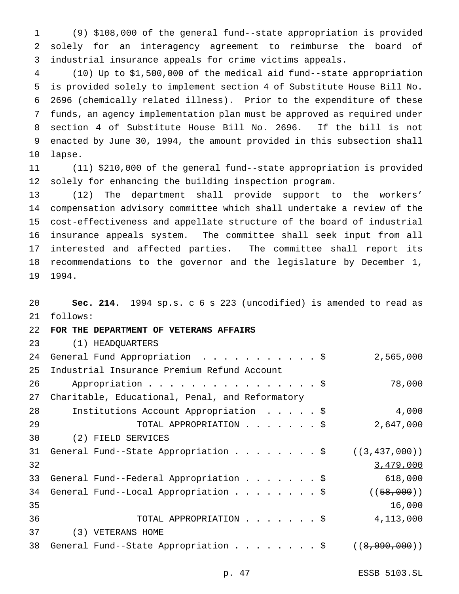(9) \$108,000 of the general fund--state appropriation is provided solely for an interagency agreement to reimburse the board of industrial insurance appeals for crime victims appeals.

 (10) Up to \$1,500,000 of the medical aid fund--state appropriation is provided solely to implement section 4 of Substitute House Bill No. 2696 (chemically related illness). Prior to the expenditure of these funds, an agency implementation plan must be approved as required under section 4 of Substitute House Bill No. 2696. If the bill is not enacted by June 30, 1994, the amount provided in this subsection shall lapse.

 (11) \$210,000 of the general fund--state appropriation is provided solely for enhancing the building inspection program.

 (12) The department shall provide support to the workers' compensation advisory committee which shall undertake a review of the cost-effectiveness and appellate structure of the board of industrial insurance appeals system. The committee shall seek input from all interested and affected parties. The committee shall report its recommendations to the governor and the legislature by December 1, 1994.

 **Sec. 214.** 1994 sp.s. c 6 s 223 (uncodified) is amended to read as follows: **FOR THE DEPARTMENT OF VETERANS AFFAIRS** (1) HEADQUARTERS 24 General Fund Appropriation . . . . . . . . . . \$ 2,565,000 Industrial Insurance Premium Refund Account Appropriation................\$ 78,000 Charitable, Educational, Penal, and Reformatory Institutions Account Appropriation .....\$ 4,000 TOTAL APPROPRIATION.......\$ 2,647,000 (2) FIELD SERVICES 31 General Fund--State Appropriation . . . . . . . \$  $((3,437,000))$  $3.479,000$  General Fund--Federal Appropriation.......\$ 618,000 34 General Fund--Local Appropriation . . . . . . . \$ ((58,000)) 16,000 TOTAL APPROPRIATION.......\$ 4,113,000 (3) VETERANS HOME 38 General Fund--State Appropriation . . . . . . . \$ ((8,090,000))

p. 47 ESSB 5103.SL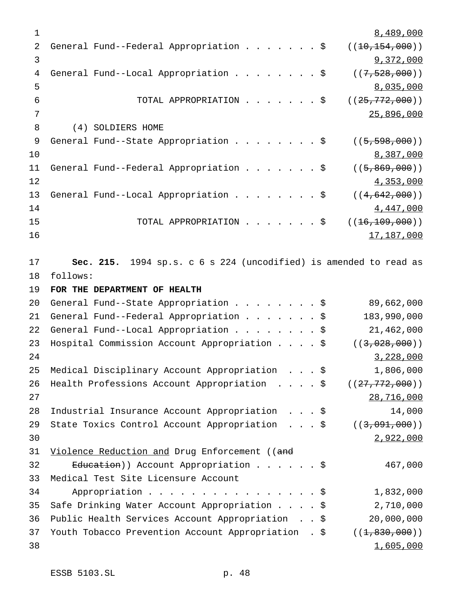1 8,489,000 2 General Fund--Federal Appropriation . . . . . . \$  $((10,154,000))$ 3 9,372,000 4 General Fund--Local Appropriation . . . . . . . \$ ((7,528,000)) 5 8,035,000 6 TOTAL APPROPRIATION . . . . . . \$ ((<del>25,772,000</del>)) 7 25,896,000 8 (4) SOLDIERS HOME 9 General Fund--State Appropriation . . . . . . . \$ ((5,598,000))  $\frac{8}{387,000}$ 11 General Fund--Federal Appropriation . . . . . . \$ ((5,869,000))  $12$  and  $4,353,000$ 13 General Fund--Local Appropriation . . . . . . . \$ ((4,642,000))  $14$   $4,447,000$ 15 TOTAL APPROPRIATION . . . . . . \$ ((16,109,000)) 16 17,187,000 17 **Sec. 215.** 1994 sp.s. c 6 s 224 (uncodified) is amended to read as 18 follows: 19 **FOR THE DEPARTMENT OF HEALTH** 20 General Fund--State Appropriation........\$ 89,662,000 21 General Fund--Federal Appropriation . . . . . . \$ 183,990,000 22 General Fund--Local Appropriation........\$ 21,462,000 23 Hospital Commission Account Appropriation . . . \$ ((3,028,000))  $24$  3,228,000 25 Medical Disciplinary Account Appropriation ...\$ 1,806,000 26 Health Professions Account Appropriation . . . . \$ ((27,772,000)) 27 28,716,000 28 Industrial Insurance Account Appropriation ...\$ 14,000 29 State Toxics Control Account Appropriation . . . \$ ((3,091,000))  $30$  2,922,000 31 Violence Reduction and Drug Enforcement ((and 32 E<del>ducation</del>)) Account Appropriation . . . . . \$ 467,000 33 Medical Test Site Licensure Account 34 Appropriation................\$ 1,832,000 35 Safe Drinking Water Account Appropriation....\$ 2,710,000 36 Public Health Services Account Appropriation . . \$ 20,000,000 37 Youth Tobacco Prevention Account Appropriation . \$ ((<del>1,830,000</del>))  $38$  1,605,000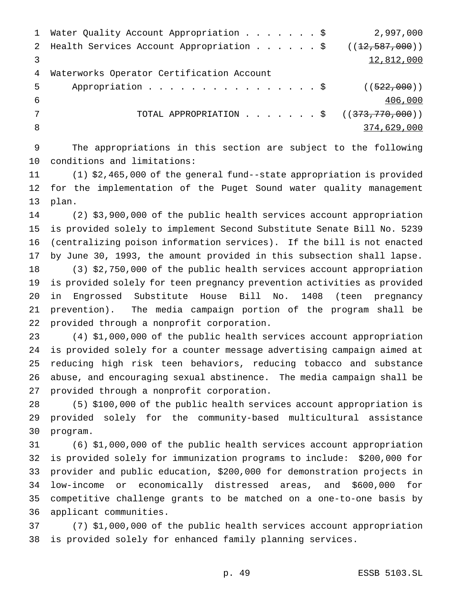| $\mathbf{1}$ | Water Quality Account Appropriation \$                        | 2,997,000   |
|--------------|---------------------------------------------------------------|-------------|
|              | 2 Health Services Account Appropriation \$ $((12, 587, 000))$ |             |
|              |                                                               | 12,812,000  |
| 4            | Waterworks Operator Certification Account                     |             |
| 5            | Appropriation \$ $((522,000))$                                |             |
| -6           |                                                               | 406,000     |
|              | TOTAL APPROPRIATION \$ $((373, 770, 000))$                    |             |
| 8            |                                                               | 374,629,000 |
|              |                                                               |             |

 The appropriations in this section are subject to the following conditions and limitations:

 (1) \$2,465,000 of the general fund--state appropriation is provided for the implementation of the Puget Sound water quality management plan.

 (2) \$3,900,000 of the public health services account appropriation is provided solely to implement Second Substitute Senate Bill No. 5239 (centralizing poison information services). If the bill is not enacted by June 30, 1993, the amount provided in this subsection shall lapse. (3) \$2,750,000 of the public health services account appropriation is provided solely for teen pregnancy prevention activities as provided in Engrossed Substitute House Bill No. 1408 (teen pregnancy prevention). The media campaign portion of the program shall be provided through a nonprofit corporation.

 (4) \$1,000,000 of the public health services account appropriation is provided solely for a counter message advertising campaign aimed at reducing high risk teen behaviors, reducing tobacco and substance abuse, and encouraging sexual abstinence. The media campaign shall be provided through a nonprofit corporation.

 (5) \$100,000 of the public health services account appropriation is provided solely for the community-based multicultural assistance program.

 (6) \$1,000,000 of the public health services account appropriation is provided solely for immunization programs to include: \$200,000 for provider and public education, \$200,000 for demonstration projects in low-income or economically distressed areas, and \$600,000 for competitive challenge grants to be matched on a one-to-one basis by applicant communities.

 (7) \$1,000,000 of the public health services account appropriation is provided solely for enhanced family planning services.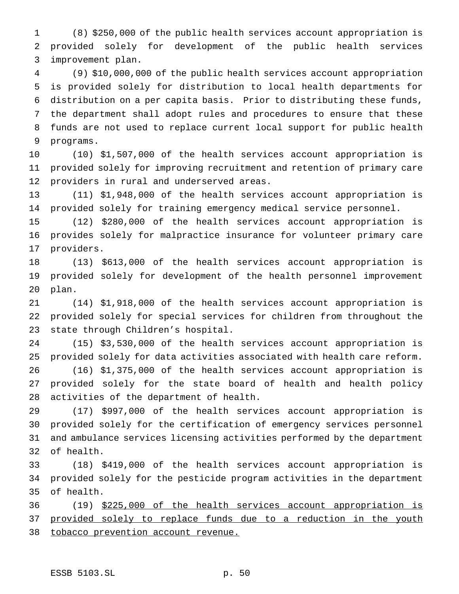(8) \$250,000 of the public health services account appropriation is provided solely for development of the public health services improvement plan.

 (9) \$10,000,000 of the public health services account appropriation is provided solely for distribution to local health departments for distribution on a per capita basis. Prior to distributing these funds, the department shall adopt rules and procedures to ensure that these funds are not used to replace current local support for public health programs.

 (10) \$1,507,000 of the health services account appropriation is provided solely for improving recruitment and retention of primary care providers in rural and underserved areas.

 (11) \$1,948,000 of the health services account appropriation is provided solely for training emergency medical service personnel.

 (12) \$280,000 of the health services account appropriation is provides solely for malpractice insurance for volunteer primary care providers.

 (13) \$613,000 of the health services account appropriation is provided solely for development of the health personnel improvement plan.

 (14) \$1,918,000 of the health services account appropriation is provided solely for special services for children from throughout the state through Children's hospital.

 (15) \$3,530,000 of the health services account appropriation is provided solely for data activities associated with health care reform.

 (16) \$1,375,000 of the health services account appropriation is provided solely for the state board of health and health policy activities of the department of health.

 (17) \$997,000 of the health services account appropriation is provided solely for the certification of emergency services personnel and ambulance services licensing activities performed by the department of health.

 (18) \$419,000 of the health services account appropriation is provided solely for the pesticide program activities in the department of health.

 (19) \$225,000 of the health services account appropriation is 37 provided solely to replace funds due to a reduction in the youth 38 tobacco prevention account revenue.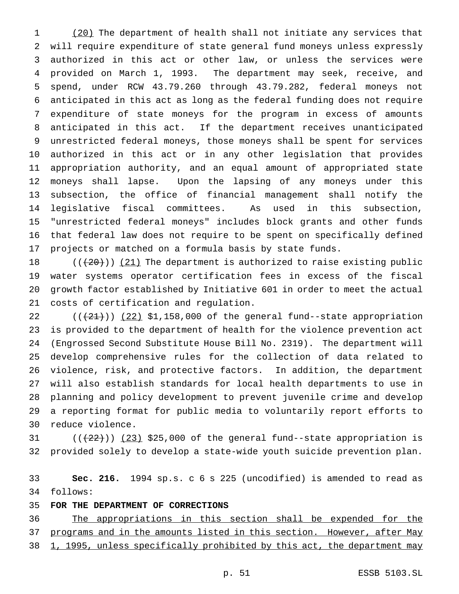1 (20) The department of health shall not initiate any services that will require expenditure of state general fund moneys unless expressly authorized in this act or other law, or unless the services were provided on March 1, 1993. The department may seek, receive, and spend, under RCW 43.79.260 through 43.79.282, federal moneys not anticipated in this act as long as the federal funding does not require expenditure of state moneys for the program in excess of amounts anticipated in this act. If the department receives unanticipated unrestricted federal moneys, those moneys shall be spent for services authorized in this act or in any other legislation that provides appropriation authority, and an equal amount of appropriated state moneys shall lapse. Upon the lapsing of any moneys under this subsection, the office of financial management shall notify the legislative fiscal committees. As used in this subsection, "unrestricted federal moneys" includes block grants and other funds that federal law does not require to be spent on specifically defined projects or matched on a formula basis by state funds.

 $((+20))$   $(21)$  The department is authorized to raise existing public water systems operator certification fees in excess of the fiscal growth factor established by Initiative 601 in order to meet the actual costs of certification and regulation.

 $((+21))$   $(22)$  \$1,158,000 of the general fund--state appropriation is provided to the department of health for the violence prevention act (Engrossed Second Substitute House Bill No. 2319). The department will develop comprehensive rules for the collection of data related to violence, risk, and protective factors. In addition, the department will also establish standards for local health departments to use in planning and policy development to prevent juvenile crime and develop a reporting format for public media to voluntarily report efforts to reduce violence.

31  $((+22))$   $(23)$  \$25,000 of the general fund--state appropriation is provided solely to develop a state-wide youth suicide prevention plan.

 **Sec. 216.** 1994 sp.s. c 6 s 225 (uncodified) is amended to read as follows:

**FOR THE DEPARTMENT OF CORRECTIONS**

 The appropriations in this section shall be expended for the 37 programs and in the amounts listed in this section. However, after May 38 1, 1995, unless specifically prohibited by this act, the department may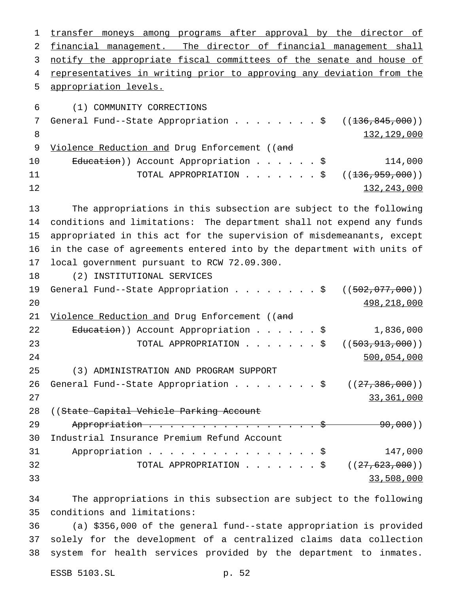transfer moneys among programs after approval by the director of financial management. The director of financial management shall notify the appropriate fiscal committees of the senate and house of representatives in writing prior to approving any deviation from the appropriation levels. (1) COMMUNITY CORRECTIONS 7 General Fund--State Appropriation . . . . . . . \$ ((<del>136,845,000</del>)) 132,129,000 9 Violence Reduction and Drug Enforcement ((and 10 Education)) Account Appropriation . . . . . \$ 114,000 11 TOTAL APPROPRIATION . . . . . . \$ ((<del>136,959,000</del>))  $132,243,000$  The appropriations in this subsection are subject to the following conditions and limitations: The department shall not expend any funds appropriated in this act for the supervision of misdemeanants, except in the case of agreements entered into by the department with units of local government pursuant to RCW 72.09.300. (2) INSTITUTIONAL SERVICES 19 General Fund--State Appropriation . . . . . . . \$ ((502,077,000)) 498,218,000 21 Violence Reduction and Drug Enforcement ((and 22 Education)) Account Appropriation . . . . . \$ 1,836,000 23 TOTAL APPROPRIATION . . . . . . \$ ((<del>503,913,000</del>)) 500,054,000 (3) ADMINISTRATION AND PROGRAM SUPPORT 26 General Fund--State Appropriation . . . . . . . \$  $((27,386,000))$  33,361,000 28 ((State Capital Vehicle Parking Account 29 Appropriation . . . . . . . . . . . . . . . \$ 90,000)) Industrial Insurance Premium Refund Account Appropriation................\$ 147,000 32 TOTAL APPROPRIATION . . . . . . \$ ((27,623,000))  $33,508,000$ 

 The appropriations in this subsection are subject to the following conditions and limitations:

 (a) \$356,000 of the general fund--state appropriation is provided solely for the development of a centralized claims data collection system for health services provided by the department to inmates.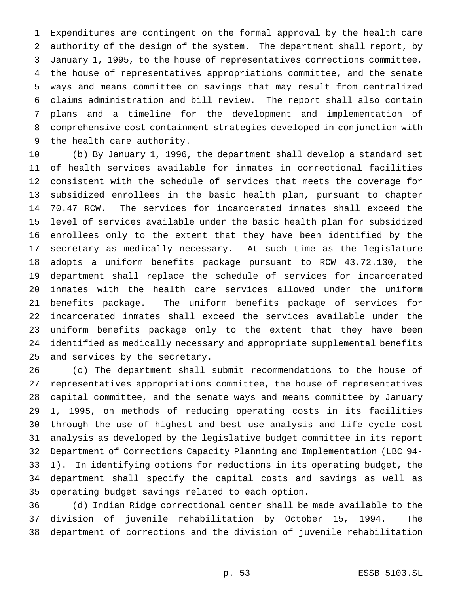Expenditures are contingent on the formal approval by the health care authority of the design of the system. The department shall report, by January 1, 1995, to the house of representatives corrections committee, the house of representatives appropriations committee, and the senate ways and means committee on savings that may result from centralized claims administration and bill review. The report shall also contain plans and a timeline for the development and implementation of comprehensive cost containment strategies developed in conjunction with the health care authority.

 (b) By January 1, 1996, the department shall develop a standard set of health services available for inmates in correctional facilities consistent with the schedule of services that meets the coverage for subsidized enrollees in the basic health plan, pursuant to chapter 70.47 RCW. The services for incarcerated inmates shall exceed the level of services available under the basic health plan for subsidized enrollees only to the extent that they have been identified by the secretary as medically necessary. At such time as the legislature adopts a uniform benefits package pursuant to RCW 43.72.130, the department shall replace the schedule of services for incarcerated inmates with the health care services allowed under the uniform benefits package. The uniform benefits package of services for incarcerated inmates shall exceed the services available under the uniform benefits package only to the extent that they have been identified as medically necessary and appropriate supplemental benefits and services by the secretary.

 (c) The department shall submit recommendations to the house of representatives appropriations committee, the house of representatives capital committee, and the senate ways and means committee by January 1, 1995, on methods of reducing operating costs in its facilities through the use of highest and best use analysis and life cycle cost analysis as developed by the legislative budget committee in its report Department of Corrections Capacity Planning and Implementation (LBC 94- 1). In identifying options for reductions in its operating budget, the department shall specify the capital costs and savings as well as operating budget savings related to each option.

 (d) Indian Ridge correctional center shall be made available to the division of juvenile rehabilitation by October 15, 1994. The department of corrections and the division of juvenile rehabilitation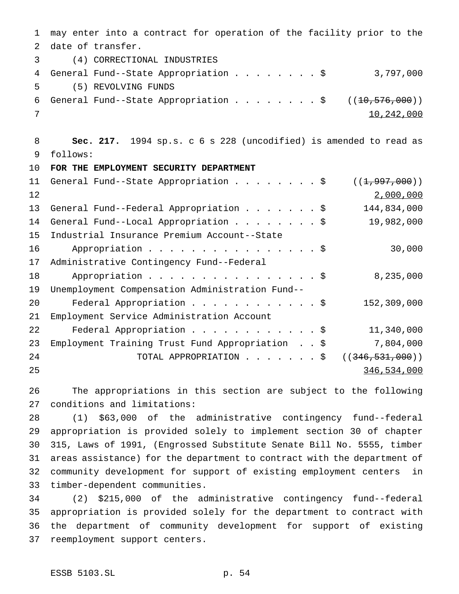may enter into a contract for operation of the facility prior to the date of transfer. (4) CORRECTIONAL INDUSTRIES 4 General Fund--State Appropriation . . . . . . . \$ 3,797,000 (5) REVOLVING FUNDS 6 General Fund--State Appropriation  $\ldots$ .............\$ ( $(\pm 0.576,000)$ ) 10,242,000 **Sec. 217.** 1994 sp.s. c 6 s 228 (uncodified) is amended to read as follows: **FOR THE EMPLOYMENT SECURITY DEPARTMENT** 11 General Fund--State Appropriation . . . . . . . \$ ((1,997,000)) 2,000,000 13 General Fund--Federal Appropriation . . . . . . \$ 144,834,000 14 General Fund--Local Appropriation . . . . . . . \$ 19,982,000 Industrial Insurance Premium Account--State 16 Appropriation . . . . . . . . . . . . . . . \$ 30,000 Administrative Contingency Fund--Federal 18 Appropriation . . . . . . . . . . . . . . \$ 8,235,000 Unemployment Compensation Administration Fund-- Federal Appropriation............\$ 152,309,000 Employment Service Administration Account Federal Appropriation............\$ 11,340,000 Employment Training Trust Fund Appropriation . . \$ 7,804,000 24 TOTAL APPROPRIATION . . . . . . \$ ((<del>346,531,000</del>)) 346,534,000

 The appropriations in this section are subject to the following conditions and limitations:

 (1) \$63,000 of the administrative contingency fund--federal appropriation is provided solely to implement section 30 of chapter 315, Laws of 1991, (Engrossed Substitute Senate Bill No. 5555, timber areas assistance) for the department to contract with the department of community development for support of existing employment centers in timber-dependent communities.

 (2) \$215,000 of the administrative contingency fund--federal appropriation is provided solely for the department to contract with the department of community development for support of existing reemployment support centers.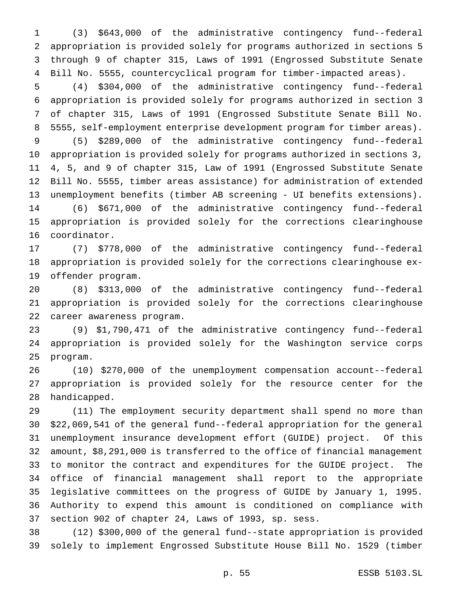(3) \$643,000 of the administrative contingency fund--federal appropriation is provided solely for programs authorized in sections 5 through 9 of chapter 315, Laws of 1991 (Engrossed Substitute Senate Bill No. 5555, countercyclical program for timber-impacted areas).

 (4) \$304,000 of the administrative contingency fund--federal appropriation is provided solely for programs authorized in section 3 of chapter 315, Laws of 1991 (Engrossed Substitute Senate Bill No. 5555, self-employment enterprise development program for timber areas).

 (5) \$289,000 of the administrative contingency fund--federal appropriation is provided solely for programs authorized in sections 3, 4, 5, and 9 of chapter 315, Law of 1991 (Engrossed Substitute Senate Bill No. 5555, timber areas assistance) for administration of extended unemployment benefits (timber AB screening - UI benefits extensions). (6) \$671,000 of the administrative contingency fund--federal appropriation is provided solely for the corrections clearinghouse coordinator.

 (7) \$778,000 of the administrative contingency fund--federal appropriation is provided solely for the corrections clearinghouse ex-offender program.

 (8) \$313,000 of the administrative contingency fund--federal appropriation is provided solely for the corrections clearinghouse career awareness program.

 (9) \$1,790,471 of the administrative contingency fund--federal appropriation is provided solely for the Washington service corps program.

 (10) \$270,000 of the unemployment compensation account--federal appropriation is provided solely for the resource center for the handicapped.

 (11) The employment security department shall spend no more than \$22,069,541 of the general fund--federal appropriation for the general unemployment insurance development effort (GUIDE) project. Of this amount, \$8,291,000 is transferred to the office of financial management to monitor the contract and expenditures for the GUIDE project. The office of financial management shall report to the appropriate legislative committees on the progress of GUIDE by January 1, 1995. Authority to expend this amount is conditioned on compliance with section 902 of chapter 24, Laws of 1993, sp. sess.

 (12) \$300,000 of the general fund--state appropriation is provided solely to implement Engrossed Substitute House Bill No. 1529 (timber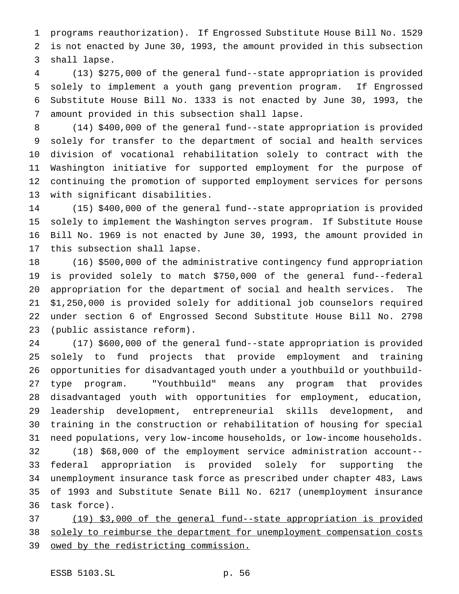programs reauthorization). If Engrossed Substitute House Bill No. 1529 is not enacted by June 30, 1993, the amount provided in this subsection shall lapse.

 (13) \$275,000 of the general fund--state appropriation is provided solely to implement a youth gang prevention program. If Engrossed Substitute House Bill No. 1333 is not enacted by June 30, 1993, the amount provided in this subsection shall lapse.

 (14) \$400,000 of the general fund--state appropriation is provided solely for transfer to the department of social and health services division of vocational rehabilitation solely to contract with the Washington initiative for supported employment for the purpose of continuing the promotion of supported employment services for persons with significant disabilities.

 (15) \$400,000 of the general fund--state appropriation is provided solely to implement the Washington serves program. If Substitute House Bill No. 1969 is not enacted by June 30, 1993, the amount provided in this subsection shall lapse.

 (16) \$500,000 of the administrative contingency fund appropriation is provided solely to match \$750,000 of the general fund--federal appropriation for the department of social and health services. The \$1,250,000 is provided solely for additional job counselors required under section 6 of Engrossed Second Substitute House Bill No. 2798 (public assistance reform).

 (17) \$600,000 of the general fund--state appropriation is provided solely to fund projects that provide employment and training opportunities for disadvantaged youth under a youthbuild or youthbuild- type program. "Youthbuild" means any program that provides disadvantaged youth with opportunities for employment, education, leadership development, entrepreneurial skills development, and training in the construction or rehabilitation of housing for special need populations, very low-income households, or low-income households.

 (18) \$68,000 of the employment service administration account-- federal appropriation is provided solely for supporting the unemployment insurance task force as prescribed under chapter 483, Laws of 1993 and Substitute Senate Bill No. 6217 (unemployment insurance task force).

 (19) \$3,000 of the general fund--state appropriation is provided solely to reimburse the department for unemployment compensation costs owed by the redistricting commission.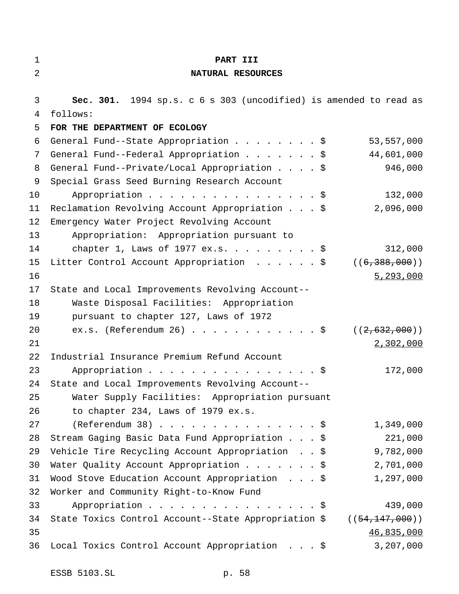| $\mathbf{1}$ | PART III                                                          |                  |
|--------------|-------------------------------------------------------------------|------------------|
| 2            | NATURAL RESOURCES                                                 |                  |
|              |                                                                   |                  |
| 3            | Sec. 301. 1994 sp.s. c 6 s 303 (uncodified) is amended to read as |                  |
| 4            | follows:                                                          |                  |
| 5            | FOR THE DEPARTMENT OF ECOLOGY                                     |                  |
| 6            | General Fund--State Appropriation \$                              | 53,557,000       |
| 7            | General Fund--Federal Appropriation \$                            | 44,601,000       |
| 8            | General Fund--Private/Local Appropriation \$                      | 946,000          |
| 9            | Special Grass Seed Burning Research Account                       |                  |
| 10           | Appropriation $\frac{1}{5}$                                       | 132,000          |
| 11           | Reclamation Revolving Account Appropriation \$                    | 2,096,000        |
| 12           | Emergency Water Project Revolving Account                         |                  |
| 13           | Appropriation: Appropriation pursuant to                          |                  |
| 14           | chapter 1, Laws of 1977 ex.s. \$                                  | 312,000          |
| 15           | Litter Control Account Appropriation \$                           | ((6, 388, 000))  |
| 16           |                                                                   | 5, 293, 000      |
| 17           | State and Local Improvements Revolving Account--                  |                  |
| 18           | Waste Disposal Facilities: Appropriation                          |                  |
| 19           | pursuant to chapter 127, Laws of 1972                             |                  |
| 20           | ex.s. (Referendum 26) \$                                          | ((2, 632, 000))  |
| 21           |                                                                   | 2,302,000        |
| 22           | Industrial Insurance Premium Refund Account                       |                  |
| 23           | Appropriation $\frac{1}{5}$                                       | 172,000          |
| 24           | State and Local Improvements Revolving Account--                  |                  |
| 25           | Water Supply Facilities: Appropriation pursuant                   |                  |
| 26           | to chapter 234, Laws of 1979 ex.s.                                |                  |
| 27           | $(Referendum 38)$                                                 | 1,349,000        |
| 28           | Stream Gaging Basic Data Fund Appropriation \$                    | 221,000          |
| 29           | Vehicle Tire Recycling Account Appropriation \$                   | 9,782,000        |
| 30           | Water Quality Account Appropriation $\frac{1}{5}$                 | 2,701,000        |
| 31           | Wood Stove Education Account Appropriation \$                     | 1,297,000        |
| 32           | Worker and Community Right-to-Know Fund                           |                  |
| 33           | Appropriation $\frac{1}{5}$                                       | 439,000          |
| 34           | State Toxics Control Account--State Appropriation \$              | ((54, 147, 000)) |
| 35           |                                                                   | 46,835,000       |
| 36           | Local Toxics Control Account Appropriation \$                     | 3,207,000        |
|              |                                                                   |                  |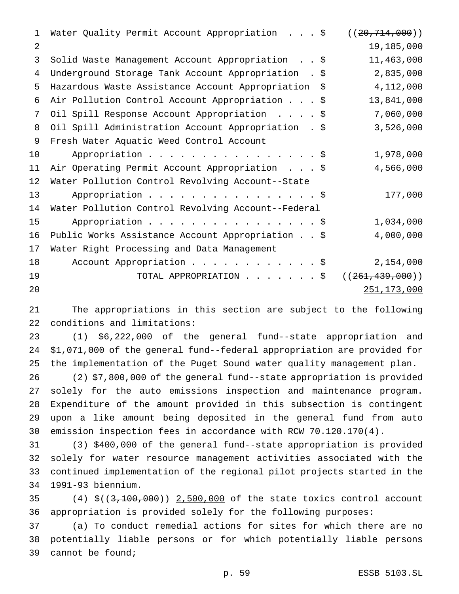| 1  | Water Quality Permit Account Appropriation \$          | ((20, 714, 000))  |
|----|--------------------------------------------------------|-------------------|
| 2  |                                                        | 19,185,000        |
| 3  | Solid Waste Management Account Appropriation \$        | 11,463,000        |
| 4  | Underground Storage Tank Account Appropriation . \$    | 2,835,000         |
| 5  | Hazardous Waste Assistance Account Appropriation<br>\$ | 4,112,000         |
| 6  | Air Pollution Control Account Appropriation \$         | 13,841,000        |
| 7  | Oil Spill Response Account Appropriation \$            | 7,060,000         |
| 8  | Oil Spill Administration Account Appropriation . \$    | 3,526,000         |
| 9  | Fresh Water Aquatic Weed Control Account               |                   |
| 10 | Appropriation \$                                       | 1,978,000         |
| 11 | Air Operating Permit Account Appropriation \$          | 4,566,000         |
| 12 | Water Pollution Control Revolving Account--State       |                   |
| 13 | Appropriation \$                                       | 177,000           |
| 14 | Water Pollution Control Revolving Account--Federal     |                   |
| 15 | Appropriation \$                                       | 1,034,000         |
| 16 | Public Works Assistance Account Appropriation \$       | 4,000,000         |
| 17 | Water Right Processing and Data Management             |                   |
| 18 | Account Appropriation \$                               | 2,154,000         |
| 19 | TOTAL APPROPRIATION \$                                 | ((261, 439, 000)) |
| 20 |                                                        | 251, 173, 000     |

 The appropriations in this section are subject to the following conditions and limitations:

 (1) \$6,222,000 of the general fund--state appropriation and \$1,071,000 of the general fund--federal appropriation are provided for the implementation of the Puget Sound water quality management plan.

 (2) \$7,800,000 of the general fund--state appropriation is provided solely for the auto emissions inspection and maintenance program. Expenditure of the amount provided in this subsection is contingent upon a like amount being deposited in the general fund from auto emission inspection fees in accordance with RCW 70.120.170(4).

 (3) \$400,000 of the general fund--state appropriation is provided solely for water resource management activities associated with the continued implementation of the regional pilot projects started in the 1991-93 biennium.

 (4) \$((3,100,000)) 2,500,000 of the state toxics control account appropriation is provided solely for the following purposes:

 (a) To conduct remedial actions for sites for which there are no potentially liable persons or for which potentially liable persons cannot be found;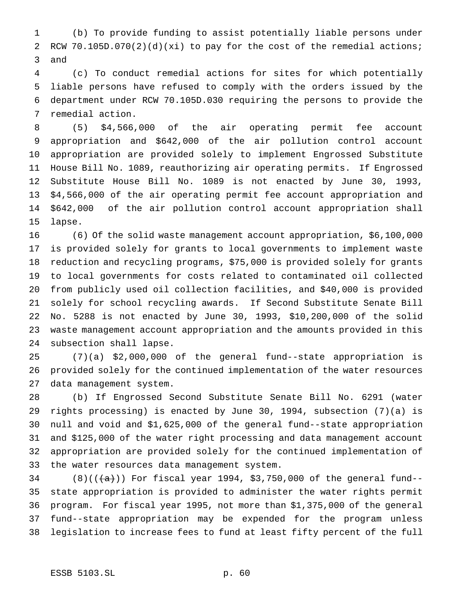(b) To provide funding to assist potentially liable persons under RCW 70.105D.070(2)(d)(xi) to pay for the cost of the remedial actions; and

 (c) To conduct remedial actions for sites for which potentially liable persons have refused to comply with the orders issued by the department under RCW 70.105D.030 requiring the persons to provide the remedial action.

 (5) \$4,566,000 of the air operating permit fee account appropriation and \$642,000 of the air pollution control account appropriation are provided solely to implement Engrossed Substitute House Bill No. 1089, reauthorizing air operating permits. If Engrossed Substitute House Bill No. 1089 is not enacted by June 30, 1993, \$4,566,000 of the air operating permit fee account appropriation and \$642,000 of the air pollution control account appropriation shall lapse.

 (6) Of the solid waste management account appropriation, \$6,100,000 is provided solely for grants to local governments to implement waste reduction and recycling programs, \$75,000 is provided solely for grants to local governments for costs related to contaminated oil collected from publicly used oil collection facilities, and \$40,000 is provided solely for school recycling awards. If Second Substitute Senate Bill No. 5288 is not enacted by June 30, 1993, \$10,200,000 of the solid waste management account appropriation and the amounts provided in this subsection shall lapse.

 (7)(a) \$2,000,000 of the general fund--state appropriation is provided solely for the continued implementation of the water resources data management system.

 (b) If Engrossed Second Substitute Senate Bill No. 6291 (water rights processing) is enacted by June 30, 1994, subsection (7)(a) is null and void and \$1,625,000 of the general fund--state appropriation and \$125,000 of the water right processing and data management account appropriation are provided solely for the continued implementation of the water resources data management system.

34 (8)(( $\frac{1}{(a)}$ )) For fiscal year 1994, \$3,750,000 of the general fund-- state appropriation is provided to administer the water rights permit program. For fiscal year 1995, not more than \$1,375,000 of the general fund--state appropriation may be expended for the program unless legislation to increase fees to fund at least fifty percent of the full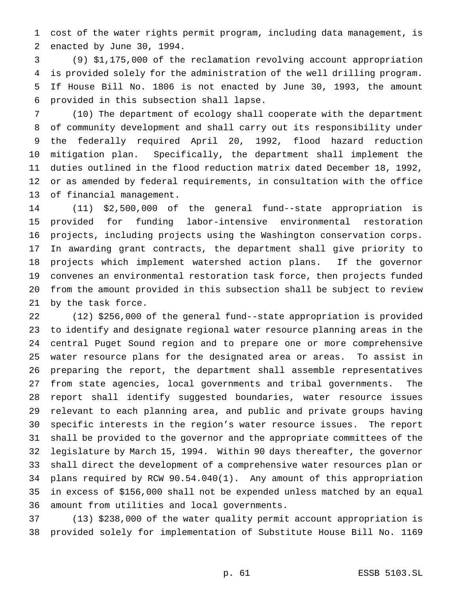cost of the water rights permit program, including data management, is enacted by June 30, 1994.

 (9) \$1,175,000 of the reclamation revolving account appropriation is provided solely for the administration of the well drilling program. If House Bill No. 1806 is not enacted by June 30, 1993, the amount provided in this subsection shall lapse.

 (10) The department of ecology shall cooperate with the department of community development and shall carry out its responsibility under the federally required April 20, 1992, flood hazard reduction mitigation plan. Specifically, the department shall implement the duties outlined in the flood reduction matrix dated December 18, 1992, or as amended by federal requirements, in consultation with the office of financial management.

 (11) \$2,500,000 of the general fund--state appropriation is provided for funding labor-intensive environmental restoration projects, including projects using the Washington conservation corps. In awarding grant contracts, the department shall give priority to projects which implement watershed action plans. If the governor convenes an environmental restoration task force, then projects funded from the amount provided in this subsection shall be subject to review by the task force.

 (12) \$256,000 of the general fund--state appropriation is provided to identify and designate regional water resource planning areas in the central Puget Sound region and to prepare one or more comprehensive water resource plans for the designated area or areas. To assist in preparing the report, the department shall assemble representatives from state agencies, local governments and tribal governments. The report shall identify suggested boundaries, water resource issues relevant to each planning area, and public and private groups having specific interests in the region's water resource issues. The report shall be provided to the governor and the appropriate committees of the legislature by March 15, 1994. Within 90 days thereafter, the governor shall direct the development of a comprehensive water resources plan or plans required by RCW 90.54.040(1). Any amount of this appropriation in excess of \$156,000 shall not be expended unless matched by an equal amount from utilities and local governments.

 (13) \$238,000 of the water quality permit account appropriation is provided solely for implementation of Substitute House Bill No. 1169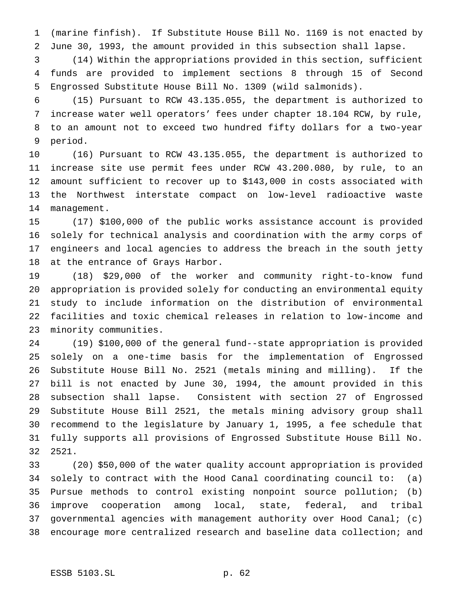(marine finfish). If Substitute House Bill No. 1169 is not enacted by June 30, 1993, the amount provided in this subsection shall lapse.

 (14) Within the appropriations provided in this section, sufficient funds are provided to implement sections 8 through 15 of Second Engrossed Substitute House Bill No. 1309 (wild salmonids).

 (15) Pursuant to RCW 43.135.055, the department is authorized to increase water well operators' fees under chapter 18.104 RCW, by rule, to an amount not to exceed two hundred fifty dollars for a two-year period.

 (16) Pursuant to RCW 43.135.055, the department is authorized to increase site use permit fees under RCW 43.200.080, by rule, to an amount sufficient to recover up to \$143,000 in costs associated with the Northwest interstate compact on low-level radioactive waste management.

 (17) \$100,000 of the public works assistance account is provided solely for technical analysis and coordination with the army corps of engineers and local agencies to address the breach in the south jetty at the entrance of Grays Harbor.

 (18) \$29,000 of the worker and community right-to-know fund appropriation is provided solely for conducting an environmental equity study to include information on the distribution of environmental facilities and toxic chemical releases in relation to low-income and minority communities.

 (19) \$100,000 of the general fund--state appropriation is provided solely on a one-time basis for the implementation of Engrossed Substitute House Bill No. 2521 (metals mining and milling). If the bill is not enacted by June 30, 1994, the amount provided in this subsection shall lapse. Consistent with section 27 of Engrossed Substitute House Bill 2521, the metals mining advisory group shall recommend to the legislature by January 1, 1995, a fee schedule that fully supports all provisions of Engrossed Substitute House Bill No. 2521.

 (20) \$50,000 of the water quality account appropriation is provided solely to contract with the Hood Canal coordinating council to: (a) Pursue methods to control existing nonpoint source pollution; (b) improve cooperation among local, state, federal, and tribal governmental agencies with management authority over Hood Canal; (c) encourage more centralized research and baseline data collection; and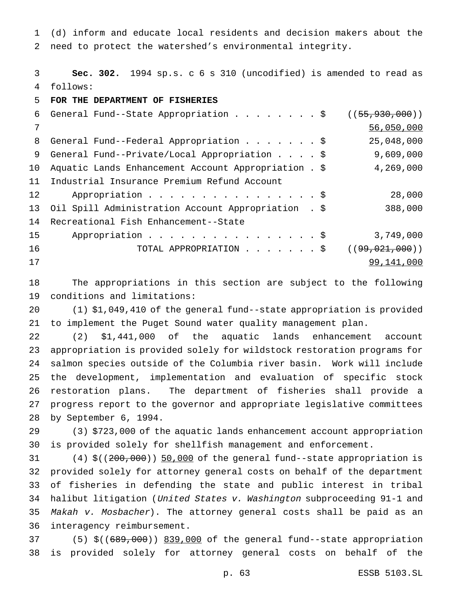(d) inform and educate local residents and decision makers about the need to protect the watershed's environmental integrity.

 **Sec. 302.** 1994 sp.s. c 6 s 310 (uncodified) is amended to read as follows:

**FOR THE DEPARTMENT OF FISHERIES**

| 6  | General Fund--State Appropriation \$                 | ( (55, 930, 000))  |
|----|------------------------------------------------------|--------------------|
| 7  |                                                      | 56,050,000         |
| 8  | General Fund--Federal Appropriation \$               | 25,048,000         |
| 9  | General Fund--Private/Local Appropriation \$         | 9,609,000          |
| 10 | Aquatic Lands Enhancement Account Appropriation . \$ | 4,269,000          |
| 11 | Industrial Insurance Premium Refund Account          |                    |
| 12 | Appropriation \$                                     | 28,000             |
| 13 | Oil Spill Administration Account Appropriation . \$  | 388,000            |
| 14 | Recreational Fish Enhancement--State                 |                    |
| 15 | Appropriation \$                                     | 3,749,000          |
| 16 | TOTAL APPROPRIATION \$                               | ( (99, 021, 000) ) |
| 17 |                                                      | 99,141,000         |

 The appropriations in this section are subject to the following conditions and limitations:

 (1) \$1,049,410 of the general fund--state appropriation is provided to implement the Puget Sound water quality management plan.

 (2) \$1,441,000 of the aquatic lands enhancement account appropriation is provided solely for wildstock restoration programs for salmon species outside of the Columbia river basin. Work will include the development, implementation and evaluation of specific stock restoration plans. The department of fisheries shall provide a progress report to the governor and appropriate legislative committees by September 6, 1994.

 (3) \$723,000 of the aquatic lands enhancement account appropriation is provided solely for shellfish management and enforcement.

 (4)  $\frac{200,000}{1000}$ ) 50,000 of the general fund--state appropriation is provided solely for attorney general costs on behalf of the department of fisheries in defending the state and public interest in tribal halibut litigation (United States v. Washington subproceeding 91-1 and Makah v. Mosbacher). The attorney general costs shall be paid as an interagency reimbursement.

37 (5)  $\zeta$ ((689,000)) 839,000 of the general fund--state appropriation is provided solely for attorney general costs on behalf of the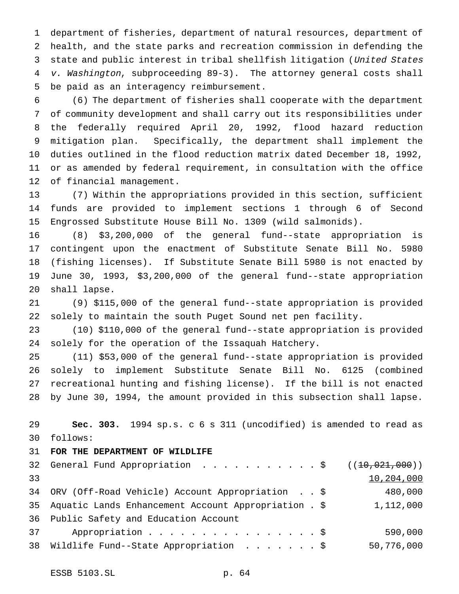department of fisheries, department of natural resources, department of health, and the state parks and recreation commission in defending the state and public interest in tribal shellfish litigation (United States v. Washington, subproceeding 89-3). The attorney general costs shall be paid as an interagency reimbursement.

 (6) The department of fisheries shall cooperate with the department of community development and shall carry out its responsibilities under the federally required April 20, 1992, flood hazard reduction mitigation plan. Specifically, the department shall implement the duties outlined in the flood reduction matrix dated December 18, 1992, or as amended by federal requirement, in consultation with the office of financial management.

 (7) Within the appropriations provided in this section, sufficient funds are provided to implement sections 1 through 6 of Second Engrossed Substitute House Bill No. 1309 (wild salmonids).

 (8) \$3,200,000 of the general fund--state appropriation is contingent upon the enactment of Substitute Senate Bill No. 5980 (fishing licenses). If Substitute Senate Bill 5980 is not enacted by June 30, 1993, \$3,200,000 of the general fund--state appropriation shall lapse.

 (9) \$115,000 of the general fund--state appropriation is provided solely to maintain the south Puget Sound net pen facility.

 (10) \$110,000 of the general fund--state appropriation is provided solely for the operation of the Issaquah Hatchery.

 (11) \$53,000 of the general fund--state appropriation is provided solely to implement Substitute Senate Bill No. 6125 (combined recreational hunting and fishing license). If the bill is not enacted by June 30, 1994, the amount provided in this subsection shall lapse.

 **Sec. 303.** 1994 sp.s. c 6 s 311 (uncodified) is amended to read as follows:

## **FOR THE DEPARTMENT OF WILDLIFE**

|    | 32 General Fund Appropriation \$ $((10,021,000))$       |            |
|----|---------------------------------------------------------|------------|
| 33 |                                                         | 10,204,000 |
|    | 34 ORV (Off-Road Vehicle) Account Appropriation \$      | 480,000    |
|    | 35 Aquatic Lands Enhancement Account Appropriation . \$ | 1,112,000  |
|    | 36 Public Safety and Education Account                  |            |
| 37 | Appropriation $\frac{1}{5}$                             | 590,000    |
|    | 38 Wildlife Fund--State Appropriation \$                | 50,776,000 |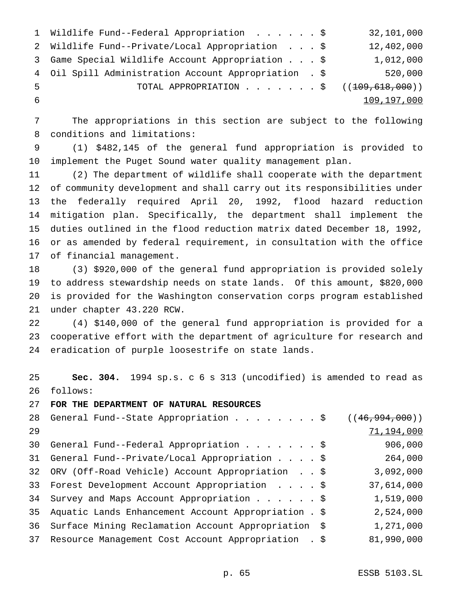|    | 1 Wildlife Fund--Federal Appropriation \$             | 32,101,000  |
|----|-------------------------------------------------------|-------------|
|    | 2 Wildlife Fund--Private/Local Appropriation \$       | 12,402,000  |
|    | 3 Game Special Wildlife Account Appropriation \$      | 1,012,000   |
|    | 4 Oil Spill Administration Account Appropriation . \$ | 520,000     |
| -5 | TOTAL APPROPRIATION \$ $((109,618,000))$              |             |
| -6 |                                                       | 109,197,000 |

 The appropriations in this section are subject to the following conditions and limitations:

 (1) \$482,145 of the general fund appropriation is provided to implement the Puget Sound water quality management plan.

 (2) The department of wildlife shall cooperate with the department of community development and shall carry out its responsibilities under the federally required April 20, 1992, flood hazard reduction mitigation plan. Specifically, the department shall implement the duties outlined in the flood reduction matrix dated December 18, 1992, or as amended by federal requirement, in consultation with the office of financial management.

 (3) \$920,000 of the general fund appropriation is provided solely to address stewardship needs on state lands. Of this amount, \$820,000 is provided for the Washington conservation corps program established under chapter 43.220 RCW.

 (4) \$140,000 of the general fund appropriation is provided for a cooperative effort with the department of agriculture for research and eradication of purple loosestrife on state lands.

 **Sec. 304.** 1994 sp.s. c 6 s 313 (uncodified) is amended to read as follows:

**FOR THE DEPARTMENT OF NATURAL RESOURCES**

|    | 28 General Fund--State Appropriation \$                | ((46, 994, 000)) |
|----|--------------------------------------------------------|------------------|
| 29 |                                                        | 71,194,000       |
| 30 | General Fund--Federal Appropriation \$                 | 906,000          |
|    | 31 General Fund--Private/Local Appropriation \$        | 264,000          |
|    | 32 ORV (Off-Road Vehicle) Account Appropriation \$     | 3,092,000        |
|    | 33 Forest Development Account Appropriation \$         | 37,614,000       |
|    | 34 Survey and Maps Account Appropriation \$            | 1,519,000        |
| 35 | Aquatic Lands Enhancement Account Appropriation . \$   | 2,524,000        |
| 36 | Surface Mining Reclamation Account Appropriation \$    | 1,271,000        |
|    | 37 Resource Management Cost Account Appropriation . \$ | 81,990,000       |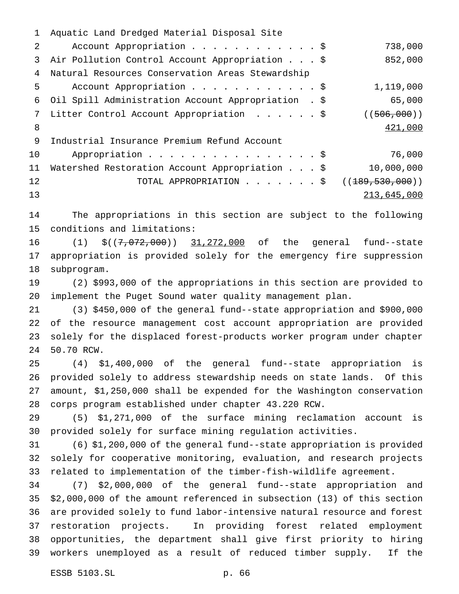Aquatic Land Dredged Material Disposal Site 2 Account Appropriation . . . . . . . . . . . \$ 738,000 Air Pollution Control Account Appropriation...\$ 852,000 Natural Resources Conservation Areas Stewardship Account Appropriation............\$ 1,119,000 Oil Spill Administration Account Appropriation . \$ 65,000 7 Litter Control Account Appropriation . . . . . \$ ((506,000)) 421,000 Industrial Insurance Premium Refund Account Appropriation................\$ 76,000 Watershed Restoration Account Appropriation...\$ 10,000,000 12 TOTAL APPROPRIATION . . . . . . \$ ((<del>189,530,000</del>)) 213,645,000

 The appropriations in this section are subject to the following conditions and limitations:

16 (1)  $$((7,072,000))$  31,272,000 of the general fund--state appropriation is provided solely for the emergency fire suppression subprogram.

 (2) \$993,000 of the appropriations in this section are provided to implement the Puget Sound water quality management plan.

 (3) \$450,000 of the general fund--state appropriation and \$900,000 of the resource management cost account appropriation are provided solely for the displaced forest-products worker program under chapter 50.70 RCW.

 (4) \$1,400,000 of the general fund--state appropriation is provided solely to address stewardship needs on state lands. Of this amount, \$1,250,000 shall be expended for the Washington conservation corps program established under chapter 43.220 RCW.

 (5) \$1,271,000 of the surface mining reclamation account is provided solely for surface mining regulation activities.

 (6) \$1,200,000 of the general fund--state appropriation is provided solely for cooperative monitoring, evaluation, and research projects related to implementation of the timber-fish-wildlife agreement.

 (7) \$2,000,000 of the general fund--state appropriation and \$2,000,000 of the amount referenced in subsection (13) of this section are provided solely to fund labor-intensive natural resource and forest restoration projects. In providing forest related employment opportunities, the department shall give first priority to hiring workers unemployed as a result of reduced timber supply. If the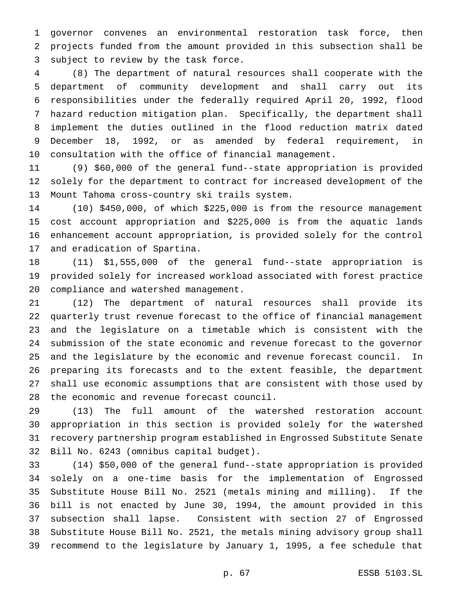governor convenes an environmental restoration task force, then projects funded from the amount provided in this subsection shall be subject to review by the task force.

 (8) The department of natural resources shall cooperate with the department of community development and shall carry out its responsibilities under the federally required April 20, 1992, flood hazard reduction mitigation plan. Specifically, the department shall implement the duties outlined in the flood reduction matrix dated December 18, 1992, or as amended by federal requirement, in consultation with the office of financial management.

 (9) \$60,000 of the general fund--state appropriation is provided solely for the department to contract for increased development of the Mount Tahoma cross-country ski trails system.

 (10) \$450,000, of which \$225,000 is from the resource management cost account appropriation and \$225,000 is from the aquatic lands enhancement account appropriation, is provided solely for the control and eradication of Spartina.

 (11) \$1,555,000 of the general fund--state appropriation is provided solely for increased workload associated with forest practice compliance and watershed management.

 (12) The department of natural resources shall provide its quarterly trust revenue forecast to the office of financial management and the legislature on a timetable which is consistent with the submission of the state economic and revenue forecast to the governor and the legislature by the economic and revenue forecast council. In preparing its forecasts and to the extent feasible, the department shall use economic assumptions that are consistent with those used by the economic and revenue forecast council.

 (13) The full amount of the watershed restoration account appropriation in this section is provided solely for the watershed recovery partnership program established in Engrossed Substitute Senate Bill No. 6243 (omnibus capital budget).

 (14) \$50,000 of the general fund--state appropriation is provided solely on a one-time basis for the implementation of Engrossed Substitute House Bill No. 2521 (metals mining and milling). If the bill is not enacted by June 30, 1994, the amount provided in this subsection shall lapse. Consistent with section 27 of Engrossed Substitute House Bill No. 2521, the metals mining advisory group shall recommend to the legislature by January 1, 1995, a fee schedule that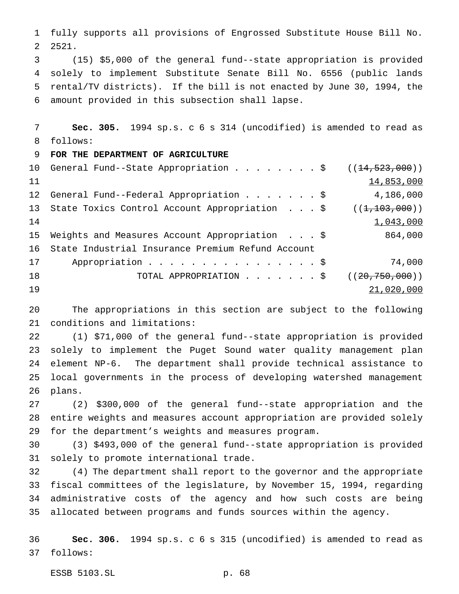fully supports all provisions of Engrossed Substitute House Bill No. 2521.

 (15) \$5,000 of the general fund--state appropriation is provided solely to implement Substitute Senate Bill No. 6556 (public lands rental/TV districts). If the bill is not enacted by June 30, 1994, the amount provided in this subsection shall lapse.

 **Sec. 305.** 1994 sp.s. c 6 s 314 (uncodified) is amended to read as follows:

## **FOR THE DEPARTMENT OF AGRICULTURE**

|    | 10 General Fund--State Appropriation \$ $((14, 523, 000))$     |                    |
|----|----------------------------------------------------------------|--------------------|
| 11 |                                                                | 14,853,000         |
|    | 12 General Fund--Federal Appropriation \$                      | 4,186,000          |
|    | 13 State Toxics Control Account Appropriation \$ ((1,103,000)) |                    |
| 14 |                                                                | 1,043,000          |
|    | 15 Weights and Measures Account Appropriation \$               | 864,000            |
| 16 | State Industrial Insurance Premium Refund Account              |                    |
| 17 | Appropriation \$                                               | 74,000             |
| 18 | TOTAL APPROPRIATION \$                                         | ( (20, 750, 000) ) |
| 19 |                                                                | 21,020,000         |

 The appropriations in this section are subject to the following conditions and limitations:

 (1) \$71,000 of the general fund--state appropriation is provided solely to implement the Puget Sound water quality management plan element NP-6. The department shall provide technical assistance to local governments in the process of developing watershed management plans.

 (2) \$300,000 of the general fund--state appropriation and the entire weights and measures account appropriation are provided solely for the department's weights and measures program.

 (3) \$493,000 of the general fund--state appropriation is provided solely to promote international trade.

 (4) The department shall report to the governor and the appropriate fiscal committees of the legislature, by November 15, 1994, regarding administrative costs of the agency and how such costs are being allocated between programs and funds sources within the agency.

 **Sec. 306.** 1994 sp.s. c 6 s 315 (uncodified) is amended to read as follows:

ESSB 5103.SL p. 68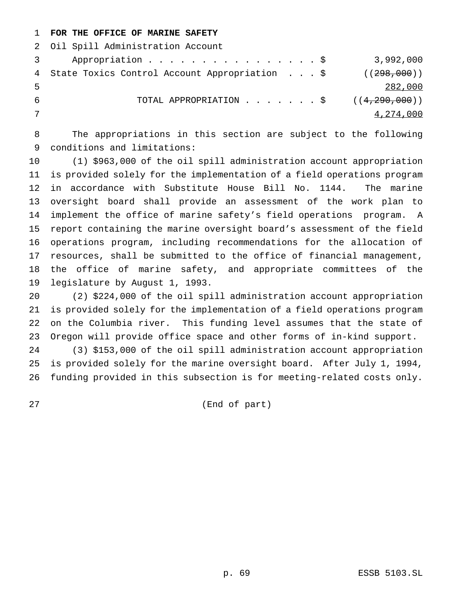# **FOR THE OFFICE OF MARINE SAFETY**

 Oil Spill Administration Account Appropriation................\$ 3,992,000 4 State Toxics Control Account Appropriation . . . \$ ((298,000)) 282,000 6 TOTAL APPROPRIATION  $\ldots$ .....\$ ((4,290,000))  $\frac{4}{274}$ , 000

 The appropriations in this section are subject to the following conditions and limitations:

 (1) \$963,000 of the oil spill administration account appropriation is provided solely for the implementation of a field operations program in accordance with Substitute House Bill No. 1144. The marine oversight board shall provide an assessment of the work plan to implement the office of marine safety's field operations program. A report containing the marine oversight board's assessment of the field operations program, including recommendations for the allocation of resources, shall be submitted to the office of financial management, the office of marine safety, and appropriate committees of the legislature by August 1, 1993.

 (2) \$224,000 of the oil spill administration account appropriation is provided solely for the implementation of a field operations program on the Columbia river. This funding level assumes that the state of Oregon will provide office space and other forms of in-kind support.

 (3) \$153,000 of the oil spill administration account appropriation is provided solely for the marine oversight board. After July 1, 1994, funding provided in this subsection is for meeting-related costs only.

(End of part)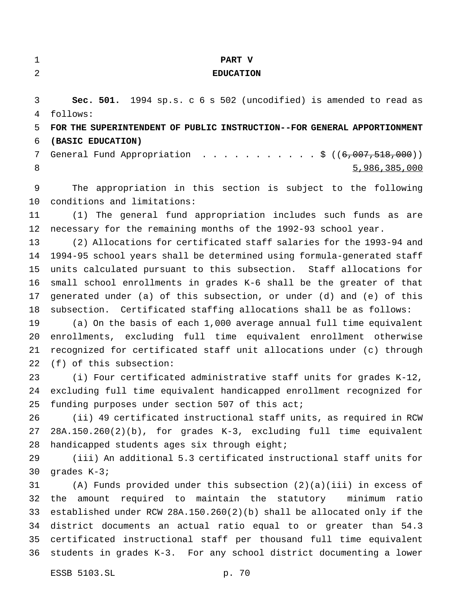| ٠   |  |
|-----|--|
| . . |  |
|     |  |

#### **PART V**

## **EDUCATION**

 **Sec. 501.** 1994 sp.s. c 6 s 502 (uncodified) is amended to read as follows: **FOR THE SUPERINTENDENT OF PUBLIC INSTRUCTION--FOR GENERAL APPORTIONMENT**

**(BASIC EDUCATION)**

7 General Fund Appropriation . . . . . . . . . . \$ ((6,007,518,000)) 5,986,385,000

 The appropriation in this section is subject to the following conditions and limitations:

 (1) The general fund appropriation includes such funds as are necessary for the remaining months of the 1992-93 school year.

 (2) Allocations for certificated staff salaries for the 1993-94 and 1994-95 school years shall be determined using formula-generated staff units calculated pursuant to this subsection. Staff allocations for small school enrollments in grades K-6 shall be the greater of that generated under (a) of this subsection, or under (d) and (e) of this subsection. Certificated staffing allocations shall be as follows:

 (a) On the basis of each 1,000 average annual full time equivalent enrollments, excluding full time equivalent enrollment otherwise recognized for certificated staff unit allocations under (c) through (f) of this subsection:

 (i) Four certificated administrative staff units for grades K-12, excluding full time equivalent handicapped enrollment recognized for 25 funding purposes under section 507 of this act;

 (ii) 49 certificated instructional staff units, as required in RCW 28A.150.260(2)(b), for grades K-3, excluding full time equivalent handicapped students ages six through eight;

 (iii) An additional 5.3 certificated instructional staff units for grades K-3;

 (A) Funds provided under this subsection (2)(a)(iii) in excess of the amount required to maintain the statutory minimum ratio established under RCW 28A.150.260(2)(b) shall be allocated only if the district documents an actual ratio equal to or greater than 54.3 certificated instructional staff per thousand full time equivalent students in grades K-3. For any school district documenting a lower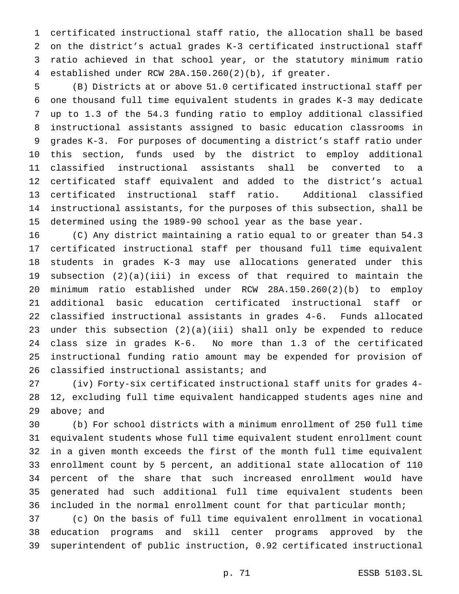certificated instructional staff ratio, the allocation shall be based on the district's actual grades K-3 certificated instructional staff ratio achieved in that school year, or the statutory minimum ratio established under RCW 28A.150.260(2)(b), if greater.

 (B) Districts at or above 51.0 certificated instructional staff per one thousand full time equivalent students in grades K-3 may dedicate up to 1.3 of the 54.3 funding ratio to employ additional classified instructional assistants assigned to basic education classrooms in grades K-3. For purposes of documenting a district's staff ratio under this section, funds used by the district to employ additional classified instructional assistants shall be converted to a certificated staff equivalent and added to the district's actual certificated instructional staff ratio. Additional classified instructional assistants, for the purposes of this subsection, shall be determined using the 1989-90 school year as the base year.

 (C) Any district maintaining a ratio equal to or greater than 54.3 certificated instructional staff per thousand full time equivalent students in grades K-3 may use allocations generated under this subsection (2)(a)(iii) in excess of that required to maintain the minimum ratio established under RCW 28A.150.260(2)(b) to employ additional basic education certificated instructional staff or classified instructional assistants in grades 4-6. Funds allocated under this subsection (2)(a)(iii) shall only be expended to reduce class size in grades K-6. No more than 1.3 of the certificated instructional funding ratio amount may be expended for provision of classified instructional assistants; and

 (iv) Forty-six certificated instructional staff units for grades 4- 12, excluding full time equivalent handicapped students ages nine and above; and

 (b) For school districts with a minimum enrollment of 250 full time equivalent students whose full time equivalent student enrollment count in a given month exceeds the first of the month full time equivalent enrollment count by 5 percent, an additional state allocation of 110 percent of the share that such increased enrollment would have generated had such additional full time equivalent students been included in the normal enrollment count for that particular month;

 (c) On the basis of full time equivalent enrollment in vocational education programs and skill center programs approved by the superintendent of public instruction, 0.92 certificated instructional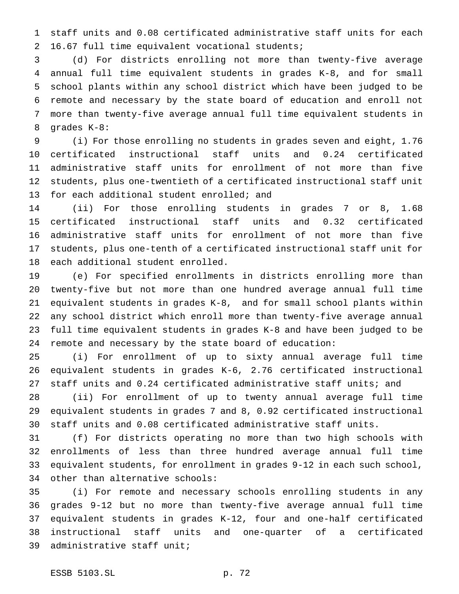staff units and 0.08 certificated administrative staff units for each 16.67 full time equivalent vocational students;

 (d) For districts enrolling not more than twenty-five average annual full time equivalent students in grades K-8, and for small school plants within any school district which have been judged to be remote and necessary by the state board of education and enroll not more than twenty-five average annual full time equivalent students in grades K-8:

 (i) For those enrolling no students in grades seven and eight, 1.76 certificated instructional staff units and 0.24 certificated administrative staff units for enrollment of not more than five students, plus one-twentieth of a certificated instructional staff unit 13 for each additional student enrolled; and

 (ii) For those enrolling students in grades 7 or 8, 1.68 certificated instructional staff units and 0.32 certificated administrative staff units for enrollment of not more than five students, plus one-tenth of a certificated instructional staff unit for each additional student enrolled.

 (e) For specified enrollments in districts enrolling more than twenty-five but not more than one hundred average annual full time equivalent students in grades K-8, and for small school plants within any school district which enroll more than twenty-five average annual full time equivalent students in grades K-8 and have been judged to be remote and necessary by the state board of education:

 (i) For enrollment of up to sixty annual average full time equivalent students in grades K-6, 2.76 certificated instructional staff units and 0.24 certificated administrative staff units; and

 (ii) For enrollment of up to twenty annual average full time equivalent students in grades 7 and 8, 0.92 certificated instructional staff units and 0.08 certificated administrative staff units.

 (f) For districts operating no more than two high schools with enrollments of less than three hundred average annual full time equivalent students, for enrollment in grades 9-12 in each such school, other than alternative schools:

 (i) For remote and necessary schools enrolling students in any grades 9-12 but no more than twenty-five average annual full time equivalent students in grades K-12, four and one-half certificated instructional staff units and one-quarter of a certificated administrative staff unit;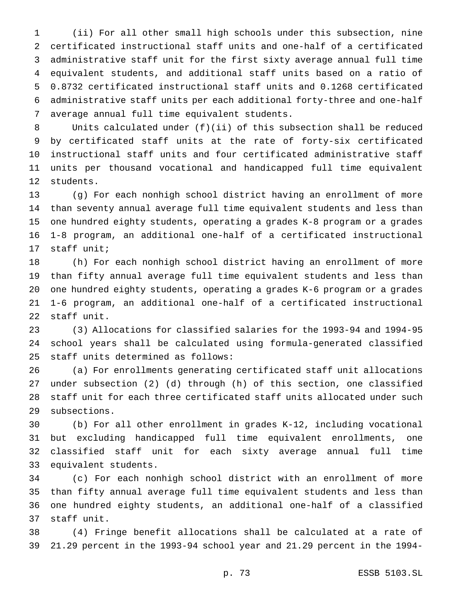(ii) For all other small high schools under this subsection, nine certificated instructional staff units and one-half of a certificated administrative staff unit for the first sixty average annual full time equivalent students, and additional staff units based on a ratio of 0.8732 certificated instructional staff units and 0.1268 certificated administrative staff units per each additional forty-three and one-half average annual full time equivalent students.

 Units calculated under (f)(ii) of this subsection shall be reduced by certificated staff units at the rate of forty-six certificated instructional staff units and four certificated administrative staff units per thousand vocational and handicapped full time equivalent students.

 (g) For each nonhigh school district having an enrollment of more than seventy annual average full time equivalent students and less than one hundred eighty students, operating a grades K-8 program or a grades 1-8 program, an additional one-half of a certificated instructional staff unit;

 (h) For each nonhigh school district having an enrollment of more than fifty annual average full time equivalent students and less than one hundred eighty students, operating a grades K-6 program or a grades 1-6 program, an additional one-half of a certificated instructional staff unit.

 (3) Allocations for classified salaries for the 1993-94 and 1994-95 school years shall be calculated using formula-generated classified staff units determined as follows:

 (a) For enrollments generating certificated staff unit allocations under subsection (2) (d) through (h) of this section, one classified staff unit for each three certificated staff units allocated under such subsections.

 (b) For all other enrollment in grades K-12, including vocational but excluding handicapped full time equivalent enrollments, one classified staff unit for each sixty average annual full time equivalent students.

 (c) For each nonhigh school district with an enrollment of more than fifty annual average full time equivalent students and less than one hundred eighty students, an additional one-half of a classified staff unit.

 (4) Fringe benefit allocations shall be calculated at a rate of 21.29 percent in the 1993-94 school year and 21.29 percent in the 1994-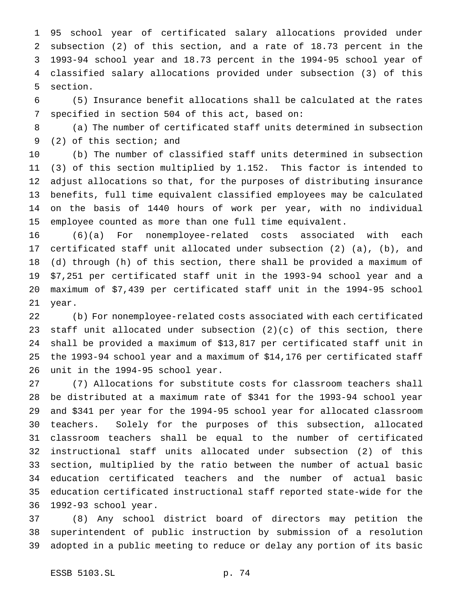95 school year of certificated salary allocations provided under subsection (2) of this section, and a rate of 18.73 percent in the 1993-94 school year and 18.73 percent in the 1994-95 school year of classified salary allocations provided under subsection (3) of this section.

 (5) Insurance benefit allocations shall be calculated at the rates specified in section 504 of this act, based on:

 (a) The number of certificated staff units determined in subsection (2) of this section; and

 (b) The number of classified staff units determined in subsection (3) of this section multiplied by 1.152. This factor is intended to adjust allocations so that, for the purposes of distributing insurance benefits, full time equivalent classified employees may be calculated on the basis of 1440 hours of work per year, with no individual employee counted as more than one full time equivalent.

 (6)(a) For nonemployee-related costs associated with each certificated staff unit allocated under subsection (2) (a), (b), and (d) through (h) of this section, there shall be provided a maximum of \$7,251 per certificated staff unit in the 1993-94 school year and a maximum of \$7,439 per certificated staff unit in the 1994-95 school year.

 (b) For nonemployee-related costs associated with each certificated staff unit allocated under subsection (2)(c) of this section, there shall be provided a maximum of \$13,817 per certificated staff unit in the 1993-94 school year and a maximum of \$14,176 per certificated staff unit in the 1994-95 school year.

 (7) Allocations for substitute costs for classroom teachers shall be distributed at a maximum rate of \$341 for the 1993-94 school year and \$341 per year for the 1994-95 school year for allocated classroom teachers. Solely for the purposes of this subsection, allocated classroom teachers shall be equal to the number of certificated instructional staff units allocated under subsection (2) of this section, multiplied by the ratio between the number of actual basic education certificated teachers and the number of actual basic education certificated instructional staff reported state-wide for the 1992-93 school year.

 (8) Any school district board of directors may petition the superintendent of public instruction by submission of a resolution adopted in a public meeting to reduce or delay any portion of its basic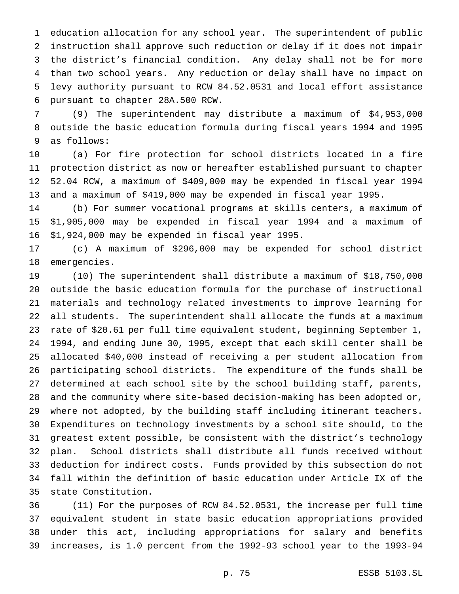education allocation for any school year. The superintendent of public instruction shall approve such reduction or delay if it does not impair the district's financial condition. Any delay shall not be for more than two school years. Any reduction or delay shall have no impact on levy authority pursuant to RCW 84.52.0531 and local effort assistance pursuant to chapter 28A.500 RCW.

 (9) The superintendent may distribute a maximum of \$4,953,000 outside the basic education formula during fiscal years 1994 and 1995 as follows:

 (a) For fire protection for school districts located in a fire protection district as now or hereafter established pursuant to chapter 52.04 RCW, a maximum of \$409,000 may be expended in fiscal year 1994 and a maximum of \$419,000 may be expended in fiscal year 1995.

 (b) For summer vocational programs at skills centers, a maximum of \$1,905,000 may be expended in fiscal year 1994 and a maximum of \$1,924,000 may be expended in fiscal year 1995.

 (c) A maximum of \$296,000 may be expended for school district emergencies.

 (10) The superintendent shall distribute a maximum of \$18,750,000 outside the basic education formula for the purchase of instructional materials and technology related investments to improve learning for all students. The superintendent shall allocate the funds at a maximum rate of \$20.61 per full time equivalent student, beginning September 1, 1994, and ending June 30, 1995, except that each skill center shall be allocated \$40,000 instead of receiving a per student allocation from participating school districts. The expenditure of the funds shall be determined at each school site by the school building staff, parents, and the community where site-based decision-making has been adopted or, where not adopted, by the building staff including itinerant teachers. Expenditures on technology investments by a school site should, to the greatest extent possible, be consistent with the district's technology plan. School districts shall distribute all funds received without deduction for indirect costs. Funds provided by this subsection do not fall within the definition of basic education under Article IX of the state Constitution.

 (11) For the purposes of RCW 84.52.0531, the increase per full time equivalent student in state basic education appropriations provided under this act, including appropriations for salary and benefits increases, is 1.0 percent from the 1992-93 school year to the 1993-94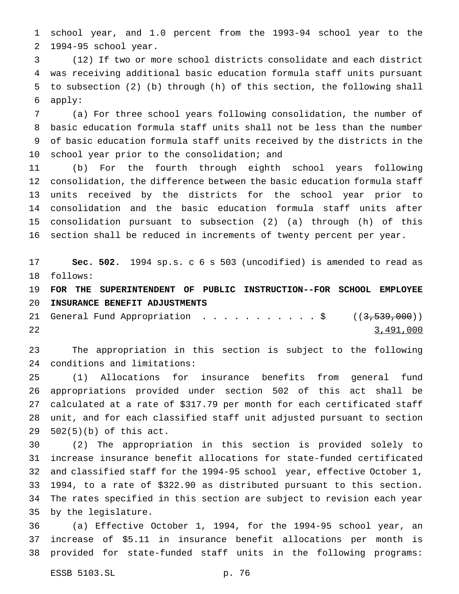school year, and 1.0 percent from the 1993-94 school year to the 1994-95 school year.

 (12) If two or more school districts consolidate and each district was receiving additional basic education formula staff units pursuant to subsection (2) (b) through (h) of this section, the following shall apply:

 (a) For three school years following consolidation, the number of basic education formula staff units shall not be less than the number of basic education formula staff units received by the districts in the school year prior to the consolidation; and

 (b) For the fourth through eighth school years following consolidation, the difference between the basic education formula staff units received by the districts for the school year prior to consolidation and the basic education formula staff units after consolidation pursuant to subsection (2) (a) through (h) of this section shall be reduced in increments of twenty percent per year.

 **Sec. 502.** 1994 sp.s. c 6 s 503 (uncodified) is amended to read as follows:

 **FOR THE SUPERINTENDENT OF PUBLIC INSTRUCTION--FOR SCHOOL EMPLOYEE INSURANCE BENEFIT ADJUSTMENTS**

21 General Fund Appropriation . . . . . . . . . . \$ ((3,539,000)) 3,491,000

 The appropriation in this section is subject to the following conditions and limitations:

 (1) Allocations for insurance benefits from general fund appropriations provided under section 502 of this act shall be calculated at a rate of \$317.79 per month for each certificated staff unit, and for each classified staff unit adjusted pursuant to section 502(5)(b) of this act.

 (2) The appropriation in this section is provided solely to increase insurance benefit allocations for state-funded certificated and classified staff for the 1994-95 school year, effective October 1, 1994, to a rate of \$322.90 as distributed pursuant to this section. The rates specified in this section are subject to revision each year by the legislature.

 (a) Effective October 1, 1994, for the 1994-95 school year, an increase of \$5.11 in insurance benefit allocations per month is provided for state-funded staff units in the following programs: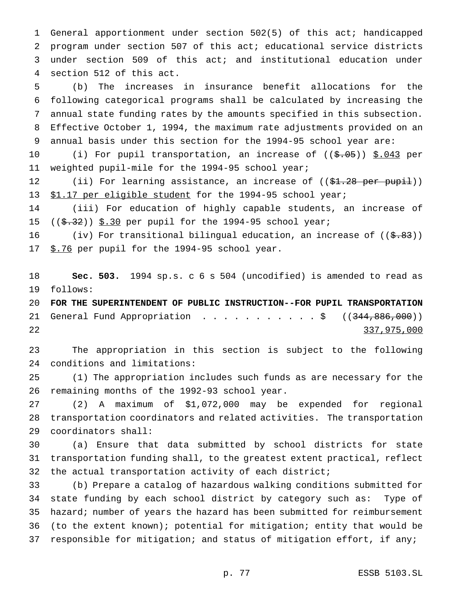General apportionment under section 502(5) of this act; handicapped program under section 507 of this act; educational service districts under section 509 of this act; and institutional education under section 512 of this act.

 (b) The increases in insurance benefit allocations for the following categorical programs shall be calculated by increasing the annual state funding rates by the amounts specified in this subsection. Effective October 1, 1994, the maximum rate adjustments provided on an annual basis under this section for the 1994-95 school year are:

10 (i) For pupil transportation, an increase of ((\$.05)) \$.043 per weighted pupil-mile for the 1994-95 school year;

12 (ii) For learning assistance, an increase of ((\$1.28 per pupil)) \$1.17 per eligible student for the 1994-95 school year;

 (iii) For education of highly capable students, an increase of 15  $((\frac{2}{5}.32))$  \$.30 per pupil for the 1994-95 school year;

16 (iv) For transitional bilingual education, an increase of  $((\frac{2}{5}, 83))$ 17 \$.76 per pupil for the 1994-95 school year.

 **Sec. 503.** 1994 sp.s. c 6 s 504 (uncodified) is amended to read as follows:

 **FOR THE SUPERINTENDENT OF PUBLIC INSTRUCTION--FOR PUPIL TRANSPORTATION** 21 General Fund Appropriation . . . . . . . . . . \$ ((344,886,000)) 337,975,000

 The appropriation in this section is subject to the following conditions and limitations:

 (1) The appropriation includes such funds as are necessary for the remaining months of the 1992-93 school year.

 (2) A maximum of \$1,072,000 may be expended for regional transportation coordinators and related activities. The transportation coordinators shall:

 (a) Ensure that data submitted by school districts for state transportation funding shall, to the greatest extent practical, reflect the actual transportation activity of each district;

 (b) Prepare a catalog of hazardous walking conditions submitted for state funding by each school district by category such as: Type of hazard; number of years the hazard has been submitted for reimbursement (to the extent known); potential for mitigation; entity that would be responsible for mitigation; and status of mitigation effort, if any;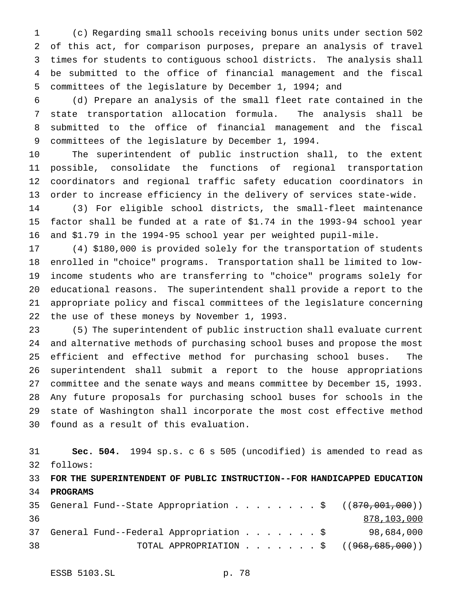(c) Regarding small schools receiving bonus units under section 502 of this act, for comparison purposes, prepare an analysis of travel times for students to contiguous school districts. The analysis shall be submitted to the office of financial management and the fiscal committees of the legislature by December 1, 1994; and

 (d) Prepare an analysis of the small fleet rate contained in the state transportation allocation formula. The analysis shall be submitted to the office of financial management and the fiscal committees of the legislature by December 1, 1994.

 The superintendent of public instruction shall, to the extent possible, consolidate the functions of regional transportation coordinators and regional traffic safety education coordinators in order to increase efficiency in the delivery of services state-wide.

 (3) For eligible school districts, the small-fleet maintenance factor shall be funded at a rate of \$1.74 in the 1993-94 school year and \$1.79 in the 1994-95 school year per weighted pupil-mile.

 (4) \$180,000 is provided solely for the transportation of students enrolled in "choice" programs. Transportation shall be limited to low- income students who are transferring to "choice" programs solely for educational reasons. The superintendent shall provide a report to the appropriate policy and fiscal committees of the legislature concerning the use of these moneys by November 1, 1993.

 (5) The superintendent of public instruction shall evaluate current and alternative methods of purchasing school buses and propose the most efficient and effective method for purchasing school buses. The superintendent shall submit a report to the house appropriations committee and the senate ways and means committee by December 15, 1993. Any future proposals for purchasing school buses for schools in the state of Washington shall incorporate the most cost effective method found as a result of this evaluation.

 **Sec. 504.** 1994 sp.s. c 6 s 505 (uncodified) is amended to read as follows:

 **FOR THE SUPERINTENDENT OF PUBLIC INSTRUCTION--FOR HANDICAPPED EDUCATION PROGRAMS**

|    |  |  |  |  |  | 35 General Fund--State Appropriation \$ $((870,001,000))$                 |
|----|--|--|--|--|--|---------------------------------------------------------------------------|
| 36 |  |  |  |  |  | 878,103,000                                                               |
|    |  |  |  |  |  | 37 General Fund--Federal Appropriation $\ldots$ \$ 98,684,000             |
| 38 |  |  |  |  |  | TOTAL APPROPRIATION $\cdot \cdot \cdot \cdot \cdot \cdot$ ((968,685,000)) |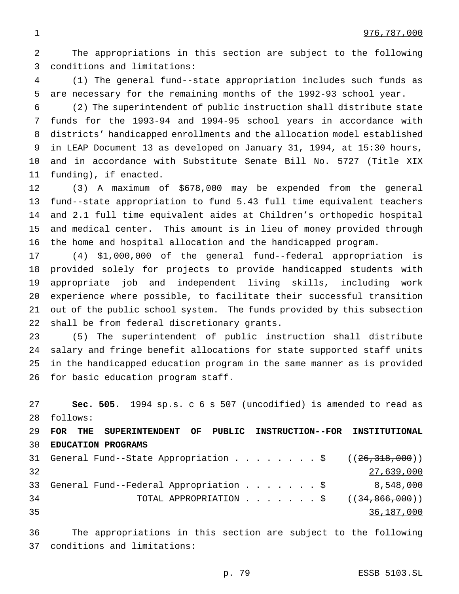The appropriations in this section are subject to the following conditions and limitations:

 (1) The general fund--state appropriation includes such funds as are necessary for the remaining months of the 1992-93 school year.

 (2) The superintendent of public instruction shall distribute state funds for the 1993-94 and 1994-95 school years in accordance with districts' handicapped enrollments and the allocation model established in LEAP Document 13 as developed on January 31, 1994, at 15:30 hours, and in accordance with Substitute Senate Bill No. 5727 (Title XIX funding), if enacted.

 (3) A maximum of \$678,000 may be expended from the general fund--state appropriation to fund 5.43 full time equivalent teachers and 2.1 full time equivalent aides at Children's orthopedic hospital and medical center. This amount is in lieu of money provided through the home and hospital allocation and the handicapped program.

 (4) \$1,000,000 of the general fund--federal appropriation is provided solely for projects to provide handicapped students with appropriate job and independent living skills, including work experience where possible, to facilitate their successful transition out of the public school system. The funds provided by this subsection shall be from federal discretionary grants.

 (5) The superintendent of public instruction shall distribute salary and fringe benefit allocations for state supported staff units in the handicapped education program in the same manner as is provided for basic education program staff.

 **Sec. 505.** 1994 sp.s. c 6 s 507 (uncodified) is amended to read as follows: **FOR THE SUPERINTENDENT OF PUBLIC INSTRUCTION--FOR INSTITUTIONAL EDUCATION PROGRAMS** 31 General Fund--State Appropriation . . . . . . . \$  $((26,318,000))$  27,639,000 General Fund--Federal Appropriation.......\$ 8,548,000 34 TOTAL APPROPRIATION . . . . . . \$ ((<del>34,866,000</del>)) 36,187,000

 The appropriations in this section are subject to the following conditions and limitations:

p. 79 ESSB 5103.SL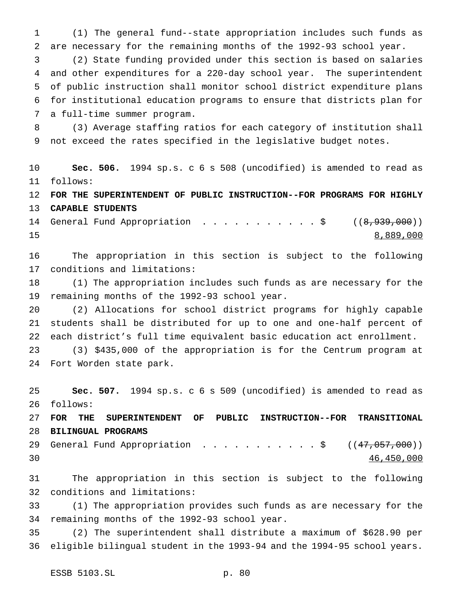(1) The general fund--state appropriation includes such funds as are necessary for the remaining months of the 1992-93 school year.

 (2) State funding provided under this section is based on salaries and other expenditures for a 220-day school year. The superintendent of public instruction shall monitor school district expenditure plans for institutional education programs to ensure that districts plan for a full-time summer program.

 (3) Average staffing ratios for each category of institution shall not exceed the rates specified in the legislative budget notes.

 **Sec. 506.** 1994 sp.s. c 6 s 508 (uncodified) is amended to read as follows:

 **FOR THE SUPERINTENDENT OF PUBLIC INSTRUCTION--FOR PROGRAMS FOR HIGHLY CAPABLE STUDENTS**

14 General Fund Appropriation . . . . . . . . . . \$ ((8,939,000)) 8,889,000

 The appropriation in this section is subject to the following conditions and limitations:

 (1) The appropriation includes such funds as are necessary for the remaining months of the 1992-93 school year.

 (2) Allocations for school district programs for highly capable students shall be distributed for up to one and one-half percent of each district's full time equivalent basic education act enrollment.

 (3) \$435,000 of the appropriation is for the Centrum program at Fort Worden state park.

 **Sec. 507.** 1994 sp.s. c 6 s 509 (uncodified) is amended to read as follows:

 **FOR THE SUPERINTENDENT OF PUBLIC INSTRUCTION--FOR TRANSITIONAL BILINGUAL PROGRAMS**

29 General Fund Appropriation . . . . . . . . . . \$ ((47,057,000)) 46,450,000

 The appropriation in this section is subject to the following conditions and limitations:

 (1) The appropriation provides such funds as are necessary for the remaining months of the 1992-93 school year.

 (2) The superintendent shall distribute a maximum of \$628.90 per eligible bilingual student in the 1993-94 and the 1994-95 school years.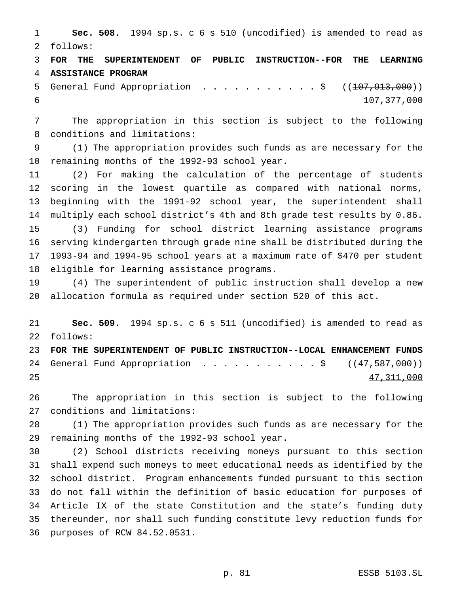**Sec. 508.** 1994 sp.s. c 6 s 510 (uncodified) is amended to read as follows:

 **FOR THE SUPERINTENDENT OF PUBLIC INSTRUCTION--FOR THE LEARNING ASSISTANCE PROGRAM**

5 General Fund Appropriation . . . . . . . . . . \$ ((107,913,000)) 107,377,000

 The appropriation in this section is subject to the following conditions and limitations:

 (1) The appropriation provides such funds as are necessary for the remaining months of the 1992-93 school year.

 (2) For making the calculation of the percentage of students scoring in the lowest quartile as compared with national norms, beginning with the 1991-92 school year, the superintendent shall multiply each school district's 4th and 8th grade test results by 0.86. (3) Funding for school district learning assistance programs serving kindergarten through grade nine shall be distributed during the 1993-94 and 1994-95 school years at a maximum rate of \$470 per student eligible for learning assistance programs.

 (4) The superintendent of public instruction shall develop a new allocation formula as required under section 520 of this act.

 **Sec. 509.** 1994 sp.s. c 6 s 511 (uncodified) is amended to read as follows:

 **FOR THE SUPERINTENDENT OF PUBLIC INSTRUCTION--LOCAL ENHANCEMENT FUNDS** 24 General Fund Appropriation . . . . . . . . . . \$ ((47,587,000)) 47,311,000

 The appropriation in this section is subject to the following conditions and limitations:

 (1) The appropriation provides such funds as are necessary for the remaining months of the 1992-93 school year.

 (2) School districts receiving moneys pursuant to this section shall expend such moneys to meet educational needs as identified by the school district. Program enhancements funded pursuant to this section do not fall within the definition of basic education for purposes of Article IX of the state Constitution and the state's funding duty thereunder, nor shall such funding constitute levy reduction funds for purposes of RCW 84.52.0531.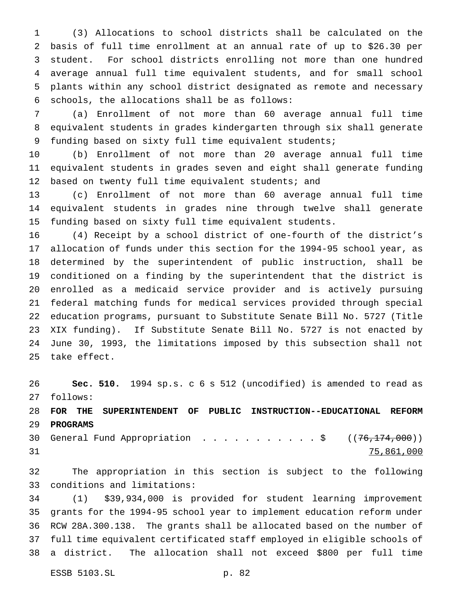(3) Allocations to school districts shall be calculated on the basis of full time enrollment at an annual rate of up to \$26.30 per student. For school districts enrolling not more than one hundred average annual full time equivalent students, and for small school plants within any school district designated as remote and necessary schools, the allocations shall be as follows:

 (a) Enrollment of not more than 60 average annual full time equivalent students in grades kindergarten through six shall generate funding based on sixty full time equivalent students;

 (b) Enrollment of not more than 20 average annual full time equivalent students in grades seven and eight shall generate funding based on twenty full time equivalent students; and

 (c) Enrollment of not more than 60 average annual full time equivalent students in grades nine through twelve shall generate funding based on sixty full time equivalent students.

 (4) Receipt by a school district of one-fourth of the district's allocation of funds under this section for the 1994-95 school year, as determined by the superintendent of public instruction, shall be conditioned on a finding by the superintendent that the district is enrolled as a medicaid service provider and is actively pursuing federal matching funds for medical services provided through special education programs, pursuant to Substitute Senate Bill No. 5727 (Title XIX funding). If Substitute Senate Bill No. 5727 is not enacted by June 30, 1993, the limitations imposed by this subsection shall not take effect.

 **Sec. 510.** 1994 sp.s. c 6 s 512 (uncodified) is amended to read as follows:

 **FOR THE SUPERINTENDENT OF PUBLIC INSTRUCTION--EDUCATIONAL REFORM PROGRAMS**

30 General Fund Appropriation . . . . . . . . . . \$ ((76,174,000)) 75,861,000

 The appropriation in this section is subject to the following conditions and limitations:

 (1) \$39,934,000 is provided for student learning improvement grants for the 1994-95 school year to implement education reform under RCW 28A.300.138. The grants shall be allocated based on the number of full time equivalent certificated staff employed in eligible schools of a district. The allocation shall not exceed \$800 per full time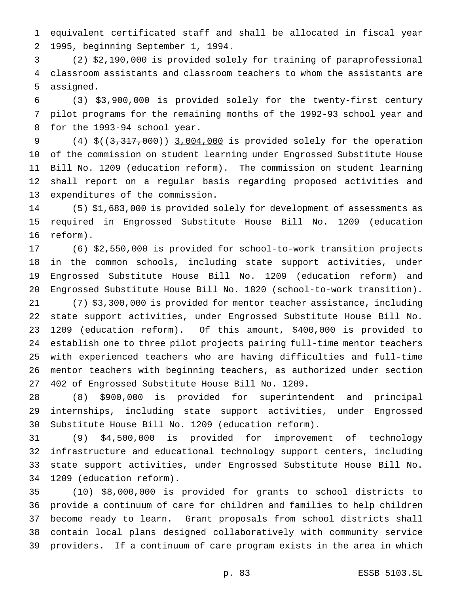equivalent certificated staff and shall be allocated in fiscal year 1995, beginning September 1, 1994.

 (2) \$2,190,000 is provided solely for training of paraprofessional classroom assistants and classroom teachers to whom the assistants are assigned.

 (3) \$3,900,000 is provided solely for the twenty-first century pilot programs for the remaining months of the 1992-93 school year and for the 1993-94 school year.

 (4) \$((3,317,000)) 3,004,000 is provided solely for the operation of the commission on student learning under Engrossed Substitute House Bill No. 1209 (education reform). The commission on student learning shall report on a regular basis regarding proposed activities and expenditures of the commission.

 (5) \$1,683,000 is provided solely for development of assessments as required in Engrossed Substitute House Bill No. 1209 (education reform).

 (6) \$2,550,000 is provided for school-to-work transition projects in the common schools, including state support activities, under Engrossed Substitute House Bill No. 1209 (education reform) and Engrossed Substitute House Bill No. 1820 (school-to-work transition).

 (7) \$3,300,000 is provided for mentor teacher assistance, including state support activities, under Engrossed Substitute House Bill No. 1209 (education reform). Of this amount, \$400,000 is provided to establish one to three pilot projects pairing full-time mentor teachers with experienced teachers who are having difficulties and full-time mentor teachers with beginning teachers, as authorized under section 402 of Engrossed Substitute House Bill No. 1209.

 (8) \$900,000 is provided for superintendent and principal internships, including state support activities, under Engrossed Substitute House Bill No. 1209 (education reform).

 (9) \$4,500,000 is provided for improvement of technology infrastructure and educational technology support centers, including state support activities, under Engrossed Substitute House Bill No. 1209 (education reform).

 (10) \$8,000,000 is provided for grants to school districts to provide a continuum of care for children and families to help children become ready to learn. Grant proposals from school districts shall contain local plans designed collaboratively with community service providers. If a continuum of care program exists in the area in which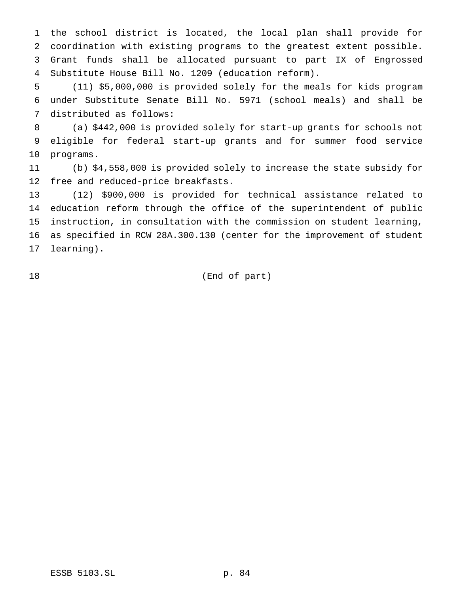the school district is located, the local plan shall provide for coordination with existing programs to the greatest extent possible. Grant funds shall be allocated pursuant to part IX of Engrossed Substitute House Bill No. 1209 (education reform).

 (11) \$5,000,000 is provided solely for the meals for kids program under Substitute Senate Bill No. 5971 (school meals) and shall be distributed as follows:

 (a) \$442,000 is provided solely for start-up grants for schools not eligible for federal start-up grants and for summer food service programs.

 (b) \$4,558,000 is provided solely to increase the state subsidy for free and reduced-price breakfasts.

 (12) \$900,000 is provided for technical assistance related to education reform through the office of the superintendent of public instruction, in consultation with the commission on student learning, as specified in RCW 28A.300.130 (center for the improvement of student learning).

(End of part)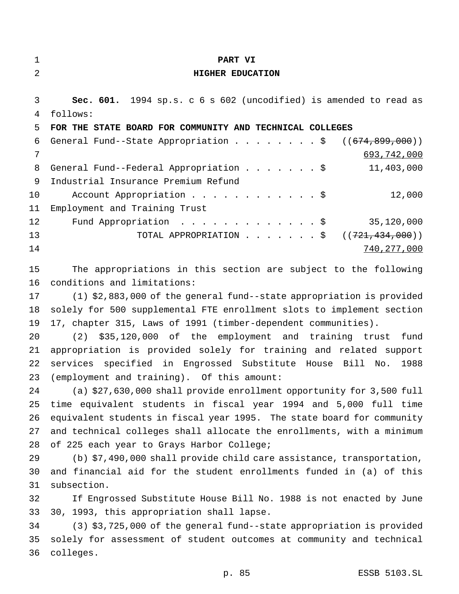| $\mathbf 1$    | PART VI                                                                |
|----------------|------------------------------------------------------------------------|
| $\overline{2}$ | HIGHER EDUCATION                                                       |
| 3              | Sec. 601. 1994 sp.s. c 6 s 602 (uncodified) is amended to read as      |
| 4              | follows:                                                               |
| 5              | FOR THE STATE BOARD FOR COMMUNITY AND TECHNICAL COLLEGES               |
| 6              | General Fund--State Appropriation \$<br>((674, 899, 000))              |
| 7              | 693,742,000                                                            |
| 8              | General Fund--Federal Appropriation \$<br>11,403,000                   |
| 9              | Industrial Insurance Premium Refund                                    |
| 10             | 12,000<br>Account Appropriation \$                                     |
| 11             | Employment and Training Trust                                          |
| 12             | Fund Appropriation $\frac{1}{5}$<br>35,120,000                         |
| 13             | TOTAL APPROPRIATION ( $(721, 434, 000)$ )                              |
| 14             | 740, 277, 000                                                          |
|                |                                                                        |
| 15             | The appropriations in this section are subject to the following        |
| 16             | conditions and limitations:                                            |
| 17             | $(1)$ \$2,883,000 of the general fund--state appropriation is provided |
| 18             | solely for 500 supplemental FTE enrollment slots to implement section  |
| 19             | 17, chapter 315, Laws of 1991 (timber-dependent communities).          |
| 20             | (2) \$35,120,000 of the employment and training trust<br>fund          |
| 21             | appropriation is provided solely for training and related support      |
| 22             | services specified in Engrossed Substitute House Bill No.<br>1988      |
| 23             | (employment and training). Of this amount:                             |
| 24             | (a) \$27,630,000 shall provide enrollment opportunity for 3,500 full   |
| 25             | time equivalent students in fiscal year 1994 and 5,000 full time       |
| 26             | equivalent students in fiscal year 1995. The state board for community |
| 27             | and technical colleges shall allocate the enrollments, with a minimum  |
| 28             | of 225 each year to Grays Harbor College;                              |
| 29             | $(b)$ \$7,490,000 shall provide child care assistance, transportation, |
| 30             | and financial aid for the student enrollments funded in (a) of this    |

 If Engrossed Substitute House Bill No. 1988 is not enacted by June 30, 1993, this appropriation shall lapse.

subsection.

 (3) \$3,725,000 of the general fund--state appropriation is provided solely for assessment of student outcomes at community and technical colleges.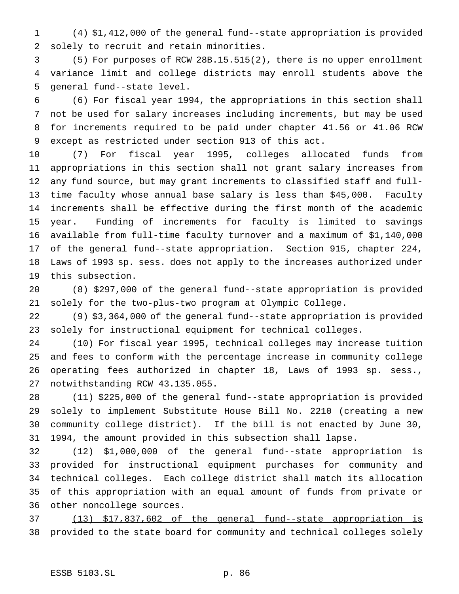(4) \$1,412,000 of the general fund--state appropriation is provided solely to recruit and retain minorities.

 (5) For purposes of RCW 28B.15.515(2), there is no upper enrollment variance limit and college districts may enroll students above the general fund--state level.

 (6) For fiscal year 1994, the appropriations in this section shall not be used for salary increases including increments, but may be used for increments required to be paid under chapter 41.56 or 41.06 RCW except as restricted under section 913 of this act.

 (7) For fiscal year 1995, colleges allocated funds from appropriations in this section shall not grant salary increases from any fund source, but may grant increments to classified staff and full- time faculty whose annual base salary is less than \$45,000. Faculty increments shall be effective during the first month of the academic year. Funding of increments for faculty is limited to savings available from full-time faculty turnover and a maximum of \$1,140,000 of the general fund--state appropriation. Section 915, chapter 224, Laws of 1993 sp. sess. does not apply to the increases authorized under this subsection.

 (8) \$297,000 of the general fund--state appropriation is provided solely for the two-plus-two program at Olympic College.

 (9) \$3,364,000 of the general fund--state appropriation is provided solely for instructional equipment for technical colleges.

 (10) For fiscal year 1995, technical colleges may increase tuition and fees to conform with the percentage increase in community college operating fees authorized in chapter 18, Laws of 1993 sp. sess., notwithstanding RCW 43.135.055.

 (11) \$225,000 of the general fund--state appropriation is provided solely to implement Substitute House Bill No. 2210 (creating a new community college district). If the bill is not enacted by June 30, 1994, the amount provided in this subsection shall lapse.

 (12) \$1,000,000 of the general fund--state appropriation is provided for instructional equipment purchases for community and technical colleges. Each college district shall match its allocation of this appropriation with an equal amount of funds from private or other noncollege sources.

 (13) \$17,837,602 of the general fund--state appropriation is provided to the state board for community and technical colleges solely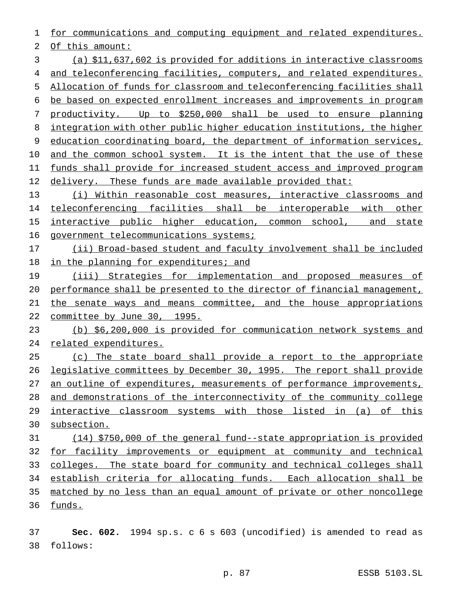for communications and computing equipment and related expenditures.

Of this amount:

 (a) \$11,637,602 is provided for additions in interactive classrooms and teleconferencing facilities, computers, and related expenditures. Allocation of funds for classroom and teleconferencing facilities shall be based on expected enrollment increases and improvements in program productivity. Up to \$250,000 shall be used to ensure planning integration with other public higher education institutions, the higher education coordinating board, the department of information services, 10 and the common school system. It is the intent that the use of these 11 funds shall provide for increased student access and improved program 12 delivery. These funds are made available provided that:

 (i) Within reasonable cost measures, interactive classrooms and 14 teleconferencing facilities shall be interoperable with other 15 interactive public higher education, common school, and state 16 government telecommunications systems;

 (ii) Broad-based student and faculty involvement shall be included 18 in the planning for expenditures; and

19 (iii) Strategies for implementation and proposed measures of performance shall be presented to the director of financial management, the senate ways and means committee, and the house appropriations committee by June 30, 1995.

 (b) \$6,200,000 is provided for communication network systems and related expenditures.

 (c) The state board shall provide a report to the appropriate legislative committees by December 30, 1995. The report shall provide an outline of expenditures, measurements of performance improvements, 28 and demonstrations of the interconnectivity of the community college interactive classroom systems with those listed in (a) of this subsection.

 (14) \$750,000 of the general fund--state appropriation is provided for facility improvements or equipment at community and technical 33 colleges. The state board for community and technical colleges shall establish criteria for allocating funds. Each allocation shall be matched by no less than an equal amount of private or other noncollege funds.

 **Sec. 602.** 1994 sp.s. c 6 s 603 (uncodified) is amended to read as follows: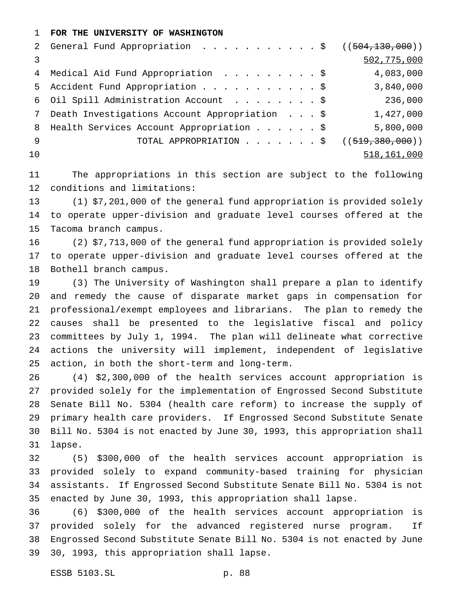# **FOR THE UNIVERSITY OF WASHINGTON**

|     | 2 General Fund Appropriation \$ ((504,130,000)) |             |
|-----|-------------------------------------------------|-------------|
|     |                                                 | 502,775,000 |
|     | 4 Medical Aid Fund Appropriation \$             | 4,083,000   |
|     | 5 Accident Fund Appropriation \$                | 3,840,000   |
|     | 6 Oil Spill Administration Account \$           | 236,000     |
|     | Death Investigations Account Appropriation \$   | 1,427,000   |
|     | 8 Health Services Account Appropriation \$      | 5,800,000   |
| - 9 | TOTAL APPROPRIATION \$ $((519,380,000))$        |             |
| 10  |                                                 | 518,161,000 |
|     |                                                 |             |

 The appropriations in this section are subject to the following conditions and limitations:

 (1) \$7,201,000 of the general fund appropriation is provided solely to operate upper-division and graduate level courses offered at the Tacoma branch campus.

 (2) \$7,713,000 of the general fund appropriation is provided solely to operate upper-division and graduate level courses offered at the Bothell branch campus.

 (3) The University of Washington shall prepare a plan to identify and remedy the cause of disparate market gaps in compensation for professional/exempt employees and librarians. The plan to remedy the causes shall be presented to the legislative fiscal and policy committees by July 1, 1994. The plan will delineate what corrective actions the university will implement, independent of legislative action, in both the short-term and long-term.

 (4) \$2,300,000 of the health services account appropriation is provided solely for the implementation of Engrossed Second Substitute Senate Bill No. 5304 (health care reform) to increase the supply of primary health care providers. If Engrossed Second Substitute Senate Bill No. 5304 is not enacted by June 30, 1993, this appropriation shall lapse.

 (5) \$300,000 of the health services account appropriation is provided solely to expand community-based training for physician assistants. If Engrossed Second Substitute Senate Bill No. 5304 is not enacted by June 30, 1993, this appropriation shall lapse.

 (6) \$300,000 of the health services account appropriation is provided solely for the advanced registered nurse program. If Engrossed Second Substitute Senate Bill No. 5304 is not enacted by June 30, 1993, this appropriation shall lapse.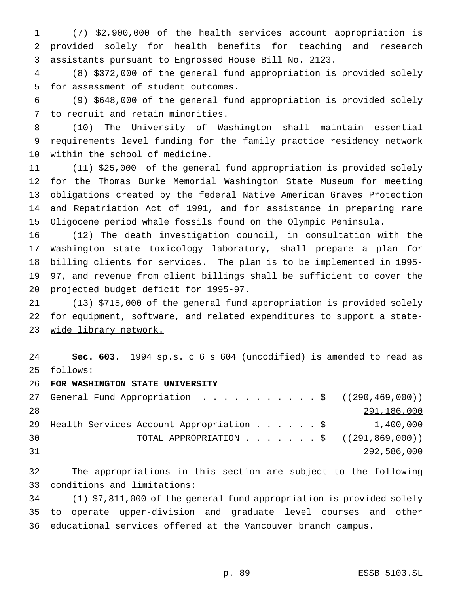(7) \$2,900,000 of the health services account appropriation is provided solely for health benefits for teaching and research assistants pursuant to Engrossed House Bill No. 2123.

 (8) \$372,000 of the general fund appropriation is provided solely for assessment of student outcomes.

 (9) \$648,000 of the general fund appropriation is provided solely to recruit and retain minorities.

 (10) The University of Washington shall maintain essential requirements level funding for the family practice residency network within the school of medicine.

 (11) \$25,000 of the general fund appropriation is provided solely for the Thomas Burke Memorial Washington State Museum for meeting obligations created by the federal Native American Graves Protection and Repatriation Act of 1991, and for assistance in preparing rare Oligocene period whale fossils found on the Olympic Peninsula.

 (12) The death investigation council, in consultation with the Washington state toxicology laboratory, shall prepare a plan for billing clients for services. The plan is to be implemented in 1995- 97, and revenue from client billings shall be sufficient to cover the projected budget deficit for 1995-97.

 (13) \$715,000 of the general fund appropriation is provided solely 22 for equipment, software, and related expenditures to support a state-23 wide library network.

 **Sec. 603.** 1994 sp.s. c 6 s 604 (uncodified) is amended to read as follows:

**FOR WASHINGTON STATE UNIVERSITY**

|    | 27 General Fund Appropriation \$ $((290, 469, 000))$  |             |
|----|-------------------------------------------------------|-------------|
| 28 |                                                       | 291,186,000 |
|    | 29 Health Services Account Appropriation \$ 1,400,000 |             |
| 30 |                                                       |             |
| 31 |                                                       | 292,586,000 |

 The appropriations in this section are subject to the following conditions and limitations:

 (1) \$7,811,000 of the general fund appropriation is provided solely to operate upper-division and graduate level courses and other educational services offered at the Vancouver branch campus.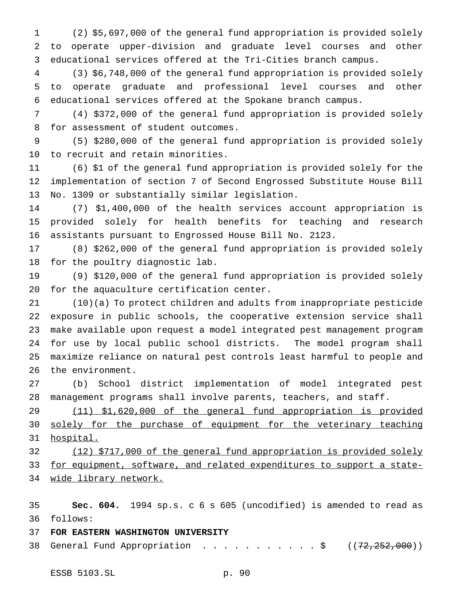(2) \$5,697,000 of the general fund appropriation is provided solely to operate upper-division and graduate level courses and other educational services offered at the Tri-Cities branch campus.

 (3) \$6,748,000 of the general fund appropriation is provided solely to operate graduate and professional level courses and other educational services offered at the Spokane branch campus.

 (4) \$372,000 of the general fund appropriation is provided solely for assessment of student outcomes.

 (5) \$280,000 of the general fund appropriation is provided solely to recruit and retain minorities.

 (6) \$1 of the general fund appropriation is provided solely for the implementation of section 7 of Second Engrossed Substitute House Bill No. 1309 or substantially similar legislation.

 (7) \$1,400,000 of the health services account appropriation is provided solely for health benefits for teaching and research assistants pursuant to Engrossed House Bill No. 2123.

 (8) \$262,000 of the general fund appropriation is provided solely for the poultry diagnostic lab.

 (9) \$120,000 of the general fund appropriation is provided solely for the aquaculture certification center.

 (10)(a) To protect children and adults from inappropriate pesticide exposure in public schools, the cooperative extension service shall make available upon request a model integrated pest management program for use by local public school districts. The model program shall maximize reliance on natural pest controls least harmful to people and the environment.

 (b) School district implementation of model integrated pest management programs shall involve parents, teachers, and staff.

 (11) \$1,620,000 of the general fund appropriation is provided 30 solely for the purchase of equipment for the veterinary teaching hospital.

 (12) \$717,000 of the general fund appropriation is provided solely 33 for equipment, software, and related expenditures to support a state-wide library network.

 **Sec. 604.** 1994 sp.s. c 6 s 605 (uncodified) is amended to read as follows:

# **FOR EASTERN WASHINGTON UNIVERSITY**

38 General Fund Appropriation . . . . . . . . . . \$  $((72, 252, 000))$ 

ESSB 5103.SL p. 90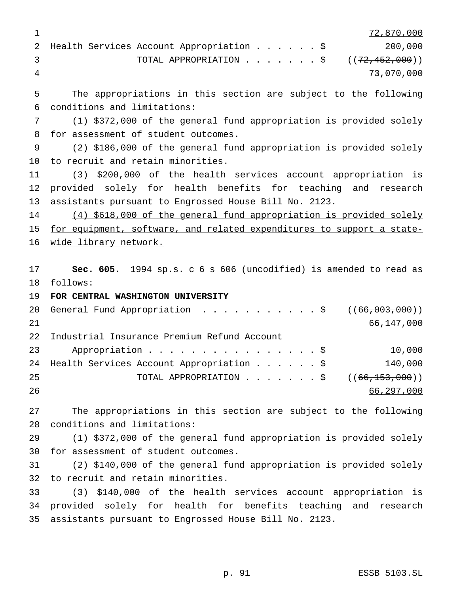|  |                                               |  |  |  | 72,870,000 |
|--|-----------------------------------------------|--|--|--|------------|
|  | 2 Health Services Account Appropriation \$    |  |  |  | 200,000    |
|  | TOTAL APPROPRIATION $\ldots$ , ((72,452,000)) |  |  |  |            |
|  |                                               |  |  |  | 73,070,000 |

 The appropriations in this section are subject to the following conditions and limitations:

 (1) \$372,000 of the general fund appropriation is provided solely for assessment of student outcomes.

 (2) \$186,000 of the general fund appropriation is provided solely to recruit and retain minorities.

 (3) \$200,000 of the health services account appropriation is provided solely for health benefits for teaching and research assistants pursuant to Engrossed House Bill No. 2123.

14 (4) \$618,000 of the general fund appropriation is provided solely for equipment, software, and related expenditures to support a state-16 wide library network.

 **Sec. 605.** 1994 sp.s. c 6 s 606 (uncodified) is amended to read as follows:

**FOR CENTRAL WASHINGTON UNIVERSITY**

|    | 20 General Fund Appropriation \$ ((66,003,000))                     |            |
|----|---------------------------------------------------------------------|------------|
| 21 |                                                                     | 66,147,000 |
|    | 22 Industrial Insurance Premium Refund Account                      |            |
| 23 | Appropriation $\frac{1}{5}$                                         | 10,000     |
|    | 24 Health Services Account Appropriation \$                         | 140,000    |
| 25 | TOTAL APPROPRIATION $\ldots$ , $\ldots$ , $\ddot{S}$ ((66,153,000)) |            |
| 26 |                                                                     | 66,297,000 |

 The appropriations in this section are subject to the following conditions and limitations:

 (1) \$372,000 of the general fund appropriation is provided solely for assessment of student outcomes.

 (2) \$140,000 of the general fund appropriation is provided solely to recruit and retain minorities.

 (3) \$140,000 of the health services account appropriation is provided solely for health for benefits teaching and research assistants pursuant to Engrossed House Bill No. 2123.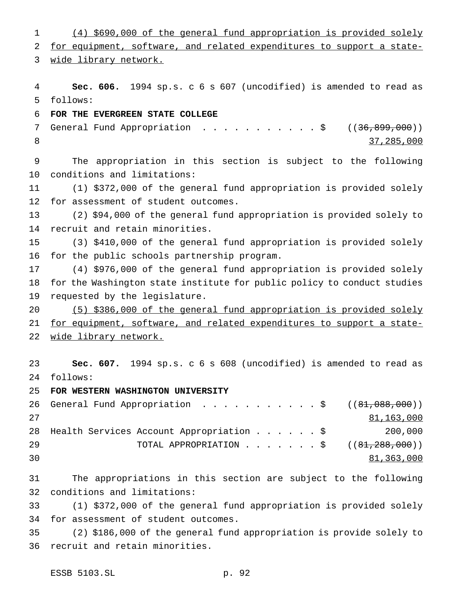(4) \$690,000 of the general fund appropriation is provided solely for equipment, software, and related expenditures to support a state- wide library network. **Sec. 606.** 1994 sp.s. c 6 s 607 (uncodified) is amended to read as follows: **FOR THE EVERGREEN STATE COLLEGE** 7 General Fund Appropriation . . . . . . . . . . \$ ((36,899,000)) 37,285,000 The appropriation in this section is subject to the following conditions and limitations: (1) \$372,000 of the general fund appropriation is provided solely for assessment of student outcomes. (2) \$94,000 of the general fund appropriation is provided solely to recruit and retain minorities. (3) \$410,000 of the general fund appropriation is provided solely for the public schools partnership program. (4) \$976,000 of the general fund appropriation is provided solely for the Washington state institute for public policy to conduct studies requested by the legislature. (5) \$386,000 of the general fund appropriation is provided solely for equipment, software, and related expenditures to support a state- wide library network. **Sec. 607.** 1994 sp.s. c 6 s 608 (uncodified) is amended to read as follows: **FOR WESTERN WASHINGTON UNIVERSITY** 26 General Fund Appropriation . . . . . . . . . . \$ ((81,088,000)) 81,163,000 Health Services Account Appropriation......\$ 200,000 29 TOTAL APPROPRIATION . . . . . . \$ ((<del>81,288,000</del>)) 81,363,000 The appropriations in this section are subject to the following conditions and limitations: (1) \$372,000 of the general fund appropriation is provided solely for assessment of student outcomes. (2) \$186,000 of the general fund appropriation is provide solely to recruit and retain minorities.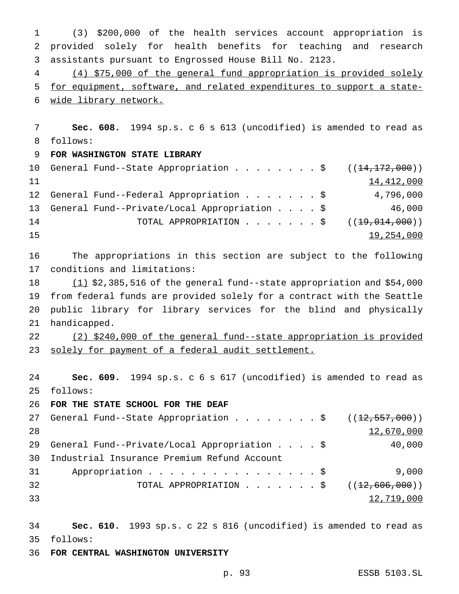(3) \$200,000 of the health services account appropriation is provided solely for health benefits for teaching and research assistants pursuant to Engrossed House Bill No. 2123. (4) \$75,000 of the general fund appropriation is provided solely

 for equipment, software, and related expenditures to support a state-wide library network.

 **Sec. 608.** 1994 sp.s. c 6 s 613 (uncodified) is amended to read as follows:

# **FOR WASHINGTON STATE LIBRARY**

|    | 10 General Fund--State Appropriation \$ $((14,172,000))$                 |  |  |            |
|----|--------------------------------------------------------------------------|--|--|------------|
| 11 |                                                                          |  |  | 14,412,000 |
|    | 12 General Fund--Federal Appropriation \$                                |  |  | 4,796,000  |
|    | 13 General Fund--Private/Local Appropriation \$                          |  |  | 46,000     |
| 14 | TOTAL APPROPRIATION $\cdot \cdot \cdot \cdot \cdot \cdot$ ((19,014,000)) |  |  |            |
| 15 |                                                                          |  |  | 19,254,000 |

 The appropriations in this section are subject to the following conditions and limitations:

 $(1)$  \$2,385,516 of the general fund--state appropriation and \$54,000 from federal funds are provided solely for a contract with the Seattle public library for library services for the blind and physically handicapped.

 (2) \$240,000 of the general fund--state appropriation is provided solely for payment of a federal audit settlement.

 **Sec. 609.** 1994 sp.s. c 6 s 617 (uncodified) is amended to read as follows:

**FOR THE STATE SCHOOL FOR THE DEAF**

|      | 27 General Fund--State Appropriation \$ $((12, 557, 000))$               |            |
|------|--------------------------------------------------------------------------|------------|
| 28   |                                                                          | 12,670,000 |
|      | 29 General Fund--Private/Local Appropriation $\ldots$ \$                 | 40,000     |
| 30 I | Industrial Insurance Premium Refund Account                              |            |
| 31   | Appropriation $\frac{1}{5}$                                              | 9,000      |
| 32   | TOTAL APPROPRIATION $\cdot \cdot \cdot \cdot \cdot \cdot$ ((12,606,000)) |            |
| 33   |                                                                          | 12,719,000 |

 **Sec. 610.** 1993 sp.s. c 22 s 816 (uncodified) is amended to read as follows:

**FOR CENTRAL WASHINGTON UNIVERSITY**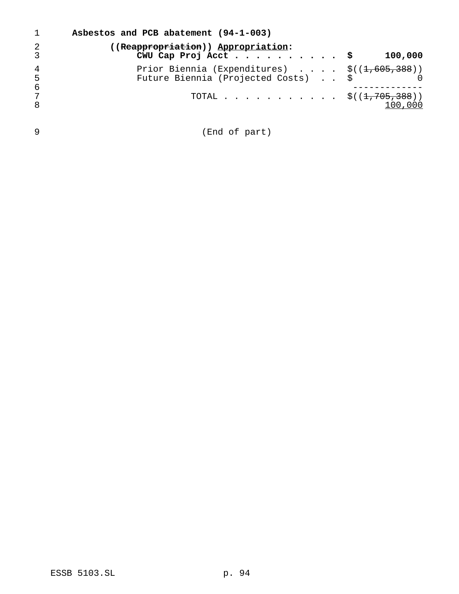| $\mathbf{1}$        | Asbestos and PCB abatement (94-1-003)                                                            |         |
|---------------------|--------------------------------------------------------------------------------------------------|---------|
| $\overline{2}$<br>3 | ((Reappropriation)) Appropriation:                                                               | 100,000 |
| 4<br>5<br>6         | Prior Biennia (Expenditures) $\frac{1}{5}((1,605,388))$<br>Future Biennia (Projected Costs) \$ 0 |         |
| 7<br>8              | TOTAL $\frac{1}{5}((1,705,388)))$                                                                | 100,000 |
|                     |                                                                                                  |         |

(End of part)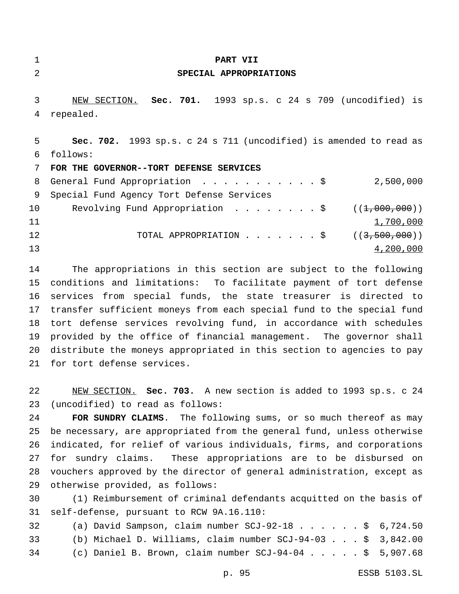### **PART VII**

# **SPECIAL APPROPRIATIONS**

 NEW SECTION. **Sec. 701.** 1993 sp.s. c 24 s 709 (uncodified) is repealed.

 **Sec. 702.** 1993 sp.s. c 24 s 711 (uncodified) is amended to read as follows:

**FOR THE GOVERNOR--TORT DEFENSE SERVICES**

|     | 8 General Fund Appropriation \$                                                                             | 2,500,000 |
|-----|-------------------------------------------------------------------------------------------------------------|-----------|
| - 9 | Special Fund Agency Tort Defense Services                                                                   |           |
| 10  | Revolving Fund Appropriation $\ldots \ldots \ldots$ , $\frac{1}{5}$ ( $(\frac{1}{7000}, \frac{000}{000})$ ) |           |
| 11  |                                                                                                             | 1,700,000 |
| 12  | TOTAL APPROPRIATION $\ldots$ , $\ldots$ , $\ddot{\text{S}}$ ((3,500,000))                                   |           |
| 13  |                                                                                                             | 4,200,000 |

 The appropriations in this section are subject to the following conditions and limitations: To facilitate payment of tort defense services from special funds, the state treasurer is directed to transfer sufficient moneys from each special fund to the special fund tort defense services revolving fund, in accordance with schedules provided by the office of financial management. The governor shall distribute the moneys appropriated in this section to agencies to pay for tort defense services.

 NEW SECTION. **Sec. 703.** A new section is added to 1993 sp.s. c 24 (uncodified) to read as follows:

 **FOR SUNDRY CLAIMS**. The following sums, or so much thereof as may be necessary, are appropriated from the general fund, unless otherwise indicated, for relief of various individuals, firms, and corporations for sundry claims. These appropriations are to be disbursed on vouchers approved by the director of general administration, except as otherwise provided, as follows:

 (1) Reimbursement of criminal defendants acquitted on the basis of self-defense, pursuant to RCW 9A.16.110:

| 32 | (a) David Sampson, claim number SCJ-92-18 \$ $6,724.50$       |  |
|----|---------------------------------------------------------------|--|
| 33 | (b) Michael D. Williams, claim number $SCJ-94-03$ \$ 3,842.00 |  |
| 34 | (c) Daniel B. Brown, claim number $SCJ-94-04$ \$ 5,907.68     |  |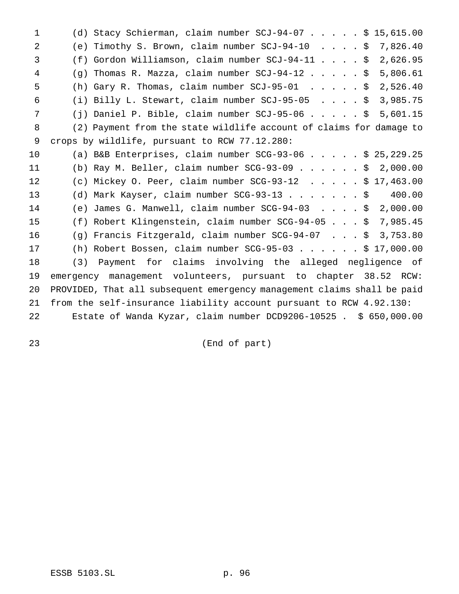(d) Stacy Schierman, claim number SCJ-94-07.....\$ 15,615.00 (e) Timothy S. Brown, claim number SCJ-94-10 ....\$ 7,826.40 (f) Gordon Williamson, claim number SCJ-94-11....\$ 2,626.95 (g) Thomas R. Mazza, claim number SCJ-94-12.....\$ 5,806.61 (h) Gary R. Thomas, claim number SCJ-95-01 .....\$ 2,526.40 (i) Billy L. Stewart, claim number SCJ-95-05 ....\$ 3,985.75 (j) Daniel P. Bible, claim number SCJ-95-06.....\$ 5,601.15 (2) Payment from the state wildlife account of claims for damage to crops by wildlife, pursuant to RCW 77.12.280: (a) B&B Enterprises, claim number SCG-93-06.....\$ 25,229.25 (b) Ray M. Beller, claim number SCG-93-09......\$ 2,000.00 (c) Mickey O. Peer, claim number SCG-93-12 .....\$ 17,463.00 (d) Mark Kayser, claim number SCG-93-13.......\$ 400.00 (e) James G. Manwell, claim number SCG-94-03 ....\$ 2,000.00 (f) Robert Klingenstein, claim number SCG-94-05...\$ 7,985.45 (g) Francis Fitzgerald, claim number SCG-94-07 ...\$ 3,753.80 (h) Robert Bossen, claim number SCG-95-03......\$ 17,000.00 (3) Payment for claims involving the alleged negligence of emergency management volunteers, pursuant to chapter 38.52 RCW: PROVIDED, That all subsequent emergency management claims shall be paid from the self-insurance liability account pursuant to RCW 4.92.130: Estate of Wanda Kyzar, claim number DCD9206-10525 . \$ 650,000.00

(End of part)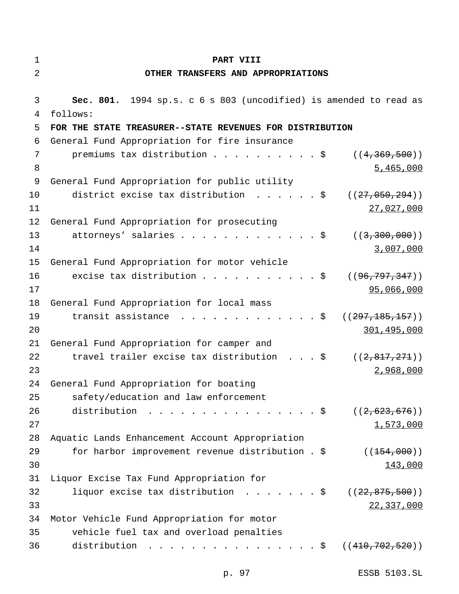| $\mathbf 1$ | PART VIII                                                                                                   |
|-------------|-------------------------------------------------------------------------------------------------------------|
| 2           | OTHER TRANSFERS AND APPROPRIATIONS                                                                          |
| 3           | Sec. 801. 1994 sp.s. c 6 s 803 (uncodified) is amended to read as                                           |
| 4           | follows:                                                                                                    |
| 5           | FOR THE STATE TREASURER--STATE REVENUES FOR DISTRIBUTION                                                    |
| 6           | General Fund Appropriation for fire insurance                                                               |
| 7           | premiums tax distribution $\ldots$ \$<br>((4, 369, 500))                                                    |
| 8           | 5,465,000                                                                                                   |
| 9           | General Fund Appropriation for public utility                                                               |
| 10          | district excise tax distribution $\ldots \ldots$<br>((27, 050, 294))                                        |
| 11          | 27,027,000                                                                                                  |
| 12          | General Fund Appropriation for prosecuting                                                                  |
| 13          | attorneys' salaries \$<br>((3, 300, 000))                                                                   |
| 14          | 3,007,000                                                                                                   |
| 15          | General Fund Appropriation for motor vehicle                                                                |
| 16          | excise tax distribution \$<br>((96, 797, 347))                                                              |
| 17          | 95,066,000                                                                                                  |
| 18          | General Fund Appropriation for local mass                                                                   |
| 19          | transit assistance $\cdot \cdot \cdot \cdot \cdot \cdot \cdot \cdot \cdot \cdot \cdot$<br>((297, 185, 157)) |
| 20          | 301,495,000                                                                                                 |
| 21          | General Fund Appropriation for camper and                                                                   |
| 22          | travel trailer excise tax distribution $\ldots$ \$<br>((2, 817, 271))                                       |
| 23          | 2,968,000                                                                                                   |
| 24          | General Fund Appropriation for boating                                                                      |
| 25          | safety/education and law enforcement                                                                        |
| 26          | distribution $\frac{1}{2}$<br>((2, 623, 676))                                                               |
| 27          | 1,573,000                                                                                                   |
| 28          | Aquatic Lands Enhancement Account Appropriation                                                             |
| 29          | for harbor improvement revenue distribution . \$<br>((154,000))                                             |
| 30          | 143,000                                                                                                     |
| 31          | Liquor Excise Tax Fund Appropriation for                                                                    |
| 32          | liquor excise tax distribution ( $(22, 875, 500)$ )                                                         |
| 33<br>34    | 22,337,000                                                                                                  |
| 35          | Motor Vehicle Fund Appropriation for motor<br>vehicle fuel tax and overload penalties                       |
| 36          | distribution<br>. \$ (( <del>410,702,520</del> ))                                                           |
|             |                                                                                                             |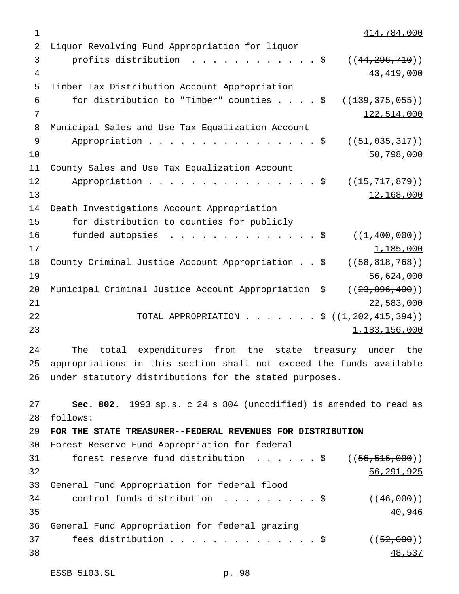414,784,000 Liquor Revolving Fund Appropriation for liquor 3 profits distribution . . . . . . . . . . . \$ ((44,296,710)) 43,419,000 Timber Tax Distribution Account Appropriation 6 for distribution to "Timber" counties  $\ldots$ ,  $\frac{1}{5}$  ((<del>139,375,055</del>)) 122,514,000 Municipal Sales and Use Tax Equalization Account 9 Appropriation . . . . . . . . . . . . . . \$ ((51,035,317)) 50,798,000 County Sales and Use Tax Equalization Account 12 Appropriation . . . . . . . . . . . . . . \$ ((<del>15,717,879</del>)) 12,168,000 Death Investigations Account Appropriation for distribution to counties for publicly 16 funded autopsies ...............\$ ((<del>1,400,000</del>))  $1,185,000$  County Criminal Justice Account Appropriation..\$ ((58,818,768)) 56,624,000 20 Municipal Criminal Justice Account Appropriation \$ ((23,896,400)) 22,583,000 22 TOTAL APPROPRIATION . . . . . . \$ ((<del>1,202,415,394</del>)) 1,183,156,000 The total expenditures from the state treasury under the appropriations in this section shall not exceed the funds available under statutory distributions for the stated purposes. **Sec. 802.** 1993 sp.s. c 24 s 804 (uncodified) is amended to read as follows: **FOR THE STATE TREASURER--FEDERAL REVENUES FOR DISTRIBUTION** Forest Reserve Fund Appropriation for federal 31 forest reserve fund distribution . . . . . \$ ((56,516,000)) 56,291,925 General Fund Appropriation for federal flood 34 control funds distribution  $\ldots \ldots \ldots$ \$ ((46,000)) 35 40,946 General Fund Appropriation for federal grazing 37 fees distribution . . . . . . . . . . . . . \$  $((52,000))$ 38 48,537

```
ESSB 5103.SL p. 98
```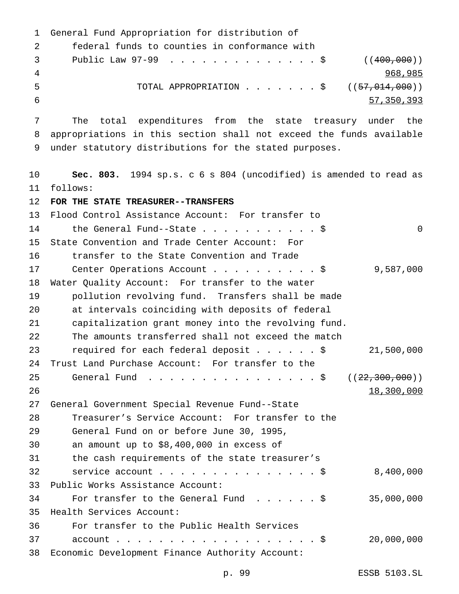```
1 General Fund Appropriation for distribution of
2 federal funds to counties in conformance with
3 Public Law 97-99 . . . . . . . . . . . . . $ ((400,000))
4 968,985
5 TOTAL APPROPRIATION . . . . . . $ ((57,014,000))
6 57,350,393
7 The total expenditures from the state treasury under the
8 appropriations in this section shall not exceed the funds available
9 under statutory distributions for the stated purposes.
10 Sec. 803. 1994 sp.s. c 6 s 804 (uncodified) is amended to read as
11 follows:
12 FOR THE STATE TREASURER--TRANSFERS
13 Flood Control Assistance Account: For transfer to
14 the General Fund--State . . . . . . . . . . $ 0
15 State Convention and Trade Center Account: For
16 transfer to the State Convention and Trade
17 Center Operations Account . . . . . . . . . $ 9,587,000
18 Water Quality Account: For transfer to the water
19 pollution revolving fund. Transfers shall be made
20 at intervals coinciding with deposits of federal
21 capitalization grant money into the revolving fund.
22 The amounts transferred shall not exceed the match
23 required for each federal deposit . . . . . $ 21,500,000
24 Trust Land Purchase Account: For transfer to the
25 General Fund . . . . . . . . . . . . . . . $ ((22,300,000))
26 18,300,000
27 General Government Special Revenue Fund--State
28 Treasurer's Service Account: For transfer to the
29 General Fund on or before June 30, 1995,
30 an amount up to $8,400,000 in excess of
31 the cash requirements of the state treasurer's
32 service account...............$ 8,400,000
33 Public Works Assistance Account:
34 For transfer to the General Fund . . . . . $ 35,000,000
35 Health Services Account:
36 For transfer to the Public Health Services
37 account . . . . . . . . . . . . . . . . . . $ 20,000,000
38 Economic Development Finance Authority Account:
```
p. 99 ESSB 5103.SL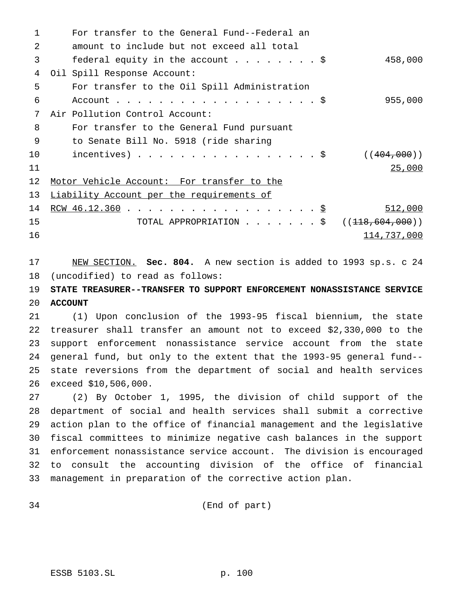| $\mathbf{1}$    | For transfer to the General Fund--Federal an |                |
|-----------------|----------------------------------------------|----------------|
| 2               | amount to include but not exceed all total   |                |
| 3               | federal equity in the account \$             | 458,000        |
| 4               | Oil Spill Response Account:                  |                |
| 5               | For transfer to the Oil Spill Administration |                |
| 6               |                                              | 955,000        |
| 7               | Air Pollution Control Account:               |                |
| 8               | For transfer to the General Fund pursuant    |                |
| 9               | to Senate Bill No. 5918 (ride sharing        |                |
| 10              | incentives) $\hat{S}$                        | ( (404, 000) ) |
| 11              |                                              | 25,000         |
| 12 <sub>1</sub> | Motor Vehicle Account: For transfer to the   |                |
| 13              | Liability Account per the requirements of    |                |
| 14              | <u>RCW 46.12.360</u> \$                      | 512,000        |
| 15              | TOTAL APPROPRIATION \$ $((118,604,000))$     |                |
| 16              |                                              | 114,737,000    |
|                 |                                              |                |

 NEW SECTION. **Sec. 804.** A new section is added to 1993 sp.s. c 24 (uncodified) to read as follows:

# **STATE TREASURER--TRANSFER TO SUPPORT ENFORCEMENT NONASSISTANCE SERVICE ACCOUNT**

 (1) Upon conclusion of the 1993-95 fiscal biennium, the state treasurer shall transfer an amount not to exceed \$2,330,000 to the support enforcement nonassistance service account from the state general fund, but only to the extent that the 1993-95 general fund-- state reversions from the department of social and health services exceed \$10,506,000.

 (2) By October 1, 1995, the division of child support of the department of social and health services shall submit a corrective action plan to the office of financial management and the legislative fiscal committees to minimize negative cash balances in the support enforcement nonassistance service account. The division is encouraged to consult the accounting division of the office of financial management in preparation of the corrective action plan.

(End of part)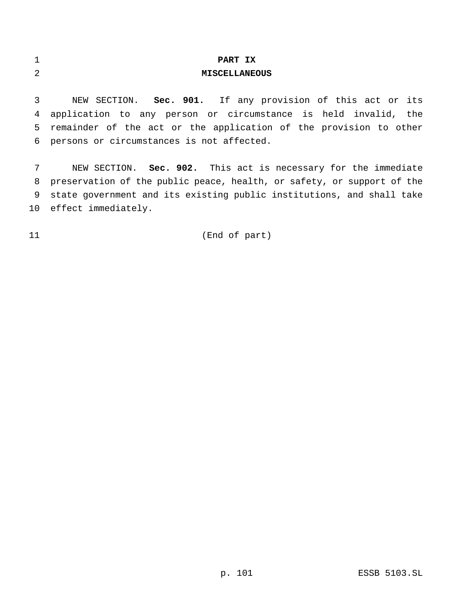| ×.<br>ᅩ | PART IX              |
|---------|----------------------|
| 2       | <b>MISCELLANEOUS</b> |

 NEW SECTION. **Sec. 901.** If any provision of this act or its application to any person or circumstance is held invalid, the remainder of the act or the application of the provision to other persons or circumstances is not affected.

 NEW SECTION. **Sec. 902.** This act is necessary for the immediate preservation of the public peace, health, or safety, or support of the state government and its existing public institutions, and shall take effect immediately.

# (End of part)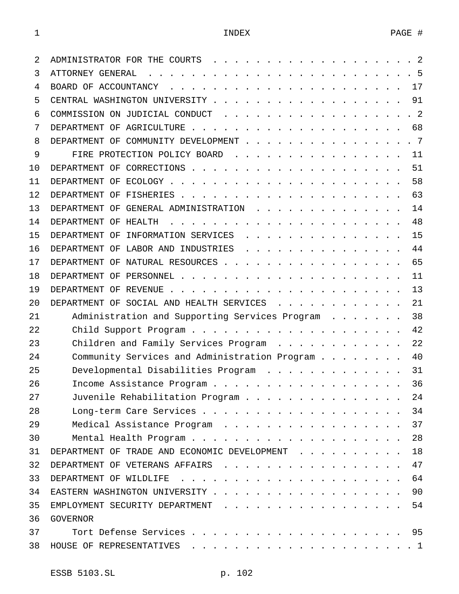| 2  |                                                                                                                                                                                                                                                             |
|----|-------------------------------------------------------------------------------------------------------------------------------------------------------------------------------------------------------------------------------------------------------------|
| 3  | .5<br>ATTORNEY GENERAL<br>$\frac{1}{2}$ . The contract of the contract of the contract of the contract of the contract of the contract of the contract of the contract of the contract of the contract of the contract of the contract of the contract of t |
| 4  | 17                                                                                                                                                                                                                                                          |
| 5  | 91                                                                                                                                                                                                                                                          |
| 6  | COMMISSION ON JUDICIAL CONDUCT<br>$\cdot$ 2                                                                                                                                                                                                                 |
| 7  | 68                                                                                                                                                                                                                                                          |
| 8  | DEPARTMENT OF COMMUNITY DEVELOPMENT<br>.7                                                                                                                                                                                                                   |
| 9  | FIRE PROTECTION POLICY BOARD<br>11                                                                                                                                                                                                                          |
| 10 | 51                                                                                                                                                                                                                                                          |
| 11 | 58                                                                                                                                                                                                                                                          |
| 12 | 63                                                                                                                                                                                                                                                          |
| 13 | 14<br>DEPARTMENT OF GENERAL ADMINISTRATION                                                                                                                                                                                                                  |
| 14 | 48<br>DEPARTMENT OF HEALTH                                                                                                                                                                                                                                  |
| 15 | 15<br>DEPARTMENT OF INFORMATION SERVICES                                                                                                                                                                                                                    |
| 16 | 44<br>DEPARTMENT OF LABOR AND INDUSTRIES                                                                                                                                                                                                                    |
| 17 | 65<br>DEPARTMENT OF NATURAL RESOURCES                                                                                                                                                                                                                       |
| 18 | 11                                                                                                                                                                                                                                                          |
| 19 | 13                                                                                                                                                                                                                                                          |
| 20 | DEPARTMENT OF SOCIAL AND HEALTH SERVICES<br>21                                                                                                                                                                                                              |
| 21 | 38<br>Administration and Supporting Services Program<br>$\cdot$ $\cdot$ $\cdot$ $\cdot$ $\cdot$ $\cdot$ $\cdot$                                                                                                                                             |
| 22 | 42                                                                                                                                                                                                                                                          |
| 23 | 22<br>Children and Family Services Program                                                                                                                                                                                                                  |
| 24 | Community Services and Administration Program<br>40                                                                                                                                                                                                         |
| 25 | 31<br>Developmental Disabilities Program                                                                                                                                                                                                                    |
| 26 | 36                                                                                                                                                                                                                                                          |
| 27 | Juvenile Rehabilitation Program<br>24                                                                                                                                                                                                                       |
| 28 | 34                                                                                                                                                                                                                                                          |
| 29 | 37<br>Medical Assistance Program                                                                                                                                                                                                                            |
| 30 | 28                                                                                                                                                                                                                                                          |
| 31 | 18<br>DEPARTMENT OF TRADE AND ECONOMIC DEVELOPMENT                                                                                                                                                                                                          |
| 32 | 47<br>DEPARTMENT OF VETERANS AFFAIRS                                                                                                                                                                                                                        |
| 33 | 64                                                                                                                                                                                                                                                          |
| 34 | 90                                                                                                                                                                                                                                                          |
| 35 | 54<br>EMPLOYMENT SECURITY DEPARTMENT                                                                                                                                                                                                                        |
| 36 | <b>GOVERNOR</b>                                                                                                                                                                                                                                             |
| 37 |                                                                                                                                                                                                                                                             |
| 38 | HOUSE OF REPRESENTATIVES                                                                                                                                                                                                                                    |